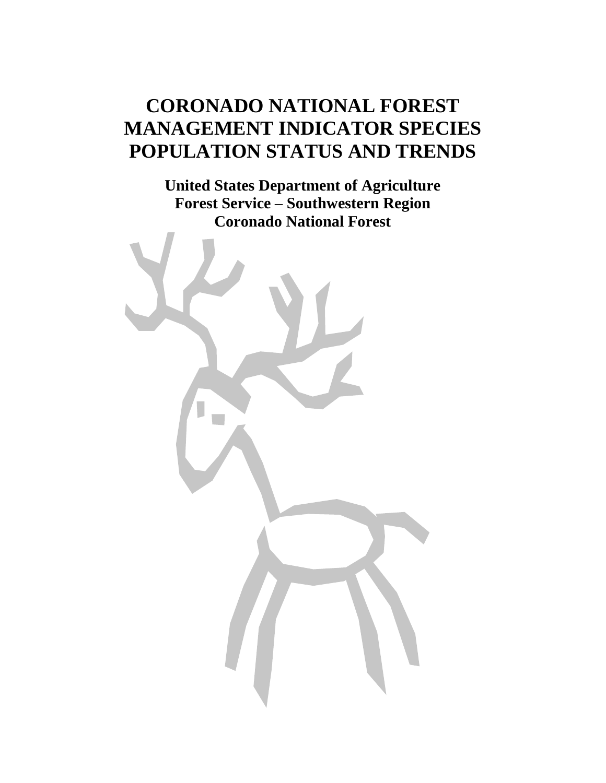# **CORONADO NATIONAL FOREST MANAGEMENT INDICATOR SPECIES POPULATION STATUS AND TRENDS**

**United States Department of Agriculture Forest Service – Southwestern Region Coronado National Forest**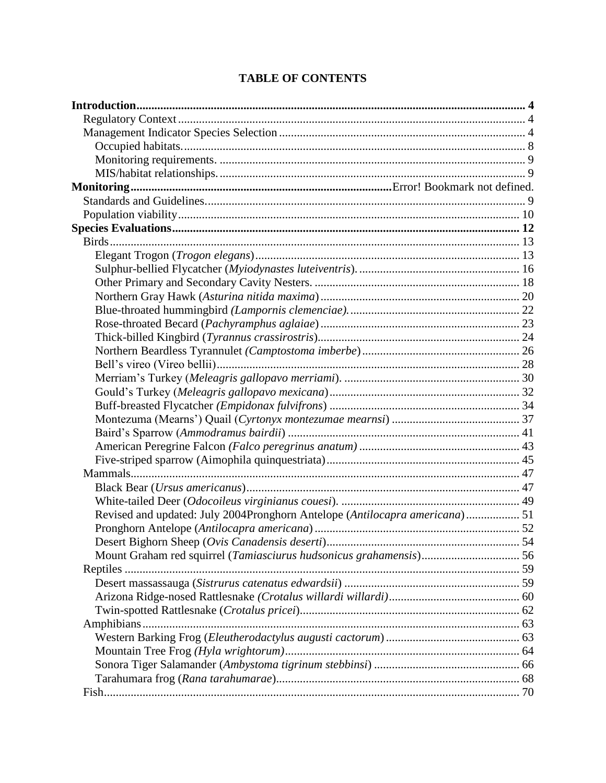| Revised and updated: July 2004Pronghorn Antelope (Antilocapra americana) 51 |  |
|-----------------------------------------------------------------------------|--|
|                                                                             |  |
|                                                                             |  |
|                                                                             |  |
|                                                                             |  |
|                                                                             |  |
|                                                                             |  |
|                                                                             |  |
|                                                                             |  |
|                                                                             |  |
|                                                                             |  |
|                                                                             |  |
|                                                                             |  |
|                                                                             |  |

# **TABLE OF CONTENTS**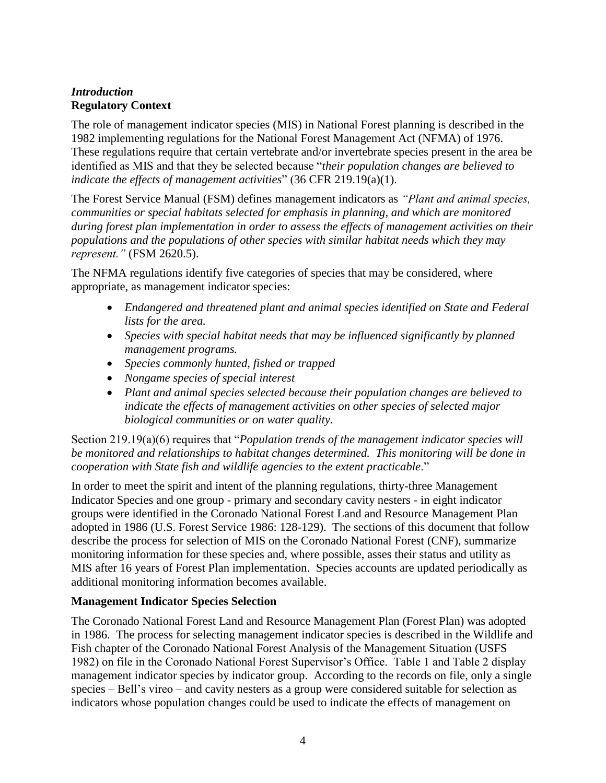# <span id="page-3-1"></span><span id="page-3-0"></span>*Introduction* **Regulatory Context**

The role of management indicator species (MIS) in National Forest planning is described in the 1982 implementing regulations for the National Forest Management Act (NFMA) of 1976. These regulations require that certain vertebrate and/or invertebrate species present in the area be identified as MIS and that they be selected because "*their population changes are believed to indicate the effects of management activities*" (36 CFR 219.19(a)(1).

The Forest Service Manual (FSM) defines management indicators as *"Plant and animal species, communities or special habitats selected for emphasis in planning, and which are monitored during forest plan implementation in order to assess the effects of management activities on their populations and the populations of other species with similar habitat needs which they may represent."* (FSM 2620.5).

The NFMA regulations identify five categories of species that may be considered, where appropriate, as management indicator species:

- *Endangered and threatened plant and animal species identified on State and Federal lists for the area.*
- *Species with special habitat needs that may be influenced significantly by planned management programs.*
- *Species commonly hunted, fished or trapped*
- *Nongame species of special interest*
- *Plant and animal species selected because their population changes are believed to indicate the effects of management activities on other species of selected major biological communities or on water quality.*

Section 219.19(a)(6) requires that "*Population trends of the management indicator species will be monitored and relationships to habitat changes determined. This monitoring will be done in cooperation with State fish and wildlife agencies to the extent practicable*."

In order to meet the spirit and intent of the planning regulations, thirty-three Management Indicator Species and one group - primary and secondary cavity nesters - in eight indicator groups were identified in the Coronado National Forest Land and Resource Management Plan adopted in 1986 (U.S. Forest Service 1986: 128-129). The sections of this document that follow describe the process for selection of MIS on the Coronado National Forest (CNF), summarize monitoring information for these species and, where possible, asses their status and utility as MIS after 16 years of Forest Plan implementation. Species accounts are updated periodically as additional monitoring information becomes available.

## <span id="page-3-2"></span>**Management Indicator Species Selection**

The Coronado National Forest Land and Resource Management Plan (Forest Plan) was adopted in 1986. The process for selecting management indicator species is described in the Wildlife and Fish chapter of the Coronado National Forest Analysis of the Management Situation (USFS 1982) on file in the Coronado National Forest Supervisor's Office. Table 1 and Table 2 display management indicator species by indicator group. According to the records on file, only a single species – Bell's vireo – and cavity nesters as a group were considered suitable for selection as indicators whose population changes could be used to indicate the effects of management on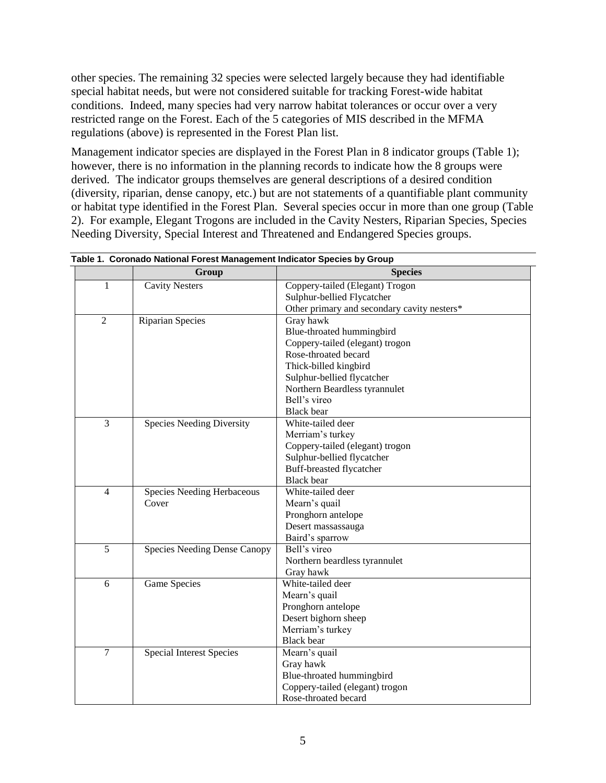other species. The remaining 32 species were selected largely because they had identifiable special habitat needs, but were not considered suitable for tracking Forest-wide habitat conditions. Indeed, many species had very narrow habitat tolerances or occur over a very restricted range on the Forest. Each of the 5 categories of MIS described in the MFMA regulations (above) is represented in the Forest Plan list.

Management indicator species are displayed in the Forest Plan in 8 indicator groups (Table 1); however, there is no information in the planning records to indicate how the 8 groups were derived. The indicator groups themselves are general descriptions of a desired condition (diversity, riparian, dense canopy, etc.) but are not statements of a quantifiable plant community or habitat type identified in the Forest Plan. Several species occur in more than one group (Table 2). For example, Elegant Trogons are included in the Cavity Nesters, Riparian Species, Species Needing Diversity, Special Interest and Threatened and Endangered Species groups.

|                | Group                            | <b>Species</b>                              |  |  |
|----------------|----------------------------------|---------------------------------------------|--|--|
| 1              | <b>Cavity Nesters</b>            | Coppery-tailed (Elegant) Trogon             |  |  |
|                |                                  | Sulphur-bellied Flycatcher                  |  |  |
|                |                                  | Other primary and secondary cavity nesters* |  |  |
| $\overline{2}$ | <b>Riparian Species</b>          | Gray hawk                                   |  |  |
|                |                                  | Blue-throated hummingbird                   |  |  |
|                |                                  | Coppery-tailed (elegant) trogon             |  |  |
|                |                                  | Rose-throated becard                        |  |  |
|                |                                  | Thick-billed kingbird                       |  |  |
|                |                                  | Sulphur-bellied flycatcher                  |  |  |
|                |                                  | Northern Beardless tyrannulet               |  |  |
|                |                                  | Bell's vireo                                |  |  |
|                |                                  | <b>Black</b> bear                           |  |  |
| $\overline{3}$ | <b>Species Needing Diversity</b> | White-tailed deer                           |  |  |
|                |                                  | Merriam's turkey                            |  |  |
|                |                                  | Coppery-tailed (elegant) trogon             |  |  |
|                |                                  | Sulphur-bellied flycatcher                  |  |  |
|                |                                  | Buff-breasted flycatcher                    |  |  |
|                |                                  | <b>Black</b> bear                           |  |  |
| $\overline{4}$ | Species Needing Herbaceous       | White-tailed deer                           |  |  |
|                | Cover                            | Mearn's quail                               |  |  |
|                |                                  | Pronghorn antelope                          |  |  |
|                |                                  | Desert massassauga                          |  |  |
|                |                                  | Baird's sparrow                             |  |  |
| 5              | Species Needing Dense Canopy     | Bell's vireo                                |  |  |
|                |                                  | Northern beardless tyrannulet               |  |  |
|                |                                  | Gray hawk                                   |  |  |
| 6              | Game Species                     | White-tailed deer                           |  |  |
|                |                                  | Mearn's quail                               |  |  |
|                |                                  | Pronghorn antelope                          |  |  |
|                |                                  | Desert bighorn sheep                        |  |  |
|                |                                  | Merriam's turkey                            |  |  |
|                |                                  | <b>Black</b> bear                           |  |  |
| 7              | <b>Special Interest Species</b>  | Mearn's quail                               |  |  |
|                |                                  | Gray hawk                                   |  |  |
|                |                                  | Blue-throated hummingbird                   |  |  |
|                |                                  | Coppery-tailed (elegant) trogon             |  |  |
|                |                                  | Rose-throated becard                        |  |  |

|  |  |  |  | Table 1. Coronado National Forest Management Indicator Species by Group |  |  |  |
|--|--|--|--|-------------------------------------------------------------------------|--|--|--|
|--|--|--|--|-------------------------------------------------------------------------|--|--|--|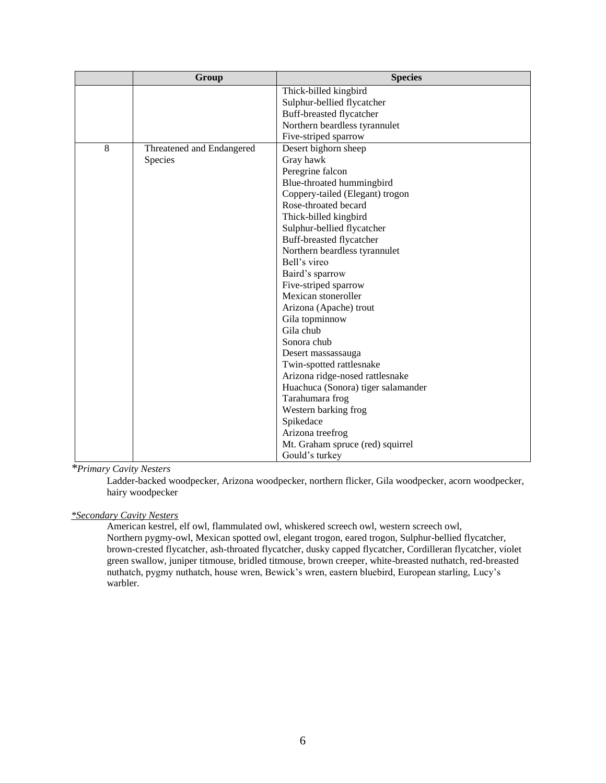|                | Group                     | <b>Species</b>                     |
|----------------|---------------------------|------------------------------------|
|                |                           | Thick-billed kingbird              |
|                |                           | Sulphur-bellied flycatcher         |
|                |                           | Buff-breasted flycatcher           |
|                |                           | Northern beardless tyrannulet      |
|                |                           | Five-striped sparrow               |
| $\overline{8}$ | Threatened and Endangered | Desert bighorn sheep               |
|                | Species                   | Gray hawk                          |
|                |                           | Peregrine falcon                   |
|                |                           | Blue-throated hummingbird          |
|                |                           | Coppery-tailed (Elegant) trogon    |
|                |                           | Rose-throated becard               |
|                |                           | Thick-billed kingbird              |
|                |                           | Sulphur-bellied flycatcher         |
|                |                           | Buff-breasted flycatcher           |
|                |                           | Northern beardless tyrannulet      |
|                |                           | Bell's vireo                       |
|                |                           | Baird's sparrow                    |
|                |                           | Five-striped sparrow               |
|                |                           | Mexican stoneroller                |
|                |                           | Arizona (Apache) trout             |
|                |                           | Gila topminnow                     |
|                |                           | Gila chub                          |
|                |                           | Sonora chub                        |
|                |                           | Desert massassauga                 |
|                |                           | Twin-spotted rattlesnake           |
|                |                           | Arizona ridge-nosed rattlesnake    |
|                |                           | Huachuca (Sonora) tiger salamander |
|                |                           | Tarahumara frog                    |
|                |                           | Western barking frog               |
|                |                           | Spikedace                          |
|                |                           | Arizona treefrog                   |
|                |                           | Mt. Graham spruce (red) squirrel   |
|                |                           | Gould's turkey                     |

*\*Primary Cavity Nesters*

Ladder-backed woodpecker, Arizona woodpecker, northern flicker, Gila woodpecker, acorn woodpecker, hairy woodpecker

*\*Secondary Cavity Nesters*

American kestrel, elf owl, flammulated owl, whiskered screech owl, western screech owl, Northern pygmy-owl, Mexican spotted owl, elegant trogon, eared trogon, Sulphur-bellied flycatcher, brown-crested flycatcher, ash-throated flycatcher, dusky capped flycatcher, Cordilleran flycatcher, violet green swallow, juniper titmouse, bridled titmouse, brown creeper, white-breasted nuthatch, red-breasted nuthatch, pygmy nuthatch, house wren, Bewick's wren, eastern bluebird, European starling, Lucy's warbler.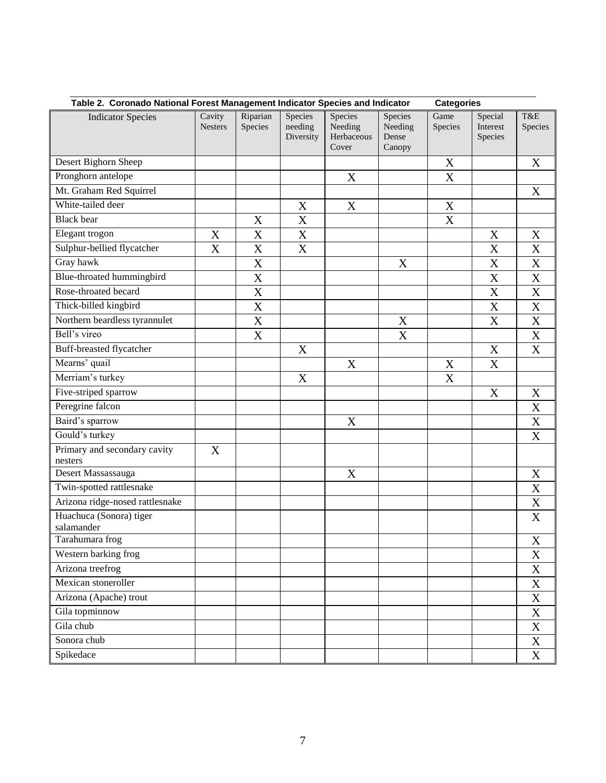| Table 2. Coronado National Forest Management Indicator Species and Indicator<br><b>Categories</b> |                           |                           |                                 |                                           |                                       |                           |                                |                           |
|---------------------------------------------------------------------------------------------------|---------------------------|---------------------------|---------------------------------|-------------------------------------------|---------------------------------------|---------------------------|--------------------------------|---------------------------|
| <b>Indicator Species</b>                                                                          | Cavity<br><b>Nesters</b>  | Riparian<br>Species       | Species<br>needing<br>Diversity | Species<br>Needing<br>Herbaceous<br>Cover | Species<br>Needing<br>Dense<br>Canopy | Game<br>Species           | Special<br>Interest<br>Species | T&E<br>Species            |
| Desert Bighorn Sheep                                                                              |                           |                           |                                 |                                           |                                       | X                         |                                | X                         |
| Pronghorn antelope                                                                                |                           |                           |                                 | X                                         |                                       | X                         |                                |                           |
| Mt. Graham Red Squirrel                                                                           |                           |                           |                                 |                                           |                                       |                           |                                | $\boldsymbol{\mathrm{X}}$ |
| White-tailed deer                                                                                 |                           |                           | X                               | X                                         |                                       | X                         |                                |                           |
| <b>Black</b> bear                                                                                 |                           | X                         | $\mathbf X$                     |                                           |                                       | X                         |                                |                           |
| Elegant trogon                                                                                    | $\mathbf X$               | X                         | $\mathbf X$                     |                                           |                                       |                           | $\mathbf X$                    | $\mathbf X$               |
| Sulphur-bellied flycatcher                                                                        | X                         | $\mathbf X$               | $\mathbf X$                     |                                           |                                       |                           | X                              | $\mathbf X$               |
| Gray hawk                                                                                         |                           | $\mathbf X$               |                                 |                                           | $\boldsymbol{X}$                      |                           | X                              | $\overline{X}$            |
| Blue-throated hummingbird                                                                         |                           | $\mathbf X$               |                                 |                                           |                                       |                           | $\mathbf X$                    | $\mathbf X$               |
| Rose-throated becard                                                                              |                           | $\boldsymbol{\mathrm{X}}$ |                                 |                                           |                                       |                           | $\mathbf X$                    | $\mathbf X$               |
| Thick-billed kingbird                                                                             |                           | $\overline{\text{X}}$     |                                 |                                           |                                       |                           | $\mathbf X$                    | $\overline{\textbf{X}}$   |
| Northern beardless tyrannulet                                                                     |                           | $\mathbf X$               |                                 |                                           | X                                     |                           | $\boldsymbol{X}$               | $\mathbf X$               |
| Bell's vireo                                                                                      |                           | $\overline{\text{X}}$     |                                 |                                           | X                                     |                           |                                | $\overline{\textbf{X}}$   |
| Buff-breasted flycatcher                                                                          |                           |                           | X                               |                                           |                                       |                           | $\mathbf X$                    | $\mathbf X$               |
| Mearns' quail                                                                                     |                           |                           |                                 | X                                         |                                       | X                         | $\mathbf X$                    |                           |
| Merriam's turkey                                                                                  |                           |                           | $\mathbf X$                     |                                           |                                       | $\boldsymbol{\mathrm{X}}$ |                                |                           |
| Five-striped sparrow                                                                              |                           |                           |                                 |                                           |                                       |                           | $\mathbf X$                    | $\mathbf X$               |
| Peregrine falcon                                                                                  |                           |                           |                                 |                                           |                                       |                           |                                | $\mathbf X$               |
| Baird's sparrow                                                                                   |                           |                           |                                 | X                                         |                                       |                           |                                | $\mathbf X$               |
| Gould's turkey                                                                                    |                           |                           |                                 |                                           |                                       |                           |                                | $\mathbf X$               |
| Primary and secondary cavity<br>nesters                                                           | $\boldsymbol{\mathrm{X}}$ |                           |                                 |                                           |                                       |                           |                                |                           |
| Desert Massassauga                                                                                |                           |                           |                                 | X                                         |                                       |                           |                                | X                         |
| Twin-spotted rattlesnake                                                                          |                           |                           |                                 |                                           |                                       |                           |                                | X                         |
| Arizona ridge-nosed rattlesnake                                                                   |                           |                           |                                 |                                           |                                       |                           |                                | $\mathbf X$               |
| Huachuca (Sonora) tiger<br>salamander                                                             |                           |                           |                                 |                                           |                                       |                           |                                | $\boldsymbol{\mathrm{X}}$ |
| Tarahumara frog                                                                                   |                           |                           |                                 |                                           |                                       |                           |                                | $\mathbf X$               |
| Western barking frog                                                                              |                           |                           |                                 |                                           |                                       |                           |                                | $\mathbf X$               |
| Arizona treefrog                                                                                  |                           |                           |                                 |                                           |                                       |                           |                                | $\mathbf X$               |
| Mexican stoneroller                                                                               |                           |                           |                                 |                                           |                                       |                           |                                | $\mathbf X$               |
| Arizona (Apache) trout                                                                            |                           |                           |                                 |                                           |                                       |                           |                                | $\mathbf X$               |
| Gila topminnow                                                                                    |                           |                           |                                 |                                           |                                       |                           |                                | $\mathbf X$               |
| Gila chub                                                                                         |                           |                           |                                 |                                           |                                       |                           |                                | $\overline{X}$            |
| Sonora chub                                                                                       |                           |                           |                                 |                                           |                                       |                           |                                | $\mathbf X$               |
| Spikedace                                                                                         |                           |                           |                                 |                                           |                                       |                           |                                | $\overline{\textbf{X}}$   |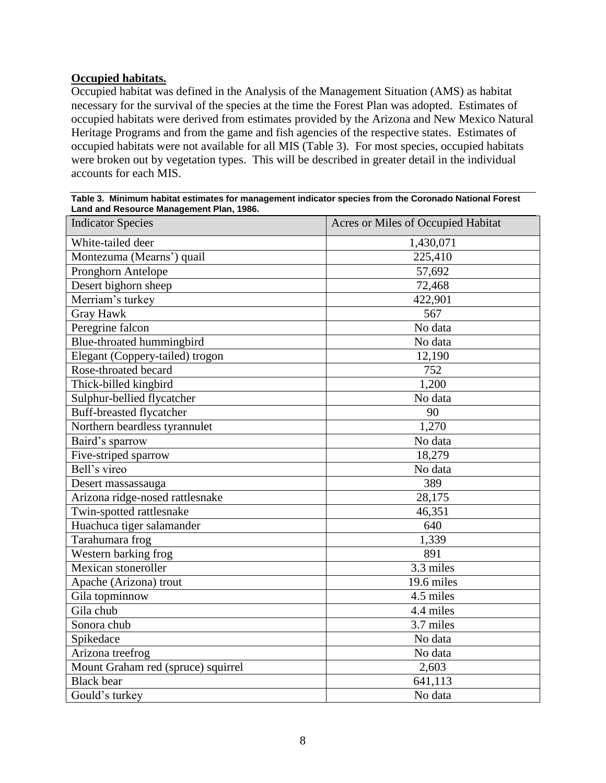## <span id="page-7-0"></span>**Occupied habitats.**

Occupied habitat was defined in the Analysis of the Management Situation (AMS) as habitat necessary for the survival of the species at the time the Forest Plan was adopted. Estimates of occupied habitats were derived from estimates provided by the Arizona and New Mexico Natural Heritage Programs and from the game and fish agencies of the respective states. Estimates of occupied habitats were not available for all MIS (Table 3). For most species, occupied habitats were broken out by vegetation types. This will be described in greater detail in the individual accounts for each MIS.

| Table 3. Minimum habitat estimates for management indicator species from the Coronado National Forest |  |  |  |  |  |
|-------------------------------------------------------------------------------------------------------|--|--|--|--|--|
| Land and Resource Management Plan, 1986.                                                              |  |  |  |  |  |
| Indiantos Concine                                                                                     |  |  |  |  |  |

| <b>Indicator Species</b>           | Acres or Miles of Occupied Habitat |  |
|------------------------------------|------------------------------------|--|
| White-tailed deer                  | 1,430,071                          |  |
| Montezuma (Mearns') quail          | 225,410                            |  |
| Pronghorn Antelope                 | 57,692                             |  |
| Desert bighorn sheep               | 72,468                             |  |
| Merriam's turkey                   | 422,901                            |  |
| <b>Gray Hawk</b>                   | 567                                |  |
| Peregrine falcon                   | No data                            |  |
| Blue-throated hummingbird          | No data                            |  |
| Elegant (Coppery-tailed) trogon    | 12,190                             |  |
| Rose-throated becard               | 752                                |  |
| Thick-billed kingbird              | 1,200                              |  |
| Sulphur-bellied flycatcher         | No data                            |  |
| <b>Buff-breasted flycatcher</b>    | 90                                 |  |
| Northern beardless tyrannulet      | 1,270                              |  |
| Baird's sparrow                    | No data                            |  |
| Five-striped sparrow               | 18,279                             |  |
| Bell's vireo                       | No data                            |  |
| Desert massassauga                 | 389                                |  |
| Arizona ridge-nosed rattlesnake    | 28,175                             |  |
| Twin-spotted rattlesnake           | 46,351                             |  |
| Huachuca tiger salamander          | 640                                |  |
| Tarahumara frog                    | 1,339                              |  |
| Western barking frog               | 891                                |  |
| Mexican stoneroller                | 3.3 miles                          |  |
| Apache (Arizona) trout             | 19.6 miles                         |  |
| Gila topminnow                     | 4.5 miles                          |  |
| Gila chub                          | 4.4 miles                          |  |
| Sonora chub                        | 3.7 miles                          |  |
| Spikedace                          | No data                            |  |
| Arizona treefrog                   | No data                            |  |
| Mount Graham red (spruce) squirrel | 2,603                              |  |
| <b>Black</b> bear                  | $\overline{641,}$ 113              |  |
| Gould's turkey                     | No data                            |  |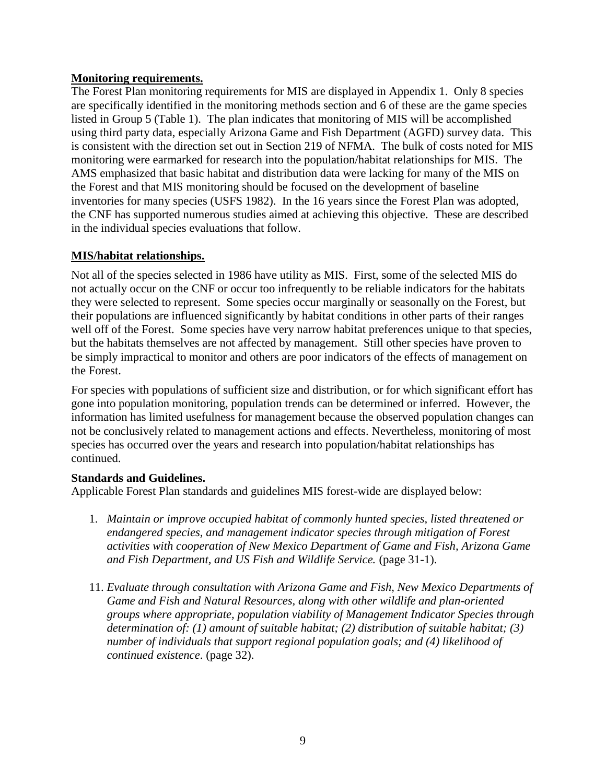## <span id="page-8-0"></span>**Monitoring requirements.**

The Forest Plan monitoring requirements for MIS are displayed in Appendix 1. Only 8 species are specifically identified in the monitoring methods section and 6 of these are the game species listed in Group 5 (Table 1). The plan indicates that monitoring of MIS will be accomplished using third party data, especially Arizona Game and Fish Department (AGFD) survey data. This is consistent with the direction set out in Section 219 of NFMA. The bulk of costs noted for MIS monitoring were earmarked for research into the population/habitat relationships for MIS. The AMS emphasized that basic habitat and distribution data were lacking for many of the MIS on the Forest and that MIS monitoring should be focused on the development of baseline inventories for many species (USFS 1982). In the 16 years since the Forest Plan was adopted, the CNF has supported numerous studies aimed at achieving this objective. These are described in the individual species evaluations that follow.

## <span id="page-8-1"></span>**MIS/habitat relationships.**

Not all of the species selected in 1986 have utility as MIS. First, some of the selected MIS do not actually occur on the CNF or occur too infrequently to be reliable indicators for the habitats they were selected to represent. Some species occur marginally or seasonally on the Forest, but their populations are influenced significantly by habitat conditions in other parts of their ranges well off of the Forest. Some species have very narrow habitat preferences unique to that species, but the habitats themselves are not affected by management. Still other species have proven to be simply impractical to monitor and others are poor indicators of the effects of management on the Forest.

For species with populations of sufficient size and distribution, or for which significant effort has gone into population monitoring, population trends can be determined or inferred. However, the information has limited usefulness for management because the observed population changes can not be conclusively related to management actions and effects. Nevertheless, monitoring of most species has occurred over the years and research into population/habitat relationships has continued.

### <span id="page-8-2"></span>**Standards and Guidelines.**

Applicable Forest Plan standards and guidelines MIS forest-wide are displayed below:

- 1. *Maintain or improve occupied habitat of commonly hunted species, listed threatened or endangered species, and management indicator species through mitigation of Forest activities with cooperation of New Mexico Department of Game and Fish, Arizona Game and Fish Department, and US Fish and Wildlife Service.* (page 31-1).
- 11. *Evaluate through consultation with Arizona Game and Fish, New Mexico Departments of Game and Fish and Natural Resources, along with other wildlife and plan-oriented groups where appropriate, population viability of Management Indicator Species through determination of: (1) amount of suitable habitat; (2) distribution of suitable habitat; (3) number of individuals that support regional population goals; and (4) likelihood of continued existence*. (page 32).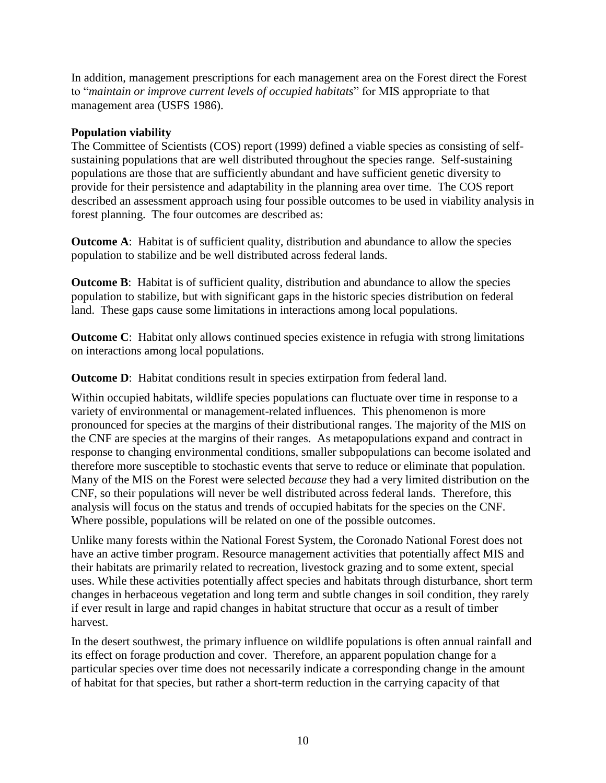In addition, management prescriptions for each management area on the Forest direct the Forest to "*maintain or improve current levels of occupied habitats*" for MIS appropriate to that management area (USFS 1986).

## <span id="page-9-0"></span>**Population viability**

The Committee of Scientists (COS) report (1999) defined a viable species as consisting of selfsustaining populations that are well distributed throughout the species range. Self-sustaining populations are those that are sufficiently abundant and have sufficient genetic diversity to provide for their persistence and adaptability in the planning area over time. The COS report described an assessment approach using four possible outcomes to be used in viability analysis in forest planning. The four outcomes are described as:

**Outcome A:** Habitat is of sufficient quality, distribution and abundance to allow the species population to stabilize and be well distributed across federal lands.

**Outcome B:** Habitat is of sufficient quality, distribution and abundance to allow the species population to stabilize, but with significant gaps in the historic species distribution on federal land. These gaps cause some limitations in interactions among local populations.

**Outcome C:** Habitat only allows continued species existence in refugia with strong limitations on interactions among local populations.

**Outcome D:** Habitat conditions result in species extirpation from federal land.

Within occupied habitats, wildlife species populations can fluctuate over time in response to a variety of environmental or management-related influences. This phenomenon is more pronounced for species at the margins of their distributional ranges. The majority of the MIS on the CNF are species at the margins of their ranges. As metapopulations expand and contract in response to changing environmental conditions, smaller subpopulations can become isolated and therefore more susceptible to stochastic events that serve to reduce or eliminate that population. Many of the MIS on the Forest were selected *because* they had a very limited distribution on the CNF, so their populations will never be well distributed across federal lands. Therefore, this analysis will focus on the status and trends of occupied habitats for the species on the CNF. Where possible, populations will be related on one of the possible outcomes.

Unlike many forests within the National Forest System, the Coronado National Forest does not have an active timber program. Resource management activities that potentially affect MIS and their habitats are primarily related to recreation, livestock grazing and to some extent, special uses. While these activities potentially affect species and habitats through disturbance, short term changes in herbaceous vegetation and long term and subtle changes in soil condition, they rarely if ever result in large and rapid changes in habitat structure that occur as a result of timber harvest.

In the desert southwest, the primary influence on wildlife populations is often annual rainfall and its effect on forage production and cover. Therefore, an apparent population change for a particular species over time does not necessarily indicate a corresponding change in the amount of habitat for that species, but rather a short-term reduction in the carrying capacity of that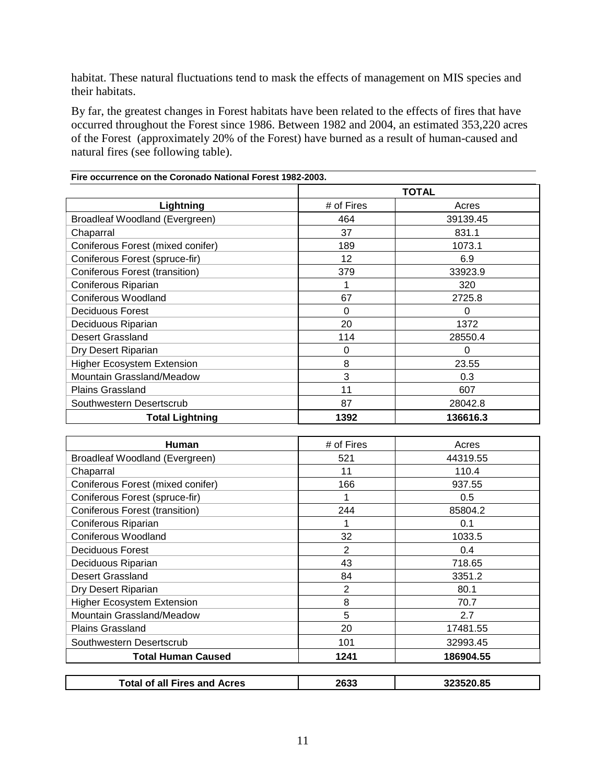habitat. These natural fluctuations tend to mask the effects of management on MIS species and their habitats.

By far, the greatest changes in Forest habitats have been related to the effects of fires that have occurred throughout the Forest since 1986. Between 1982 and 2004, an estimated 353,220 acres of the Forest (approximately 20% of the Forest) have burned as a result of human-caused and natural fires (see following table).

|                                   | <b>TOTAL</b> |          |  |
|-----------------------------------|--------------|----------|--|
| Lightning                         | # of Fires   | Acres    |  |
| Broadleaf Woodland (Evergreen)    | 464          | 39139.45 |  |
| Chaparral                         | 37           | 831.1    |  |
| Coniferous Forest (mixed conifer) | 189          | 1073.1   |  |
| Coniferous Forest (spruce-fir)    | 12           | 6.9      |  |
| Coniferous Forest (transition)    | 379          | 33923.9  |  |
| Coniferous Riparian               |              | 320      |  |
| <b>Coniferous Woodland</b>        | 67           | 2725.8   |  |
| Deciduous Forest                  | 0            | 0        |  |
| Deciduous Riparian                | 20           | 1372     |  |
| Desert Grassland                  | 114          | 28550.4  |  |
| Dry Desert Riparian               | 0            | 0        |  |
| <b>Higher Ecosystem Extension</b> | 8            | 23.55    |  |
| Mountain Grassland/Meadow         | 3            | 0.3      |  |
| <b>Plains Grassland</b>           | 11           | 607      |  |
| Southwestern Desertscrub          | 87           | 28042.8  |  |
| <b>Total Lightning</b>            | 1392         | 136616.3 |  |

| Human                               | # of Fires     | Acres     |
|-------------------------------------|----------------|-----------|
| Broadleaf Woodland (Evergreen)      | 521            | 44319.55  |
| Chaparral                           | 11             | 110.4     |
| Coniferous Forest (mixed conifer)   | 166            | 937.55    |
| Coniferous Forest (spruce-fir)      |                | 0.5       |
| Coniferous Forest (transition)      | 244            | 85804.2   |
| Coniferous Riparian                 |                | 0.1       |
| <b>Coniferous Woodland</b>          | 32             | 1033.5    |
| Deciduous Forest                    | $\overline{2}$ | 0.4       |
| Deciduous Riparian                  | 43             | 718.65    |
| Desert Grassland                    | 84             | 3351.2    |
| Dry Desert Riparian                 | $\overline{2}$ | 80.1      |
| Higher Ecosystem Extension          | 8              | 70.7      |
| Mountain Grassland/Meadow           | 5              | 2.7       |
| <b>Plains Grassland</b>             | 20             | 17481.55  |
| Southwestern Desertscrub            | 101            | 32993.45  |
| <b>Total Human Caused</b>           | 1241           | 186904.55 |
| <b>Total of all Fires and Acres</b> | 2633           | 323520.85 |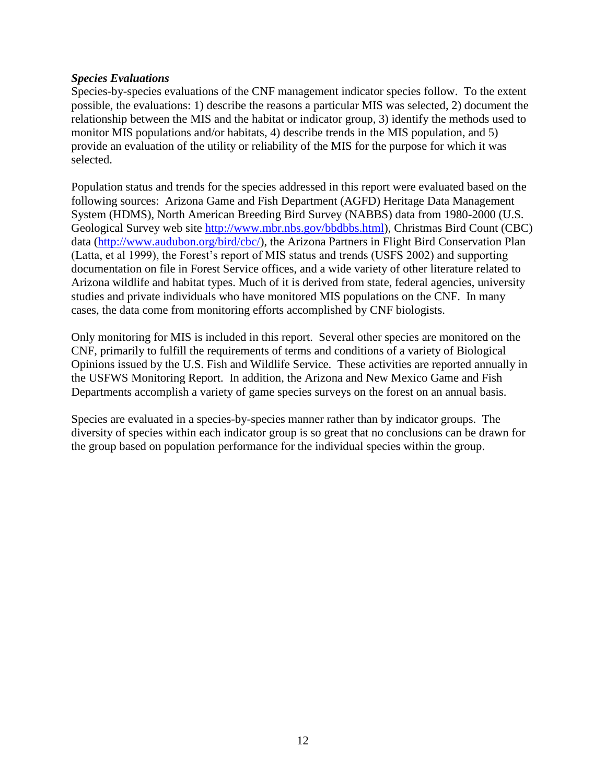#### <span id="page-11-0"></span>*Species Evaluations*

Species-by-species evaluations of the CNF management indicator species follow. To the extent possible, the evaluations: 1) describe the reasons a particular MIS was selected, 2) document the relationship between the MIS and the habitat or indicator group, 3) identify the methods used to monitor MIS populations and/or habitats, 4) describe trends in the MIS population, and 5) provide an evaluation of the utility or reliability of the MIS for the purpose for which it was selected.

Population status and trends for the species addressed in this report were evaluated based on the following sources: Arizona Game and Fish Department (AGFD) Heritage Data Management System (HDMS), North American Breeding Bird Survey (NABBS) data from 1980-2000 (U.S. Geological Survey web site [http://www.mbr.nbs.gov/bbdbbs.html\)](http://www.mbr.nbs.gov/bbdbbs.html), Christmas Bird Count (CBC) data [\(http://www.audubon.org/bird/cbc/\)](http://www.audubon.org/bird/cbc/), the Arizona Partners in Flight Bird Conservation Plan (Latta, et al 1999), the Forest's report of MIS status and trends (USFS 2002) and supporting documentation on file in Forest Service offices, and a wide variety of other literature related to Arizona wildlife and habitat types. Much of it is derived from state, federal agencies, university studies and private individuals who have monitored MIS populations on the CNF. In many cases, the data come from monitoring efforts accomplished by CNF biologists.

Only monitoring for MIS is included in this report. Several other species are monitored on the CNF, primarily to fulfill the requirements of terms and conditions of a variety of Biological Opinions issued by the U.S. Fish and Wildlife Service. These activities are reported annually in the USFWS Monitoring Report. In addition, the Arizona and New Mexico Game and Fish Departments accomplish a variety of game species surveys on the forest on an annual basis.

Species are evaluated in a species-by-species manner rather than by indicator groups. The diversity of species within each indicator group is so great that no conclusions can be drawn for the group based on population performance for the individual species within the group.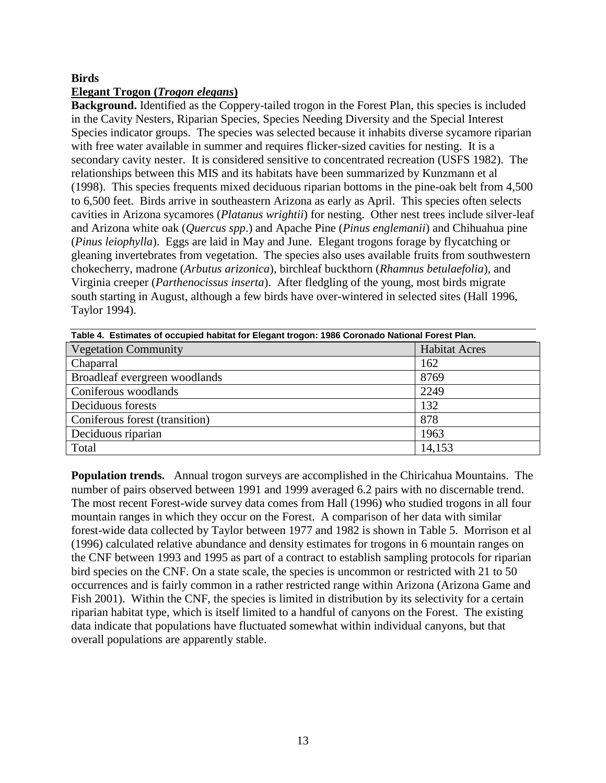### <span id="page-12-0"></span>**Birds**

## <span id="page-12-1"></span>**Elegant Trogon (***Trogon elegans***)**

**Background.** Identified as the Coppery-tailed trogon in the Forest Plan, this species is included in the Cavity Nesters, Riparian Species, Species Needing Diversity and the Special Interest Species indicator groups. The species was selected because it inhabits diverse sycamore riparian with free water available in summer and requires flicker-sized cavities for nesting. It is a secondary cavity nester. It is considered sensitive to concentrated recreation (USFS 1982). The relationships between this MIS and its habitats have been summarized by Kunzmann et al (1998). This species frequents mixed deciduous riparian bottoms in the pine-oak belt from 4,500 to 6,500 feet. Birds arrive in southeastern Arizona as early as April. This species often selects cavities in Arizona sycamores (*Platanus wrightii*) for nesting. Other nest trees include silver-leaf and Arizona white oak (*Quercus spp*.) and Apache Pine (*Pinus englemanii*) and Chihuahua pine (*Pinus leiophylla*). Eggs are laid in May and June. Elegant trogons forage by flycatching or gleaning invertebrates from vegetation. The species also uses available fruits from southwestern chokecherry, madrone (*Arbutus arizonica*), birchleaf buckthorn (*Rhamnus betulaefolia*), and Virginia creeper (*Parthenocissus inserta*). After fledgling of the young, most birds migrate south starting in August, although a few birds have over-wintered in selected sites (Hall 1996, Taylor 1994).

| Table 4. Estimates of occupied habitat for Elegant trogon: 1986 Coronado National Forest Plan. |                      |  |  |
|------------------------------------------------------------------------------------------------|----------------------|--|--|
| <b>Vegetation Community</b>                                                                    | <b>Habitat Acres</b> |  |  |
| Chaparral                                                                                      | 162                  |  |  |
| Broadleaf evergreen woodlands                                                                  | 8769                 |  |  |
| Coniferous woodlands                                                                           | 2249                 |  |  |
| Deciduous forests                                                                              | 132                  |  |  |
| Coniferous forest (transition)                                                                 | 878                  |  |  |
| Deciduous riparian                                                                             | 1963                 |  |  |
| Total                                                                                          | 14,153               |  |  |

**Population trends.** Annual trogon surveys are accomplished in the Chiricahua Mountains. The number of pairs observed between 1991 and 1999 averaged 6.2 pairs with no discernable trend. The most recent Forest-wide survey data comes from Hall (1996) who studied trogons in all four mountain ranges in which they occur on the Forest. A comparison of her data with similar forest-wide data collected by Taylor between 1977 and 1982 is shown in Table 5. Morrison et al (1996) calculated relative abundance and density estimates for trogons in 6 mountain ranges on the CNF between 1993 and 1995 as part of a contract to establish sampling protocols for riparian bird species on the CNF. On a state scale, the species is uncommon or restricted with 21 to 50 occurrences and is fairly common in a rather restricted range within Arizona (Arizona Game and Fish 2001). Within the CNF, the species is limited in distribution by its selectivity for a certain riparian habitat type, which is itself limited to a handful of canyons on the Forest. The existing data indicate that populations have fluctuated somewhat within individual canyons, but that overall populations are apparently stable.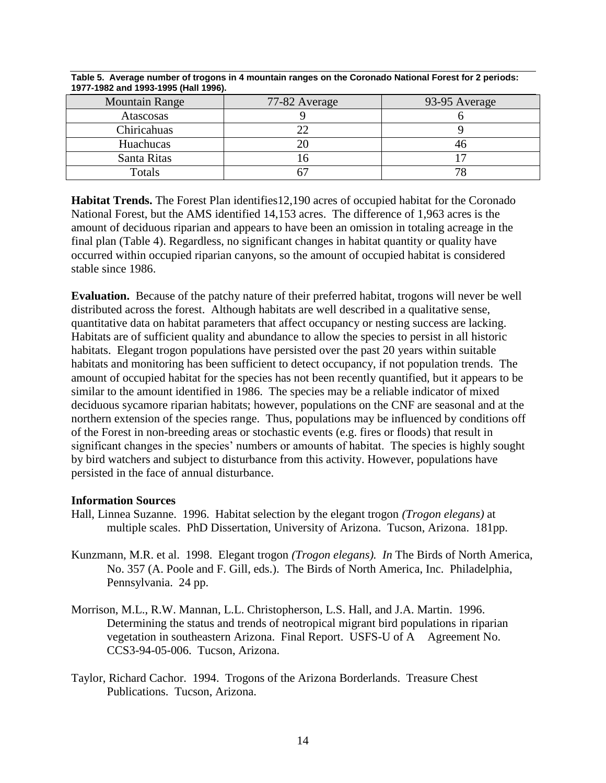| <b>Mountain Range</b> | 77-82 Average | 93-95 Average |
|-----------------------|---------------|---------------|
| Atascosas             |               |               |
| Chiricahuas           |               |               |
| Huachucas             |               | 40            |
| Santa Ritas           |               |               |
| Totals                |               | 78            |

**Table 5. Average number of trogons in 4 mountain ranges on the Coronado National Forest for 2 periods: 1977-1982 and 1993-1995 (Hall 1996).**

**Habitat Trends.** The Forest Plan identifies12,190 acres of occupied habitat for the Coronado National Forest, but the AMS identified 14,153 acres. The difference of 1,963 acres is the amount of deciduous riparian and appears to have been an omission in totaling acreage in the final plan (Table 4). Regardless, no significant changes in habitat quantity or quality have occurred within occupied riparian canyons, so the amount of occupied habitat is considered stable since 1986.

**Evaluation.** Because of the patchy nature of their preferred habitat, trogons will never be well distributed across the forest. Although habitats are well described in a qualitative sense, quantitative data on habitat parameters that affect occupancy or nesting success are lacking. Habitats are of sufficient quality and abundance to allow the species to persist in all historic habitats. Elegant trogon populations have persisted over the past 20 years within suitable habitats and monitoring has been sufficient to detect occupancy, if not population trends. The amount of occupied habitat for the species has not been recently quantified, but it appears to be similar to the amount identified in 1986. The species may be a reliable indicator of mixed deciduous sycamore riparian habitats; however, populations on the CNF are seasonal and at the northern extension of the species range. Thus, populations may be influenced by conditions off of the Forest in non-breeding areas or stochastic events (e.g. fires or floods) that result in significant changes in the species' numbers or amounts of habitat. The species is highly sought by bird watchers and subject to disturbance from this activity. However, populations have persisted in the face of annual disturbance.

### **Information Sources**

- Hall, Linnea Suzanne. 1996. Habitat selection by the elegant trogon *(Trogon elegans)* at multiple scales. PhD Dissertation, University of Arizona. Tucson, Arizona. 181pp.
- Kunzmann, M.R. et al. 1998. Elegant trogon *(Trogon elegans). In* The Birds of North America, No. 357 (A. Poole and F. Gill, eds.). The Birds of North America, Inc. Philadelphia, Pennsylvania. 24 pp.
- Morrison, M.L., R.W. Mannan, L.L. Christopherson, L.S. Hall, and J.A. Martin. 1996. Determining the status and trends of neotropical migrant bird populations in riparian vegetation in southeastern Arizona. Final Report. USFS-U of A Agreement No. CCS3-94-05-006. Tucson, Arizona.
- Taylor, Richard Cachor. 1994. Trogons of the Arizona Borderlands. Treasure Chest Publications. Tucson, Arizona.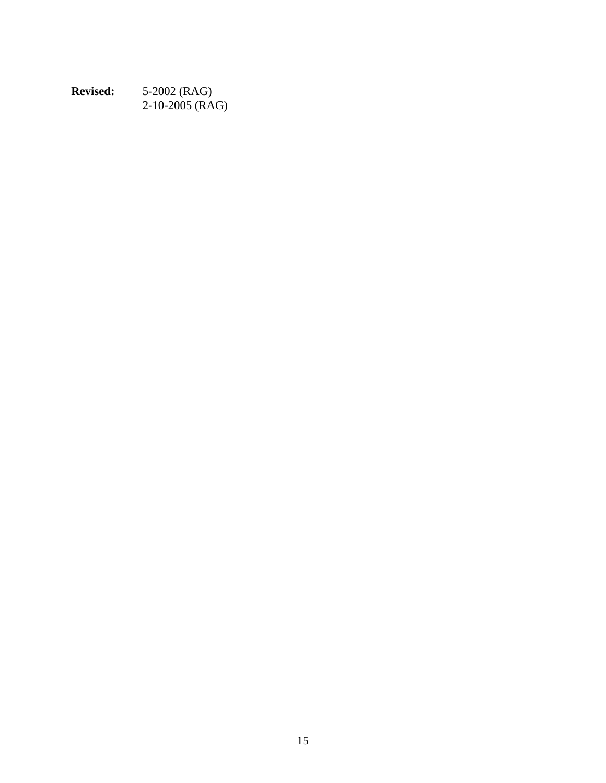| <b>Revised:</b> | 5-2002 (RAG)      |
|-----------------|-------------------|
|                 | $2-10-2005$ (RAG) |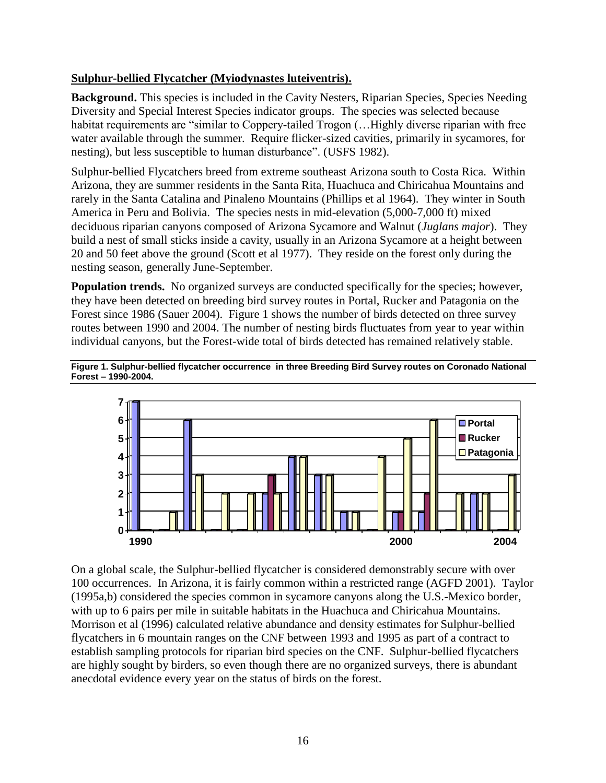# <span id="page-15-0"></span>**Sulphur-bellied Flycatcher (Myiodynastes luteiventris).**

**Background.** This species is included in the Cavity Nesters, Riparian Species, Species Needing Diversity and Special Interest Species indicator groups. The species was selected because habitat requirements are "similar to Coppery-tailed Trogon (... Highly diverse riparian with free water available through the summer. Require flicker-sized cavities, primarily in sycamores, for nesting), but less susceptible to human disturbance". (USFS 1982).

Sulphur-bellied Flycatchers breed from extreme southeast Arizona south to Costa Rica. Within Arizona, they are summer residents in the Santa Rita, Huachuca and Chiricahua Mountains and rarely in the Santa Catalina and Pinaleno Mountains (Phillips et al 1964). They winter in South America in Peru and Bolivia. The species nests in mid-elevation (5,000-7,000 ft) mixed deciduous riparian canyons composed of Arizona Sycamore and Walnut (*Juglans major*). They build a nest of small sticks inside a cavity, usually in an Arizona Sycamore at a height between 20 and 50 feet above the ground (Scott et al 1977). They reside on the forest only during the nesting season, generally June-September.

**Population trends.** No organized surveys are conducted specifically for the species; however, they have been detected on breeding bird survey routes in Portal, Rucker and Patagonia on the Forest since 1986 (Sauer 2004). Figure 1 shows the number of birds detected on three survey routes between 1990 and 2004. The number of nesting birds fluctuates from year to year within individual canyons, but the Forest-wide total of birds detected has remained relatively stable.



**Figure 1. Sulphur-bellied flycatcher occurrence in three Breeding Bird Survey routes on Coronado National Forest – 1990-2004.**

On a global scale, the Sulphur-bellied flycatcher is considered demonstrably secure with over 100 occurrences. In Arizona, it is fairly common within a restricted range (AGFD 2001). Taylor (1995a,b) considered the species common in sycamore canyons along the U.S.-Mexico border, with up to 6 pairs per mile in suitable habitats in the Huachuca and Chiricahua Mountains. Morrison et al (1996) calculated relative abundance and density estimates for Sulphur-bellied flycatchers in 6 mountain ranges on the CNF between 1993 and 1995 as part of a contract to establish sampling protocols for riparian bird species on the CNF. Sulphur-bellied flycatchers are highly sought by birders, so even though there are no organized surveys, there is abundant anecdotal evidence every year on the status of birds on the forest.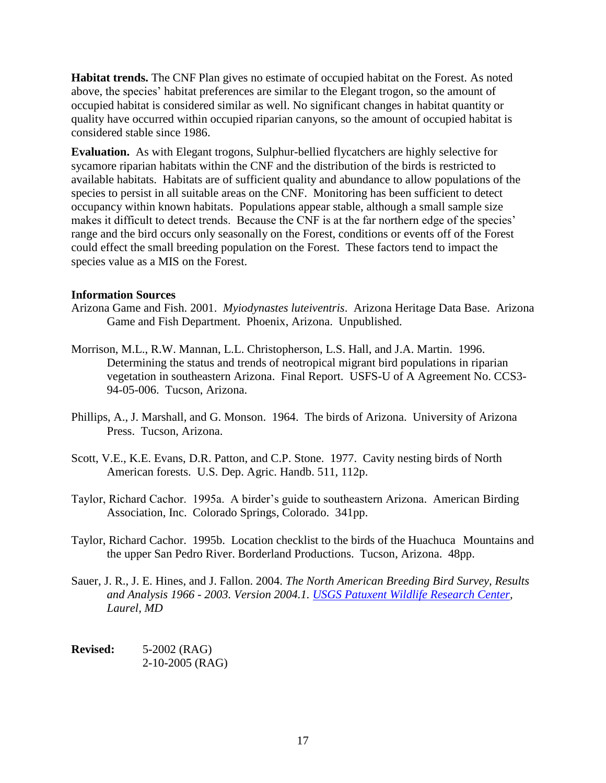**Habitat trends.** The CNF Plan gives no estimate of occupied habitat on the Forest. As noted above, the species' habitat preferences are similar to the Elegant trogon, so the amount of occupied habitat is considered similar as well. No significant changes in habitat quantity or quality have occurred within occupied riparian canyons, so the amount of occupied habitat is considered stable since 1986.

**Evaluation.** As with Elegant trogons, Sulphur-bellied flycatchers are highly selective for sycamore riparian habitats within the CNF and the distribution of the birds is restricted to available habitats. Habitats are of sufficient quality and abundance to allow populations of the species to persist in all suitable areas on the CNF. Monitoring has been sufficient to detect occupancy within known habitats. Populations appear stable, although a small sample size makes it difficult to detect trends. Because the CNF is at the far northern edge of the species' range and the bird occurs only seasonally on the Forest, conditions or events off of the Forest could effect the small breeding population on the Forest. These factors tend to impact the species value as a MIS on the Forest.

### **Information Sources**

- Arizona Game and Fish. 2001. *Myiodynastes luteiventris*. Arizona Heritage Data Base. Arizona Game and Fish Department. Phoenix, Arizona. Unpublished.
- Morrison, M.L., R.W. Mannan, L.L. Christopherson, L.S. Hall, and J.A. Martin. 1996. Determining the status and trends of neotropical migrant bird populations in riparian vegetation in southeastern Arizona. Final Report. USFS-U of A Agreement No. CCS3- 94-05-006. Tucson, Arizona.
- Phillips, A., J. Marshall, and G. Monson. 1964. The birds of Arizona. University of Arizona Press. Tucson, Arizona.
- Scott, V.E., K.E. Evans, D.R. Patton, and C.P. Stone. 1977. Cavity nesting birds of North American forests. U.S. Dep. Agric. Handb. 511, 112p.
- Taylor, Richard Cachor. 1995a. A birder's guide to southeastern Arizona. American Birding Association, Inc. Colorado Springs, Colorado. 341pp.
- Taylor, Richard Cachor. 1995b. Location checklist to the birds of the Huachuca Mountains and the upper San Pedro River. Borderland Productions. Tucson, Arizona. 48pp.
- Sauer, J. R., J. E. Hines, and J. Fallon. 2004. *The North American Breeding Bird Survey, Results and Analysis 1966 - 2003. Version 2004.1. [USGS Patuxent Wildlife Research Center,](http://www.pwrc.usgs.gov/) Laurel, MD*

<span id="page-16-0"></span>**Revised:** 5-2002 (RAG) 2-10-2005 (RAG)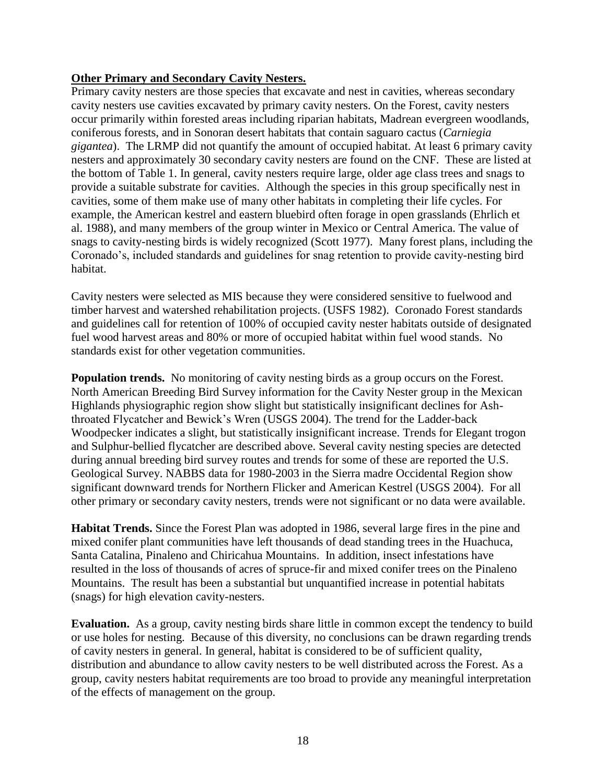## **Other Primary and Secondary Cavity Nesters.**

Primary cavity nesters are those species that excavate and nest in cavities, whereas secondary cavity nesters use cavities excavated by primary cavity nesters. On the Forest, cavity nesters occur primarily within forested areas including riparian habitats, Madrean evergreen woodlands, coniferous forests, and in Sonoran desert habitats that contain saguaro cactus (*Carniegia gigantea*). The LRMP did not quantify the amount of occupied habitat. At least 6 primary cavity nesters and approximately 30 secondary cavity nesters are found on the CNF. These are listed at the bottom of Table 1. In general, cavity nesters require large, older age class trees and snags to provide a suitable substrate for cavities. Although the species in this group specifically nest in cavities, some of them make use of many other habitats in completing their life cycles. For example, the American kestrel and eastern bluebird often forage in open grasslands (Ehrlich et al. 1988), and many members of the group winter in Mexico or Central America. The value of snags to cavity-nesting birds is widely recognized (Scott 1977). Many forest plans, including the Coronado's, included standards and guidelines for snag retention to provide cavity-nesting bird habitat.

Cavity nesters were selected as MIS because they were considered sensitive to fuelwood and timber harvest and watershed rehabilitation projects. (USFS 1982). Coronado Forest standards and guidelines call for retention of 100% of occupied cavity nester habitats outside of designated fuel wood harvest areas and 80% or more of occupied habitat within fuel wood stands. No standards exist for other vegetation communities.

**Population trends.** No monitoring of cavity nesting birds as a group occurs on the Forest. North American Breeding Bird Survey information for the Cavity Nester group in the Mexican Highlands physiographic region show slight but statistically insignificant declines for Ashthroated Flycatcher and Bewick's Wren (USGS 2004). The trend for the Ladder-back Woodpecker indicates a slight, but statistically insignificant increase. Trends for Elegant trogon and Sulphur-bellied flycatcher are described above. Several cavity nesting species are detected during annual breeding bird survey routes and trends for some of these are reported the U.S. Geological Survey. NABBS data for 1980-2003 in the Sierra madre Occidental Region show significant downward trends for Northern Flicker and American Kestrel (USGS 2004). For all other primary or secondary cavity nesters, trends were not significant or no data were available.

**Habitat Trends.** Since the Forest Plan was adopted in 1986, several large fires in the pine and mixed conifer plant communities have left thousands of dead standing trees in the Huachuca, Santa Catalina, Pinaleno and Chiricahua Mountains. In addition, insect infestations have resulted in the loss of thousands of acres of spruce-fir and mixed conifer trees on the Pinaleno Mountains. The result has been a substantial but unquantified increase in potential habitats (snags) for high elevation cavity-nesters.

**Evaluation.** As a group, cavity nesting birds share little in common except the tendency to build or use holes for nesting. Because of this diversity, no conclusions can be drawn regarding trends of cavity nesters in general. In general, habitat is considered to be of sufficient quality, distribution and abundance to allow cavity nesters to be well distributed across the Forest. As a group, cavity nesters habitat requirements are too broad to provide any meaningful interpretation of the effects of management on the group.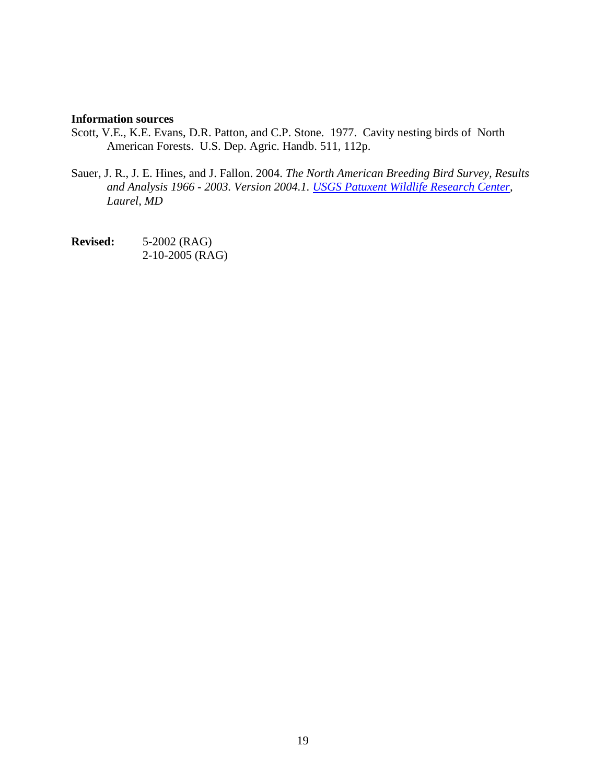#### **Information sources**

- Scott, V.E., K.E. Evans, D.R. Patton, and C.P. Stone. 1977. Cavity nesting birds of North American Forests. U.S. Dep. Agric. Handb. 511, 112p.
- Sauer, J. R., J. E. Hines, and J. Fallon. 2004. *The North American Breeding Bird Survey, Results and Analysis 1966 - 2003. Version 2004.1. [USGS Patuxent Wildlife Research Center,](http://www.pwrc.usgs.gov/) Laurel, MD*

**Revised:** 5-2002 (RAG) 2-10-2005 (RAG)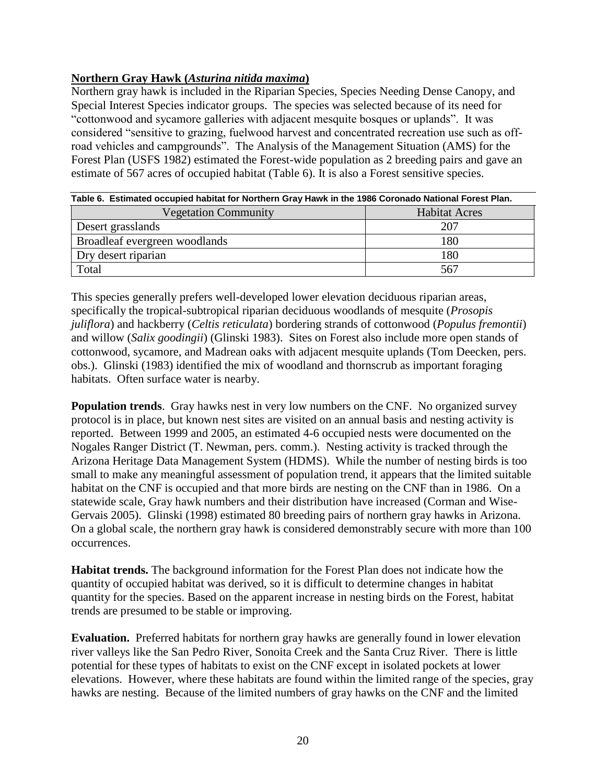# <span id="page-19-0"></span>**Northern Gray Hawk (***Asturina nitida maxima***)**

Northern gray hawk is included in the Riparian Species, Species Needing Dense Canopy, and Special Interest Species indicator groups. The species was selected because of its need for "cottonwood and sycamore galleries with adjacent mesquite bosques or uplands". It was considered "sensitive to grazing, fuelwood harvest and concentrated recreation use such as offroad vehicles and campgrounds". The Analysis of the Management Situation (AMS) for the Forest Plan (USFS 1982) estimated the Forest-wide population as 2 breeding pairs and gave an estimate of 567 acres of occupied habitat (Table 6). It is also a Forest sensitive species.

| Table 6. Estimated occupied habitat for Northern Gray Hawk in the 1986 Coronado National Forest Plan. |                      |  |
|-------------------------------------------------------------------------------------------------------|----------------------|--|
| <b>Vegetation Community</b>                                                                           | <b>Habitat Acres</b> |  |
| Desert grasslands                                                                                     | 207                  |  |
| Broadleaf evergreen woodlands                                                                         | 180                  |  |
| Dry desert riparian                                                                                   | 180                  |  |
| Total                                                                                                 | 567                  |  |

This species generally prefers well-developed lower elevation deciduous riparian areas, specifically the tropical-subtropical riparian deciduous woodlands of mesquite (*Prosopis juliflora*) and hackberry (*Celtis reticulata*) bordering strands of cottonwood (*Populus fremontii*) and willow (*Salix goodingii*) (Glinski 1983). Sites on Forest also include more open stands of cottonwood, sycamore, and Madrean oaks with adjacent mesquite uplands (Tom Deecken, pers. obs.). Glinski (1983) identified the mix of woodland and thornscrub as important foraging habitats. Often surface water is nearby.

**Population trends**. Gray hawks nest in very low numbers on the CNF. No organized survey protocol is in place, but known nest sites are visited on an annual basis and nesting activity is reported. Between 1999 and 2005, an estimated 4-6 occupied nests were documented on the Nogales Ranger District (T. Newman, pers. comm.). Nesting activity is tracked through the Arizona Heritage Data Management System (HDMS). While the number of nesting birds is too small to make any meaningful assessment of population trend, it appears that the limited suitable habitat on the CNF is occupied and that more birds are nesting on the CNF than in 1986. On a statewide scale, Gray hawk numbers and their distribution have increased (Corman and Wise-Gervais 2005). Glinski (1998) estimated 80 breeding pairs of northern gray hawks in Arizona. On a global scale, the northern gray hawk is considered demonstrably secure with more than 100 occurrences.

**Habitat trends.** The background information for the Forest Plan does not indicate how the quantity of occupied habitat was derived, so it is difficult to determine changes in habitat quantity for the species. Based on the apparent increase in nesting birds on the Forest, habitat trends are presumed to be stable or improving.

**Evaluation.** Preferred habitats for northern gray hawks are generally found in lower elevation river valleys like the San Pedro River, Sonoita Creek and the Santa Cruz River. There is little potential for these types of habitats to exist on the CNF except in isolated pockets at lower elevations. However, where these habitats are found within the limited range of the species, gray hawks are nesting. Because of the limited numbers of gray hawks on the CNF and the limited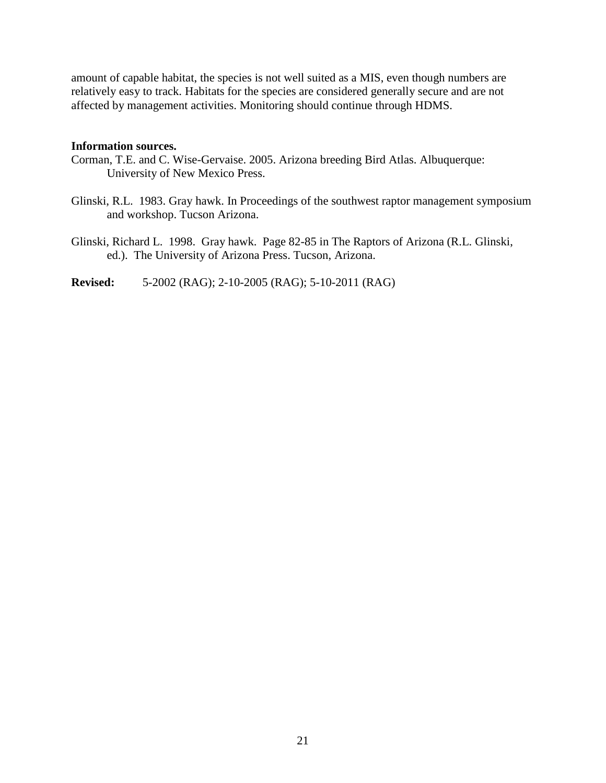amount of capable habitat, the species is not well suited as a MIS, even though numbers are relatively easy to track. Habitats for the species are considered generally secure and are not affected by management activities. Monitoring should continue through HDMS.

#### **Information sources.**

- Corman, T.E. and C. Wise-Gervaise. 2005. Arizona breeding Bird Atlas. Albuquerque: University of New Mexico Press.
- Glinski, R.L. 1983. Gray hawk. In Proceedings of the southwest raptor management symposium and workshop. Tucson Arizona.
- Glinski, Richard L. 1998. Gray hawk. Page 82-85 in The Raptors of Arizona (R.L. Glinski, ed.). The University of Arizona Press. Tucson, Arizona.

**Revised:** 5-2002 (RAG); 2-10-2005 (RAG); 5-10-2011 (RAG)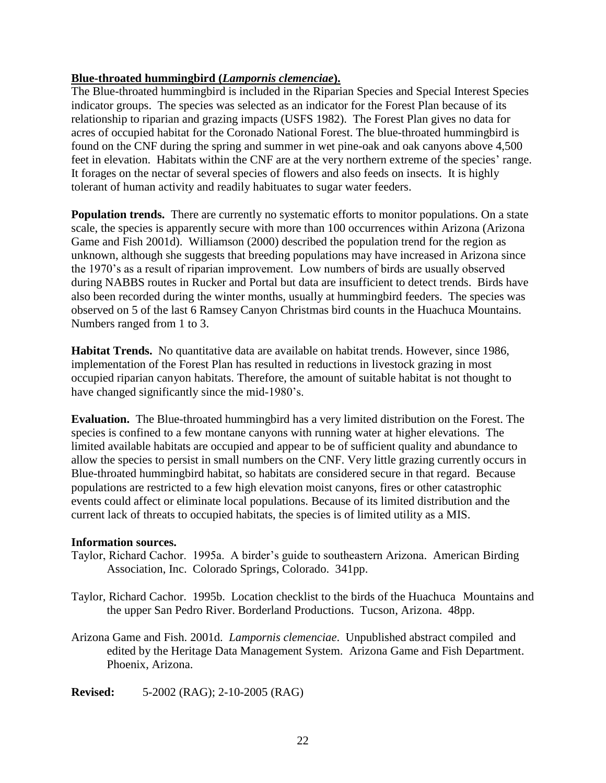## <span id="page-21-0"></span>**Blue-throated hummingbird (***Lampornis clemenciae***).**

The Blue-throated hummingbird is included in the Riparian Species and Special Interest Species indicator groups. The species was selected as an indicator for the Forest Plan because of its relationship to riparian and grazing impacts (USFS 1982). The Forest Plan gives no data for acres of occupied habitat for the Coronado National Forest. The blue-throated hummingbird is found on the CNF during the spring and summer in wet pine-oak and oak canyons above 4,500 feet in elevation. Habitats within the CNF are at the very northern extreme of the species' range. It forages on the nectar of several species of flowers and also feeds on insects. It is highly tolerant of human activity and readily habituates to sugar water feeders.

**Population trends.** There are currently no systematic efforts to monitor populations. On a state scale, the species is apparently secure with more than 100 occurrences within Arizona (Arizona Game and Fish 2001d). Williamson (2000) described the population trend for the region as unknown, although she suggests that breeding populations may have increased in Arizona since the 1970's as a result of riparian improvement. Low numbers of birds are usually observed during NABBS routes in Rucker and Portal but data are insufficient to detect trends. Birds have also been recorded during the winter months, usually at hummingbird feeders. The species was observed on 5 of the last 6 Ramsey Canyon Christmas bird counts in the Huachuca Mountains. Numbers ranged from 1 to 3.

**Habitat Trends.** No quantitative data are available on habitat trends. However, since 1986, implementation of the Forest Plan has resulted in reductions in livestock grazing in most occupied riparian canyon habitats. Therefore, the amount of suitable habitat is not thought to have changed significantly since the mid-1980's.

**Evaluation.** The Blue-throated hummingbird has a very limited distribution on the Forest. The species is confined to a few montane canyons with running water at higher elevations. The limited available habitats are occupied and appear to be of sufficient quality and abundance to allow the species to persist in small numbers on the CNF. Very little grazing currently occurs in Blue-throated hummingbird habitat, so habitats are considered secure in that regard. Because populations are restricted to a few high elevation moist canyons, fires or other catastrophic events could affect or eliminate local populations. Because of its limited distribution and the current lack of threats to occupied habitats, the species is of limited utility as a MIS.

### **Information sources.**

- Taylor, Richard Cachor. 1995a. A birder's guide to southeastern Arizona. American Birding Association, Inc. Colorado Springs, Colorado. 341pp.
- Taylor, Richard Cachor. 1995b. Location checklist to the birds of the Huachuca Mountains and the upper San Pedro River. Borderland Productions. Tucson, Arizona. 48pp.
- Arizona Game and Fish. 2001d. *Lampornis clemenciae*. Unpublished abstract compiled and edited by the Heritage Data Management System. Arizona Game and Fish Department. Phoenix, Arizona.

**Revised:** 5-2002 (RAG); 2-10-2005 (RAG)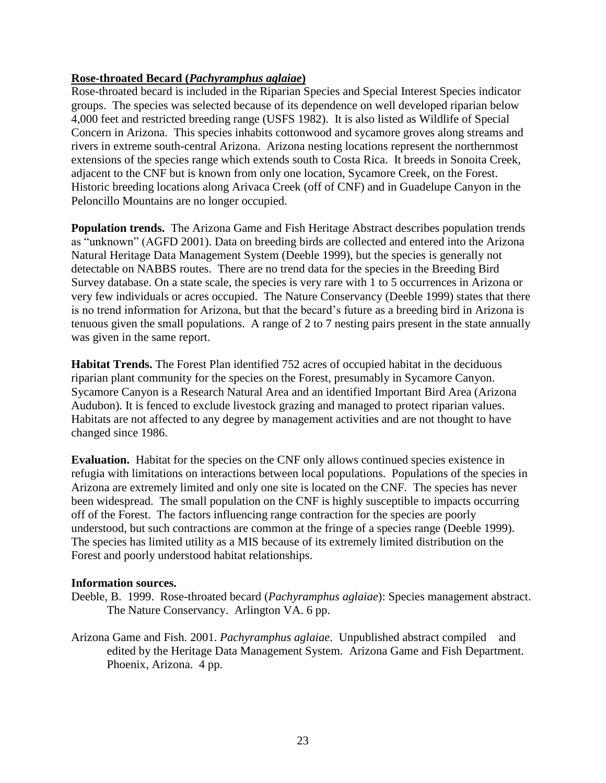## <span id="page-22-0"></span>**Rose-throated Becard (***Pachyramphus aglaiae***)**

Rose-throated becard is included in the Riparian Species and Special Interest Species indicator groups. The species was selected because of its dependence on well developed riparian below 4,000 feet and restricted breeding range (USFS 1982). It is also listed as Wildlife of Special Concern in Arizona. This species inhabits cottonwood and sycamore groves along streams and rivers in extreme south-central Arizona. Arizona nesting locations represent the northernmost extensions of the species range which extends south to Costa Rica. It breeds in Sonoita Creek, adjacent to the CNF but is known from only one location, Sycamore Creek, on the Forest. Historic breeding locations along Arivaca Creek (off of CNF) and in Guadelupe Canyon in the Peloncillo Mountains are no longer occupied.

**Population trends.** The Arizona Game and Fish Heritage Abstract describes population trends as "unknown" (AGFD 2001). Data on breeding birds are collected and entered into the Arizona Natural Heritage Data Management System (Deeble 1999), but the species is generally not detectable on NABBS routes. There are no trend data for the species in the Breeding Bird Survey database. On a state scale, the species is very rare with 1 to 5 occurrences in Arizona or very few individuals or acres occupied. The Nature Conservancy (Deeble 1999) states that there is no trend information for Arizona, but that the becard's future as a breeding bird in Arizona is tenuous given the small populations. A range of 2 to 7 nesting pairs present in the state annually was given in the same report.

**Habitat Trends.** The Forest Plan identified 752 acres of occupied habitat in the deciduous riparian plant community for the species on the Forest, presumably in Sycamore Canyon. Sycamore Canyon is a Research Natural Area and an identified Important Bird Area (Arizona Audubon). It is fenced to exclude livestock grazing and managed to protect riparian values. Habitats are not affected to any degree by management activities and are not thought to have changed since 1986.

**Evaluation.** Habitat for the species on the CNF only allows continued species existence in refugia with limitations on interactions between local populations. Populations of the species in Arizona are extremely limited and only one site is located on the CNF. The species has never been widespread. The small population on the CNF is highly susceptible to impacts occurring off of the Forest. The factors influencing range contraction for the species are poorly understood, but such contractions are common at the fringe of a species range (Deeble 1999). The species has limited utility as a MIS because of its extremely limited distribution on the Forest and poorly understood habitat relationships.

#### **Information sources.**

- Deeble, B. 1999. Rose-throated becard (*Pachyramphus aglaiae*): Species management abstract. The Nature Conservancy. Arlington VA. 6 pp.
- Arizona Game and Fish. 2001. *Pachyramphus aglaiae*. Unpublished abstract compiled and edited by the Heritage Data Management System. Arizona Game and Fish Department. Phoenix, Arizona. 4 pp.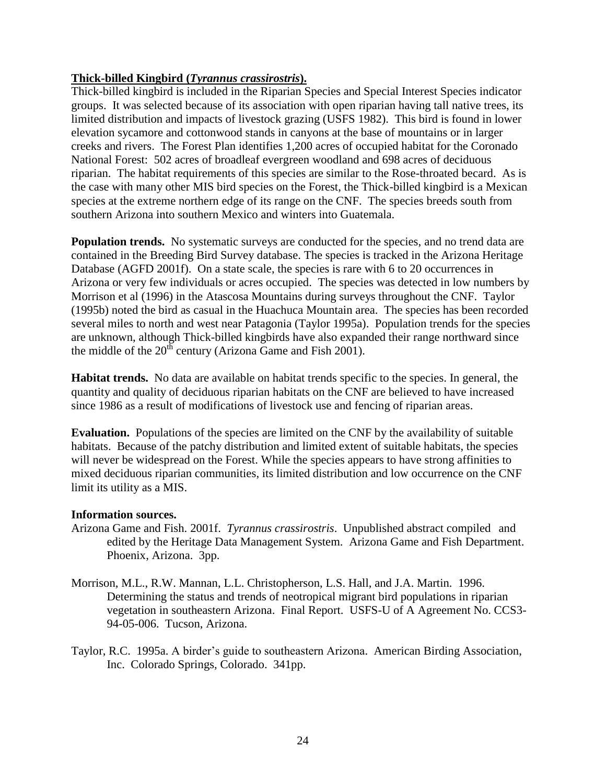## <span id="page-23-0"></span>**Thick-billed Kingbird (***Tyrannus crassirostris***).**

Thick-billed kingbird is included in the Riparian Species and Special Interest Species indicator groups. It was selected because of its association with open riparian having tall native trees, its limited distribution and impacts of livestock grazing (USFS 1982). This bird is found in lower elevation sycamore and cottonwood stands in canyons at the base of mountains or in larger creeks and rivers. The Forest Plan identifies 1,200 acres of occupied habitat for the Coronado National Forest: 502 acres of broadleaf evergreen woodland and 698 acres of deciduous riparian. The habitat requirements of this species are similar to the Rose-throated becard. As is the case with many other MIS bird species on the Forest, the Thick-billed kingbird is a Mexican species at the extreme northern edge of its range on the CNF. The species breeds south from southern Arizona into southern Mexico and winters into Guatemala.

**Population trends.** No systematic surveys are conducted for the species, and no trend data are contained in the Breeding Bird Survey database. The species is tracked in the Arizona Heritage Database (AGFD 2001f). On a state scale, the species is rare with 6 to 20 occurrences in Arizona or very few individuals or acres occupied. The species was detected in low numbers by Morrison et al (1996) in the Atascosa Mountains during surveys throughout the CNF. Taylor (1995b) noted the bird as casual in the Huachuca Mountain area. The species has been recorded several miles to north and west near Patagonia (Taylor 1995a). Population trends for the species are unknown, although Thick-billed kingbirds have also expanded their range northward since the middle of the  $20^{t}$  century (Arizona Game and Fish 2001).

**Habitat trends.** No data are available on habitat trends specific to the species. In general, the quantity and quality of deciduous riparian habitats on the CNF are believed to have increased since 1986 as a result of modifications of livestock use and fencing of riparian areas.

**Evaluation.** Populations of the species are limited on the CNF by the availability of suitable habitats. Because of the patchy distribution and limited extent of suitable habitats, the species will never be widespread on the Forest. While the species appears to have strong affinities to mixed deciduous riparian communities, its limited distribution and low occurrence on the CNF limit its utility as a MIS.

### **Information sources.**

- Arizona Game and Fish. 2001f. *Tyrannus crassirostris*. Unpublished abstract compiled and edited by the Heritage Data Management System. Arizona Game and Fish Department. Phoenix, Arizona. 3pp.
- Morrison, M.L., R.W. Mannan, L.L. Christopherson, L.S. Hall, and J.A. Martin. 1996. Determining the status and trends of neotropical migrant bird populations in riparian vegetation in southeastern Arizona. Final Report. USFS-U of A Agreement No. CCS3- 94-05-006. Tucson, Arizona.
- Taylor, R.C. 1995a. A birder's guide to southeastern Arizona. American Birding Association, Inc. Colorado Springs, Colorado. 341pp.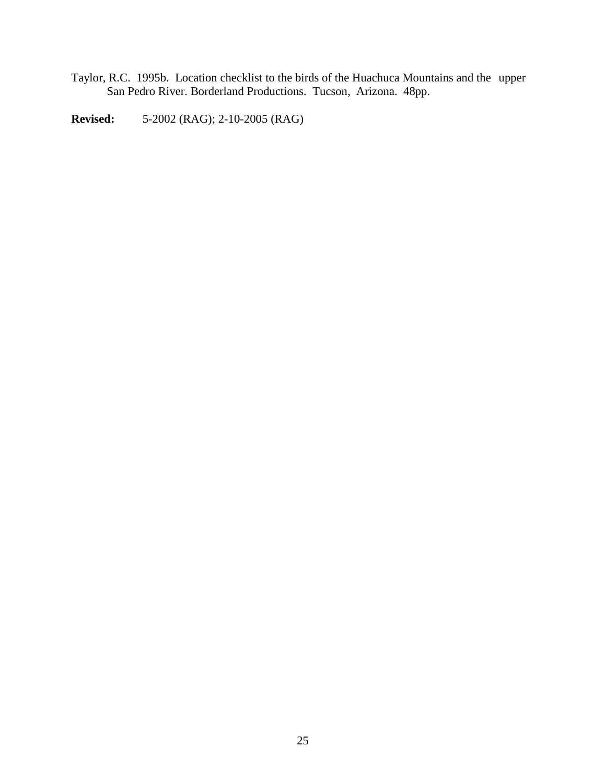Taylor, R.C. 1995b. Location checklist to the birds of the Huachuca Mountains and the upper San Pedro River. Borderland Productions. Tucson, Arizona. 48pp.

**Revised:** 5-2002 (RAG); 2-10-2005 (RAG)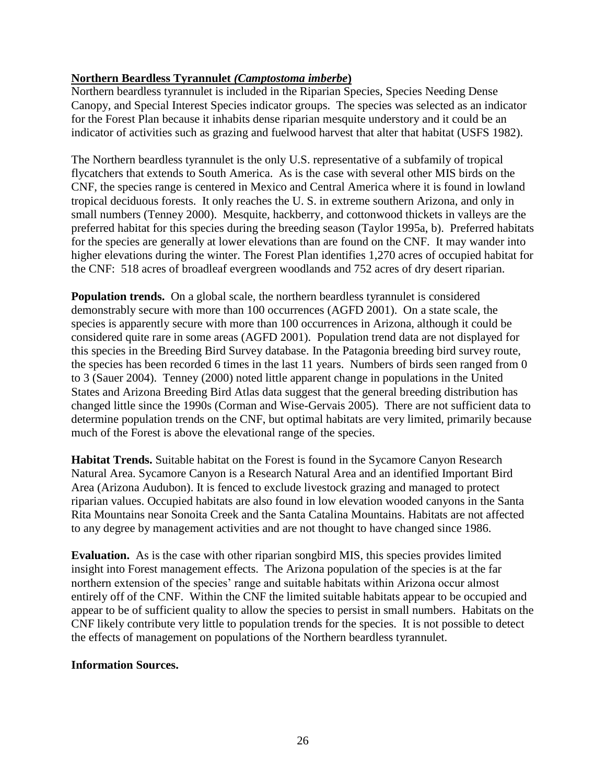# <span id="page-25-0"></span>**Northern Beardless Tyrannulet** *(Camptostoma imberbe***)**

Northern beardless tyrannulet is included in the Riparian Species, Species Needing Dense Canopy, and Special Interest Species indicator groups. The species was selected as an indicator for the Forest Plan because it inhabits dense riparian mesquite understory and it could be an indicator of activities such as grazing and fuelwood harvest that alter that habitat (USFS 1982).

The Northern beardless tyrannulet is the only U.S. representative of a subfamily of tropical flycatchers that extends to South America. As is the case with several other MIS birds on the CNF, the species range is centered in Mexico and Central America where it is found in lowland tropical deciduous forests. It only reaches the U. S. in extreme southern Arizona, and only in small numbers (Tenney 2000). Mesquite, hackberry, and cottonwood thickets in valleys are the preferred habitat for this species during the breeding season (Taylor 1995a, b). Preferred habitats for the species are generally at lower elevations than are found on the CNF. It may wander into higher elevations during the winter. The Forest Plan identifies 1,270 acres of occupied habitat for the CNF: 518 acres of broadleaf evergreen woodlands and 752 acres of dry desert riparian.

**Population trends.** On a global scale, the northern beardless tyrannulet is considered demonstrably secure with more than 100 occurrences (AGFD 2001). On a state scale, the species is apparently secure with more than 100 occurrences in Arizona, although it could be considered quite rare in some areas (AGFD 2001). Population trend data are not displayed for this species in the Breeding Bird Survey database. In the Patagonia breeding bird survey route, the species has been recorded 6 times in the last 11 years. Numbers of birds seen ranged from 0 to 3 (Sauer 2004). Tenney (2000) noted little apparent change in populations in the United States and Arizona Breeding Bird Atlas data suggest that the general breeding distribution has changed little since the 1990s (Corman and Wise-Gervais 2005). There are not sufficient data to determine population trends on the CNF, but optimal habitats are very limited, primarily because much of the Forest is above the elevational range of the species.

**Habitat Trends.** Suitable habitat on the Forest is found in the Sycamore Canyon Research Natural Area. Sycamore Canyon is a Research Natural Area and an identified Important Bird Area (Arizona Audubon). It is fenced to exclude livestock grazing and managed to protect riparian values. Occupied habitats are also found in low elevation wooded canyons in the Santa Rita Mountains near Sonoita Creek and the Santa Catalina Mountains. Habitats are not affected to any degree by management activities and are not thought to have changed since 1986.

**Evaluation.** As is the case with other riparian songbird MIS, this species provides limited insight into Forest management effects. The Arizona population of the species is at the far northern extension of the species' range and suitable habitats within Arizona occur almost entirely off of the CNF. Within the CNF the limited suitable habitats appear to be occupied and appear to be of sufficient quality to allow the species to persist in small numbers. Habitats on the CNF likely contribute very little to population trends for the species. It is not possible to detect the effects of management on populations of the Northern beardless tyrannulet.

### **Information Sources.**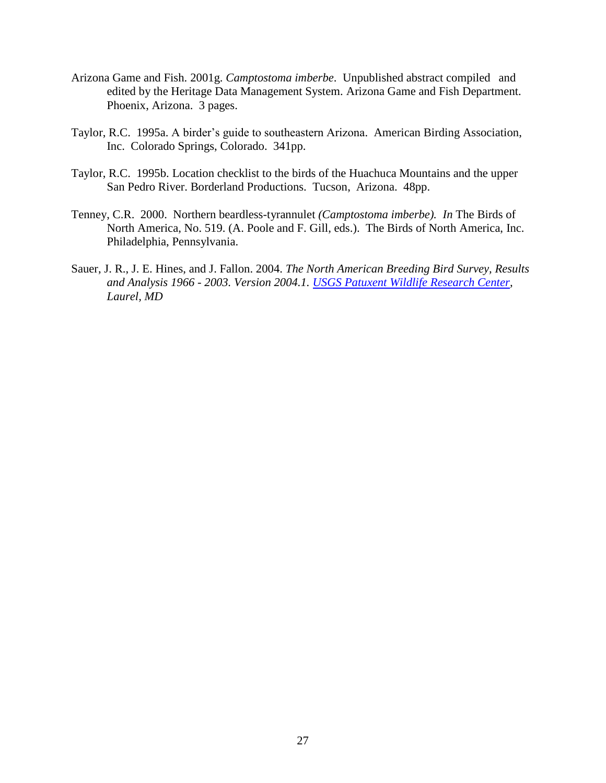- Arizona Game and Fish. 2001g. *Camptostoma imberbe*. Unpublished abstract compiled and edited by the Heritage Data Management System. Arizona Game and Fish Department. Phoenix, Arizona. 3 pages.
- Taylor, R.C. 1995a. A birder's guide to southeastern Arizona. American Birding Association, Inc. Colorado Springs, Colorado. 341pp.
- Taylor, R.C. 1995b. Location checklist to the birds of the Huachuca Mountains and the upper San Pedro River. Borderland Productions. Tucson, Arizona. 48pp.
- Tenney, C.R. 2000. Northern beardless-tyrannulet *(Camptostoma imberbe). In* The Birds of North America, No. 519. (A. Poole and F. Gill, eds.). The Birds of North America, Inc. Philadelphia, Pennsylvania.
- Sauer, J. R., J. E. Hines, and J. Fallon. 2004. *The North American Breeding Bird Survey, Results and Analysis 1966 - 2003. Version 2004.1. [USGS Patuxent Wildlife Research Center,](http://www.pwrc.usgs.gov/) Laurel, MD*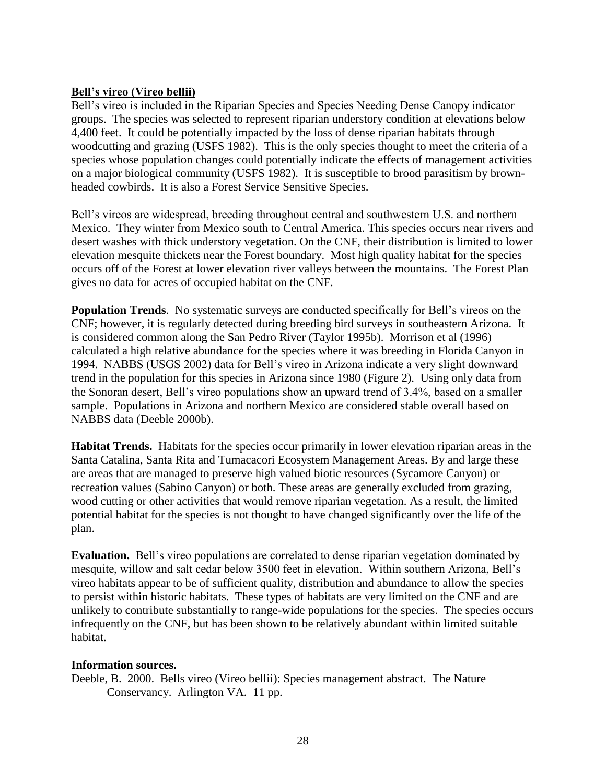## <span id="page-27-0"></span>**Bell's vireo (Vireo bellii)**

Bell's vireo is included in the Riparian Species and Species Needing Dense Canopy indicator groups. The species was selected to represent riparian understory condition at elevations below 4,400 feet. It could be potentially impacted by the loss of dense riparian habitats through woodcutting and grazing (USFS 1982). This is the only species thought to meet the criteria of a species whose population changes could potentially indicate the effects of management activities on a major biological community (USFS 1982). It is susceptible to brood parasitism by brownheaded cowbirds. It is also a Forest Service Sensitive Species.

Bell's vireos are widespread, breeding throughout central and southwestern U.S. and northern Mexico. They winter from Mexico south to Central America. This species occurs near rivers and desert washes with thick understory vegetation. On the CNF, their distribution is limited to lower elevation mesquite thickets near the Forest boundary. Most high quality habitat for the species occurs off of the Forest at lower elevation river valleys between the mountains. The Forest Plan gives no data for acres of occupied habitat on the CNF.

**Population Trends**. No systematic surveys are conducted specifically for Bell's vireos on the CNF; however, it is regularly detected during breeding bird surveys in southeastern Arizona. It is considered common along the San Pedro River (Taylor 1995b). Morrison et al (1996) calculated a high relative abundance for the species where it was breeding in Florida Canyon in 1994. NABBS (USGS 2002) data for Bell's vireo in Arizona indicate a very slight downward trend in the population for this species in Arizona since 1980 (Figure 2). Using only data from the Sonoran desert, Bell's vireo populations show an upward trend of 3.4%, based on a smaller sample. Populations in Arizona and northern Mexico are considered stable overall based on NABBS data (Deeble 2000b).

**Habitat Trends.** Habitats for the species occur primarily in lower elevation riparian areas in the Santa Catalina, Santa Rita and Tumacacori Ecosystem Management Areas. By and large these are areas that are managed to preserve high valued biotic resources (Sycamore Canyon) or recreation values (Sabino Canyon) or both. These areas are generally excluded from grazing, wood cutting or other activities that would remove riparian vegetation. As a result, the limited potential habitat for the species is not thought to have changed significantly over the life of the plan.

**Evaluation.** Bell's vireo populations are correlated to dense riparian vegetation dominated by mesquite, willow and salt cedar below 3500 feet in elevation. Within southern Arizona, Bell's vireo habitats appear to be of sufficient quality, distribution and abundance to allow the species to persist within historic habitats. These types of habitats are very limited on the CNF and are unlikely to contribute substantially to range-wide populations for the species. The species occurs infrequently on the CNF, but has been shown to be relatively abundant within limited suitable habitat.

### **Information sources.**

Deeble, B. 2000. Bells vireo (Vireo bellii): Species management abstract. The Nature Conservancy. Arlington VA. 11 pp.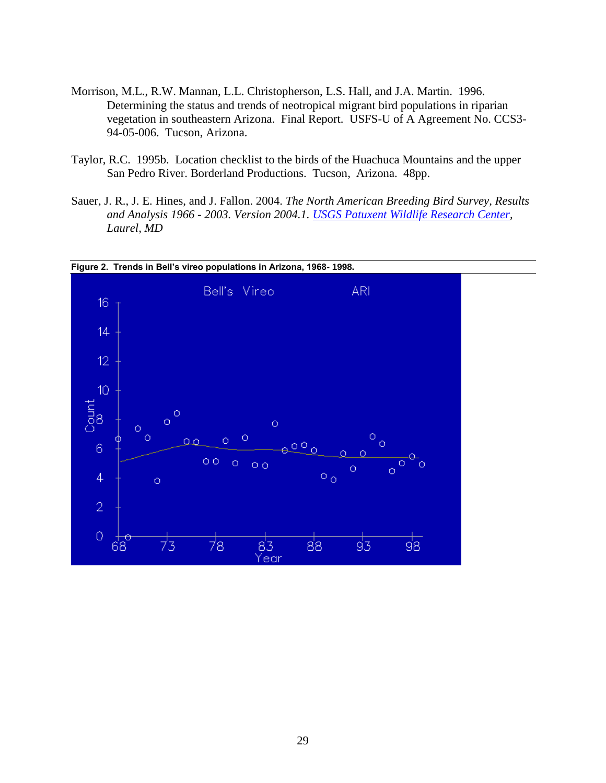- Morrison, M.L., R.W. Mannan, L.L. Christopherson, L.S. Hall, and J.A. Martin. 1996. Determining the status and trends of neotropical migrant bird populations in riparian vegetation in southeastern Arizona. Final Report. USFS-U of A Agreement No. CCS3- 94-05-006. Tucson, Arizona.
- Taylor, R.C. 1995b. Location checklist to the birds of the Huachuca Mountains and the upper San Pedro River. Borderland Productions. Tucson, Arizona. 48pp.
- Sauer, J. R., J. E. Hines, and J. Fallon. 2004. *The North American Breeding Bird Survey, Results and Analysis 1966 - 2003. Version 2004.1. [USGS Patuxent Wildlife Research Center,](http://www.pwrc.usgs.gov/) Laurel, MD*

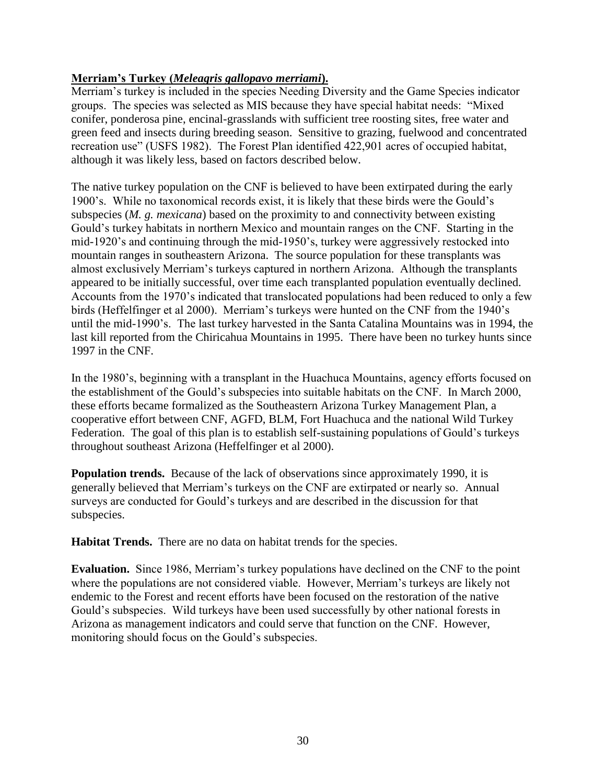# <span id="page-29-0"></span>**Merriam's Turkey (***Meleagris gallopavo merriami***).**

Merriam's turkey is included in the species Needing Diversity and the Game Species indicator groups. The species was selected as MIS because they have special habitat needs: "Mixed conifer, ponderosa pine, encinal-grasslands with sufficient tree roosting sites, free water and green feed and insects during breeding season. Sensitive to grazing, fuelwood and concentrated recreation use" (USFS 1982). The Forest Plan identified 422,901 acres of occupied habitat, although it was likely less, based on factors described below.

The native turkey population on the CNF is believed to have been extirpated during the early 1900's. While no taxonomical records exist, it is likely that these birds were the Gould's subspecies (*M. g. mexicana*) based on the proximity to and connectivity between existing Gould's turkey habitats in northern Mexico and mountain ranges on the CNF. Starting in the mid-1920's and continuing through the mid-1950's, turkey were aggressively restocked into mountain ranges in southeastern Arizona. The source population for these transplants was almost exclusively Merriam's turkeys captured in northern Arizona. Although the transplants appeared to be initially successful, over time each transplanted population eventually declined. Accounts from the 1970's indicated that translocated populations had been reduced to only a few birds (Heffelfinger et al 2000). Merriam's turkeys were hunted on the CNF from the 1940's until the mid-1990's. The last turkey harvested in the Santa Catalina Mountains was in 1994, the last kill reported from the Chiricahua Mountains in 1995. There have been no turkey hunts since 1997 in the CNF.

In the 1980's, beginning with a transplant in the Huachuca Mountains, agency efforts focused on the establishment of the Gould's subspecies into suitable habitats on the CNF. In March 2000, these efforts became formalized as the Southeastern Arizona Turkey Management Plan, a cooperative effort between CNF, AGFD, BLM, Fort Huachuca and the national Wild Turkey Federation. The goal of this plan is to establish self-sustaining populations of Gould's turkeys throughout southeast Arizona (Heffelfinger et al 2000).

**Population trends.** Because of the lack of observations since approximately 1990, it is generally believed that Merriam's turkeys on the CNF are extirpated or nearly so. Annual surveys are conducted for Gould's turkeys and are described in the discussion for that subspecies.

**Habitat Trends.** There are no data on habitat trends for the species.

**Evaluation.** Since 1986, Merriam's turkey populations have declined on the CNF to the point where the populations are not considered viable. However, Merriam's turkeys are likely not endemic to the Forest and recent efforts have been focused on the restoration of the native Gould's subspecies. Wild turkeys have been used successfully by other national forests in Arizona as management indicators and could serve that function on the CNF. However, monitoring should focus on the Gould's subspecies.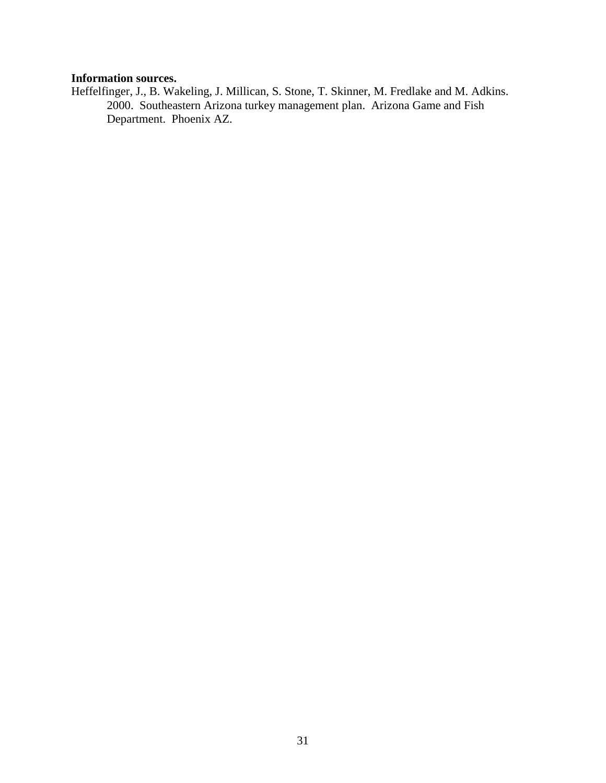# **Information sources.**

Heffelfinger, J., B. Wakeling, J. Millican, S. Stone, T. Skinner, M. Fredlake and M. Adkins. 2000. Southeastern Arizona turkey management plan. Arizona Game and Fish Department. Phoenix AZ.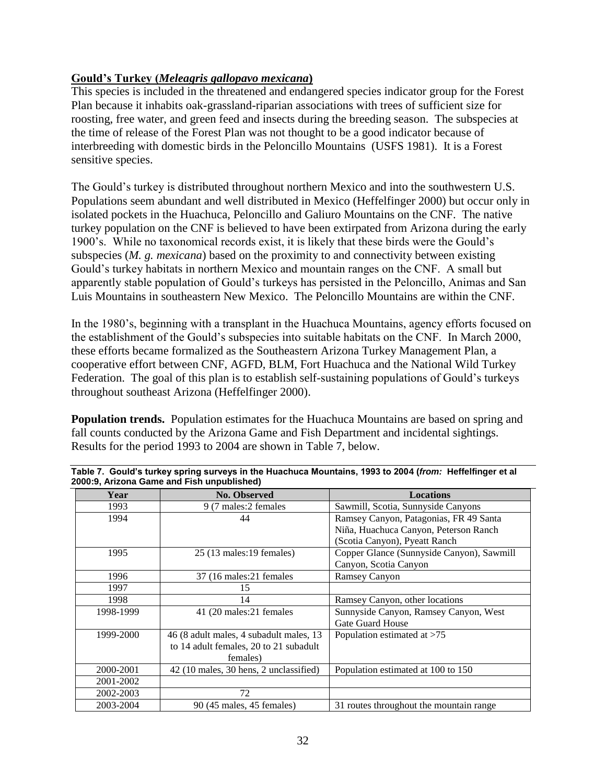## <span id="page-31-0"></span>**Gould's Turkey (***Meleagris gallopavo mexicana***)**

This species is included in the threatened and endangered species indicator group for the Forest Plan because it inhabits oak-grassland-riparian associations with trees of sufficient size for roosting, free water, and green feed and insects during the breeding season. The subspecies at the time of release of the Forest Plan was not thought to be a good indicator because of interbreeding with domestic birds in the Peloncillo Mountains (USFS 1981). It is a Forest sensitive species.

The Gould's turkey is distributed throughout northern Mexico and into the southwestern U.S. Populations seem abundant and well distributed in Mexico (Heffelfinger 2000) but occur only in isolated pockets in the Huachuca, Peloncillo and Galiuro Mountains on the CNF. The native turkey population on the CNF is believed to have been extirpated from Arizona during the early 1900's. While no taxonomical records exist, it is likely that these birds were the Gould's subspecies (*M. g. mexicana*) based on the proximity to and connectivity between existing Gould's turkey habitats in northern Mexico and mountain ranges on the CNF. A small but apparently stable population of Gould's turkeys has persisted in the Peloncillo, Animas and San Luis Mountains in southeastern New Mexico. The Peloncillo Mountains are within the CNF.

In the 1980's, beginning with a transplant in the Huachuca Mountains, agency efforts focused on the establishment of the Gould's subspecies into suitable habitats on the CNF. In March 2000, these efforts became formalized as the Southeastern Arizona Turkey Management Plan, a cooperative effort between CNF, AGFD, BLM, Fort Huachuca and the National Wild Turkey Federation. The goal of this plan is to establish self-sustaining populations of Gould's turkeys throughout southeast Arizona (Heffelfinger 2000).

**Population trends.** Population estimates for the Huachuca Mountains are based on spring and fall counts conducted by the Arizona Game and Fish Department and incidental sightings. Results for the period 1993 to 2004 are shown in Table 7, below.

| Year      | No. Observed                            | <b>Locations</b>                          |
|-----------|-----------------------------------------|-------------------------------------------|
| 1993      | 9 (7 males: 2 females                   | Sawmill, Scotia, Sunnyside Canyons        |
| 1994      | 44                                      | Ramsey Canyon, Patagonias, FR 49 Santa    |
|           |                                         | Niña, Huachuca Canyon, Peterson Ranch     |
|           |                                         | (Scotia Canyon), Pyeatt Ranch             |
| 1995      | 25 (13 males: 19 females)               | Copper Glance (Sunnyside Canyon), Sawmill |
|           |                                         | Canyon, Scotia Canyon                     |
| 1996      | 37 (16 males: 21 females)               | <b>Ramsey Canyon</b>                      |
| 1997      | 15                                      |                                           |
| 1998      | 14                                      | Ramsey Canyon, other locations            |
| 1998-1999 | 41 (20 males: 21 females                | Sunnyside Canyon, Ramsey Canyon, West     |
|           |                                         | Gate Guard House                          |
| 1999-2000 | 46 (8 adult males, 4 subadult males, 13 | Population estimated at >75               |
|           | to 14 adult females, 20 to 21 subadult  |                                           |
|           | females)                                |                                           |
| 2000-2001 | 42 (10 males, 30 hens, 2 unclassified)  | Population estimated at 100 to 150        |
| 2001-2002 |                                         |                                           |
| 2002-2003 | 72                                      |                                           |
| 2003-2004 | 90 (45 males, 45 females)               | 31 routes throughout the mountain range   |

| Table 7. Gould's turkey spring surveys in the Huachuca Mountains, 1993 to 2004 (from: Heffelfinger et al |  |
|----------------------------------------------------------------------------------------------------------|--|
| 2000:9, Arizona Game and Fish unpublished)                                                               |  |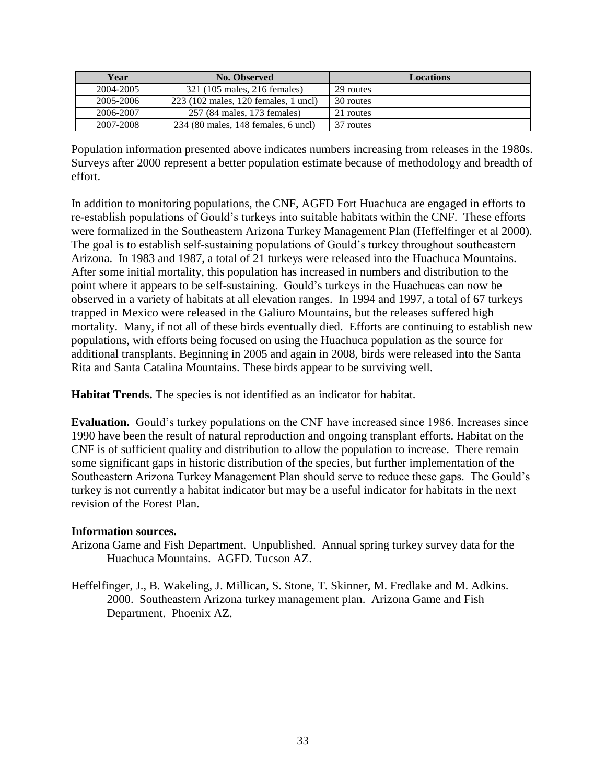| Year      | No. Observed                         | Locations |
|-----------|--------------------------------------|-----------|
| 2004-2005 | 321 (105 males, 216 females)         | 29 routes |
| 2005-2006 | 223 (102 males, 120 females, 1 uncl) | 30 routes |
| 2006-2007 | 257 (84 males, 173 females)          | 21 routes |
| 2007-2008 | 234 (80 males, 148 females, 6 uncl)  | 37 routes |

Population information presented above indicates numbers increasing from releases in the 1980s. Surveys after 2000 represent a better population estimate because of methodology and breadth of effort.

In addition to monitoring populations, the CNF, AGFD Fort Huachuca are engaged in efforts to re-establish populations of Gould's turkeys into suitable habitats within the CNF. These efforts were formalized in the Southeastern Arizona Turkey Management Plan (Heffelfinger et al 2000). The goal is to establish self-sustaining populations of Gould's turkey throughout southeastern Arizona. In 1983 and 1987, a total of 21 turkeys were released into the Huachuca Mountains. After some initial mortality, this population has increased in numbers and distribution to the point where it appears to be self-sustaining. Gould's turkeys in the Huachucas can now be observed in a variety of habitats at all elevation ranges. In 1994 and 1997, a total of 67 turkeys trapped in Mexico were released in the Galiuro Mountains, but the releases suffered high mortality. Many, if not all of these birds eventually died. Efforts are continuing to establish new populations, with efforts being focused on using the Huachuca population as the source for additional transplants. Beginning in 2005 and again in 2008, birds were released into the Santa Rita and Santa Catalina Mountains. These birds appear to be surviving well.

**Habitat Trends.** The species is not identified as an indicator for habitat.

**Evaluation.** Gould's turkey populations on the CNF have increased since 1986. Increases since 1990 have been the result of natural reproduction and ongoing transplant efforts. Habitat on the CNF is of sufficient quality and distribution to allow the population to increase. There remain some significant gaps in historic distribution of the species, but further implementation of the Southeastern Arizona Turkey Management Plan should serve to reduce these gaps. The Gould's turkey is not currently a habitat indicator but may be a useful indicator for habitats in the next revision of the Forest Plan.

### **Information sources.**

Arizona Game and Fish Department. Unpublished. Annual spring turkey survey data for the Huachuca Mountains. AGFD. Tucson AZ.

Heffelfinger, J., B. Wakeling, J. Millican, S. Stone, T. Skinner, M. Fredlake and M. Adkins. 2000. Southeastern Arizona turkey management plan. Arizona Game and Fish Department. Phoenix AZ.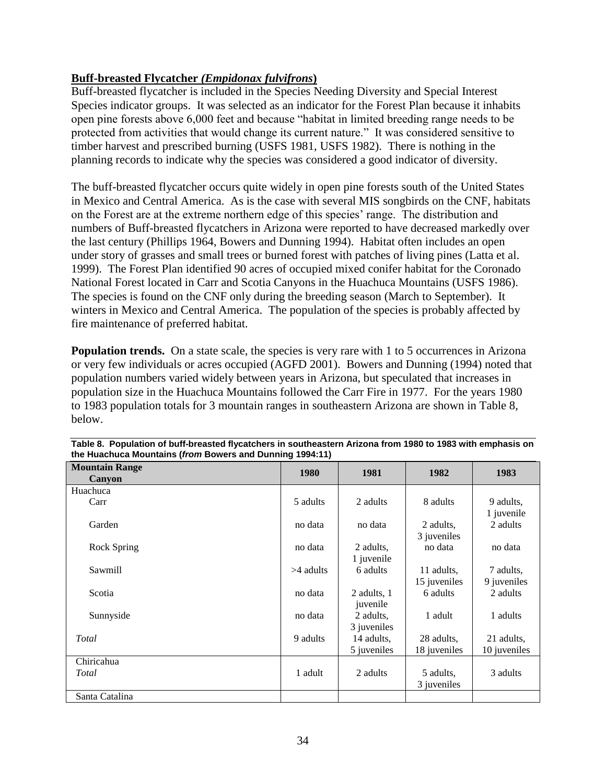# <span id="page-33-0"></span>**Buff-breasted Flycatcher** *(Empidonax fulvifrons***)**

Buff-breasted flycatcher is included in the Species Needing Diversity and Special Interest Species indicator groups. It was selected as an indicator for the Forest Plan because it inhabits open pine forests above 6,000 feet and because "habitat in limited breeding range needs to be protected from activities that would change its current nature." It was considered sensitive to timber harvest and prescribed burning (USFS 1981, USFS 1982). There is nothing in the planning records to indicate why the species was considered a good indicator of diversity.

The buff-breasted flycatcher occurs quite widely in open pine forests south of the United States in Mexico and Central America. As is the case with several MIS songbirds on the CNF, habitats on the Forest are at the extreme northern edge of this species' range. The distribution and numbers of Buff-breasted flycatchers in Arizona were reported to have decreased markedly over the last century (Phillips 1964, Bowers and Dunning 1994). Habitat often includes an open under story of grasses and small trees or burned forest with patches of living pines (Latta et al. 1999). The Forest Plan identified 90 acres of occupied mixed conifer habitat for the Coronado National Forest located in Carr and Scotia Canyons in the Huachuca Mountains (USFS 1986). The species is found on the CNF only during the breeding season (March to September). It winters in Mexico and Central America. The population of the species is probably affected by fire maintenance of preferred habitat.

**Population trends.** On a state scale, the species is very rare with 1 to 5 occurrences in Arizona or very few individuals or acres occupied (AGFD 2001). Bowers and Dunning (1994) noted that population numbers varied widely between years in Arizona, but speculated that increases in population size in the Huachuca Mountains followed the Carr Fire in 1977. For the years 1980 to 1983 population totals for 3 mountain ranges in southeastern Arizona are shown in Table 8, below.

| <b>Mountain Range</b><br>Canyon | 1980        | 1981                      | 1982                       | 1983                       |
|---------------------------------|-------------|---------------------------|----------------------------|----------------------------|
| Huachuca                        |             |                           |                            |                            |
| Carr                            | 5 adults    | 2 adults                  | 8 adults                   | 9 adults,<br>1 juvenile    |
| Garden                          | no data     | no data                   | 2 adults,<br>3 juveniles   | 2 adults                   |
| Rock Spring                     | no data     | 2 adults,<br>1 juvenile   | no data                    | no data                    |
| Sawmill                         | $>4$ adults | 6 adults                  | 11 adults,<br>15 juveniles | 7 adults,<br>9 juveniles   |
| Scotia                          | no data     | 2 adults, 1<br>juvenile   | 6 adults                   | 2 adults                   |
| Sunnyside                       | no data     | 2 adults,<br>3 juveniles  | 1 adult                    | 1 adults                   |
| Total                           | 9 adults    | 14 adults,<br>5 juveniles | 28 adults,<br>18 juveniles | 21 adults,<br>10 juveniles |
| Chiricahua                      |             |                           |                            |                            |
| Total                           | 1 adult     | 2 adults                  | 5 adults,<br>3 juveniles   | 3 adults                   |
| Santa Catalina                  |             |                           |                            |                            |

**Table 8. Population of buff-breasted flycatchers in southeastern Arizona from 1980 to 1983 with emphasis on the Huachuca Mountains (***from* **Bowers and Dunning 1994:11)**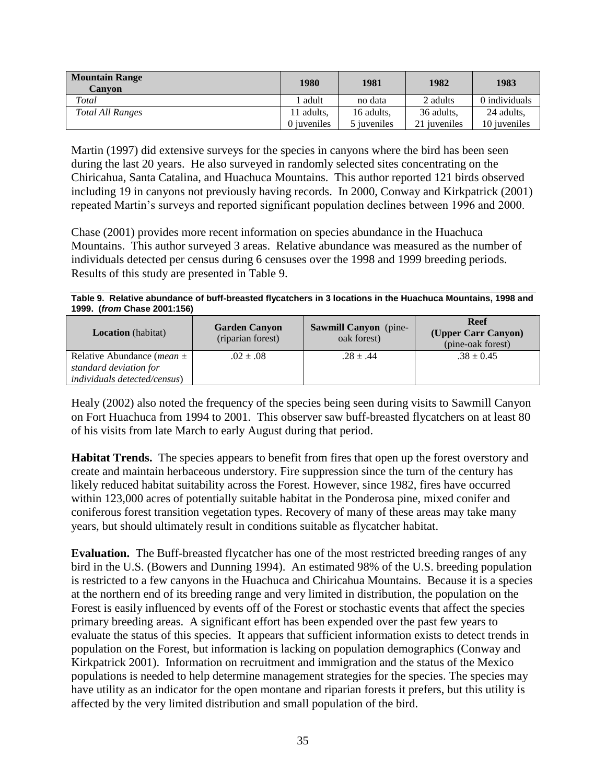| <b>Mountain Range</b><br><b>Canvon</b> | 1980        | 1981        | 1982                 | 1983          |
|----------------------------------------|-------------|-------------|----------------------|---------------|
| Total                                  | adult       | no data     | 2 adults             | 0 individuals |
| <b>Total All Ranges</b>                | 11 adults,  | 16 adults,  | 36 adults,           | 24 adults,    |
|                                        | 0 iuveniles | 5 iuveniles | 21 <i>i</i> uveniles | 10 iuveniles  |

Martin (1997) did extensive surveys for the species in canyons where the bird has been seen during the last 20 years. He also surveyed in randomly selected sites concentrating on the Chiricahua, Santa Catalina, and Huachuca Mountains. This author reported 121 birds observed including 19 in canyons not previously having records. In 2000, Conway and Kirkpatrick (2001) repeated Martin's surveys and reported significant population declines between 1996 and 2000.

Chase (2001) provides more recent information on species abundance in the Huachuca Mountains. This author surveyed 3 areas. Relative abundance was measured as the number of individuals detected per census during 6 censuses over the 1998 and 1999 breeding periods. Results of this study are presented in Table 9.

| Table 9. Relative abundance of buff-breasted flycatchers in 3 locations in the Huachuca Mountains, 1998 and |  |
|-------------------------------------------------------------------------------------------------------------|--|
| 1999. (from Chase 2001:156)                                                                                 |  |

| <b>Location</b> (habitat)              | <b>Garden Canyon</b><br>(riparian forest) | <b>Sawmill Canyon</b> (pine-<br>oak forest) | <b>Reef</b><br>(Upper Carr Canyon)<br>(pine-oak forest) |
|----------------------------------------|-------------------------------------------|---------------------------------------------|---------------------------------------------------------|
| Relative Abundance ( <i>mean</i> $\pm$ | $.02 \pm .08$                             | $.28 \pm .44$                               | $.38 \pm 0.45$                                          |
| standard deviation for                 |                                           |                                             |                                                         |
| <i>individuals detected/census)</i>    |                                           |                                             |                                                         |

Healy (2002) also noted the frequency of the species being seen during visits to Sawmill Canyon on Fort Huachuca from 1994 to 2001. This observer saw buff-breasted flycatchers on at least 80 of his visits from late March to early August during that period.

**Habitat Trends.** The species appears to benefit from fires that open up the forest overstory and create and maintain herbaceous understory. Fire suppression since the turn of the century has likely reduced habitat suitability across the Forest. However, since 1982, fires have occurred within 123,000 acres of potentially suitable habitat in the Ponderosa pine, mixed conifer and coniferous forest transition vegetation types. Recovery of many of these areas may take many years, but should ultimately result in conditions suitable as flycatcher habitat.

**Evaluation.** The Buff-breasted flycatcher has one of the most restricted breeding ranges of any bird in the U.S. (Bowers and Dunning 1994). An estimated 98% of the U.S. breeding population is restricted to a few canyons in the Huachuca and Chiricahua Mountains. Because it is a species at the northern end of its breeding range and very limited in distribution, the population on the Forest is easily influenced by events off of the Forest or stochastic events that affect the species primary breeding areas. A significant effort has been expended over the past few years to evaluate the status of this species. It appears that sufficient information exists to detect trends in population on the Forest, but information is lacking on population demographics (Conway and Kirkpatrick 2001). Information on recruitment and immigration and the status of the Mexico populations is needed to help determine management strategies for the species. The species may have utility as an indicator for the open montane and riparian forests it prefers, but this utility is affected by the very limited distribution and small population of the bird.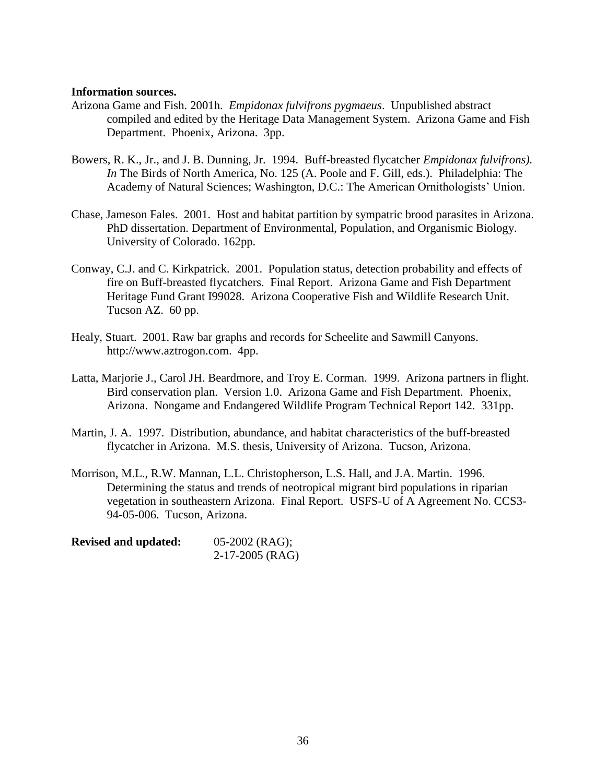#### **Information sources.**

- Arizona Game and Fish. 2001h. *Empidonax fulvifrons pygmaeus*. Unpublished abstract compiled and edited by the Heritage Data Management System. Arizona Game and Fish Department. Phoenix, Arizona. 3pp.
- Bowers, R. K., Jr., and J. B. Dunning, Jr. 1994. Buff-breasted flycatcher *Empidonax fulvifrons). In* The Birds of North America, No. 125 (A. Poole and F. Gill, eds.). Philadelphia: The Academy of Natural Sciences; Washington, D.C.: The American Ornithologists' Union.
- Chase, Jameson Fales. 2001. Host and habitat partition by sympatric brood parasites in Arizona. PhD dissertation. Department of Environmental, Population, and Organismic Biology. University of Colorado. 162pp.
- Conway, C.J. and C. Kirkpatrick. 2001. Population status, detection probability and effects of fire on Buff-breasted flycatchers. Final Report. Arizona Game and Fish Department Heritage Fund Grant I99028. Arizona Cooperative Fish and Wildlife Research Unit. Tucson AZ. 60 pp.
- Healy, Stuart. 2001. Raw bar graphs and records for Scheelite and Sawmill Canyons. http://www.aztrogon.com. 4pp.
- Latta, Marjorie J., Carol JH. Beardmore, and Troy E. Corman. 1999. Arizona partners in flight. Bird conservation plan. Version 1.0. Arizona Game and Fish Department. Phoenix, Arizona. Nongame and Endangered Wildlife Program Technical Report 142. 331pp.
- Martin, J. A. 1997. Distribution, abundance, and habitat characteristics of the buff-breasted flycatcher in Arizona. M.S. thesis, University of Arizona. Tucson, Arizona.
- Morrison, M.L., R.W. Mannan, L.L. Christopherson, L.S. Hall, and J.A. Martin. 1996. Determining the status and trends of neotropical migrant bird populations in riparian vegetation in southeastern Arizona. Final Report. USFS-U of A Agreement No. CCS3- 94-05-006. Tucson, Arizona.

| <b>Revised and updated:</b> | $05-2002$ (RAG);  |
|-----------------------------|-------------------|
|                             | $2-17-2005$ (RAG) |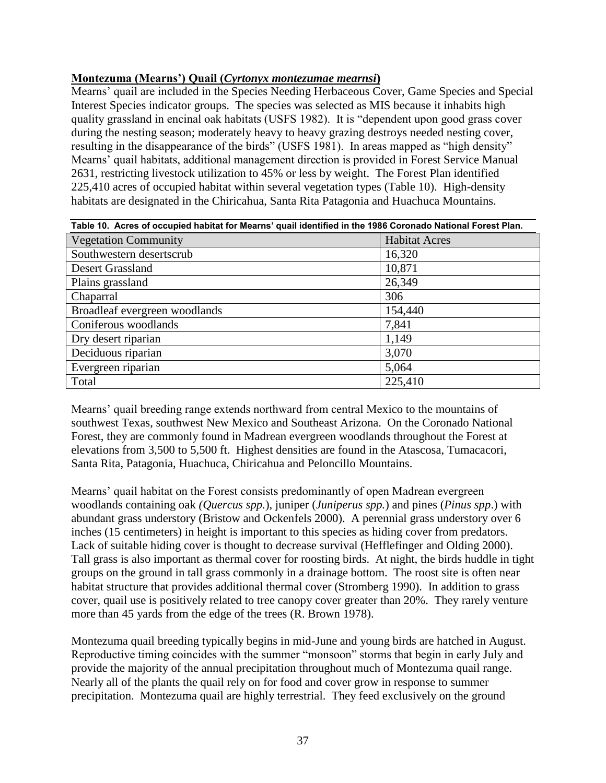# **Montezuma (Mearns') Quail (***Cyrtonyx montezumae mearnsi***)**

Mearns' quail are included in the Species Needing Herbaceous Cover, Game Species and Special Interest Species indicator groups. The species was selected as MIS because it inhabits high quality grassland in encinal oak habitats (USFS 1982). It is "dependent upon good grass cover during the nesting season; moderately heavy to heavy grazing destroys needed nesting cover, resulting in the disappearance of the birds" (USFS 1981). In areas mapped as "high density" Mearns' quail habitats, additional management direction is provided in Forest Service Manual 2631, restricting livestock utilization to 45% or less by weight. The Forest Plan identified 225,410 acres of occupied habitat within several vegetation types (Table 10). High-density habitats are designated in the Chiricahua, Santa Rita Patagonia and Huachuca Mountains.

| Table 10. Acres of occupied habitat for Mearns' quail identified in the 1986 Coronado National Forest Plan. |                      |  |  |  |
|-------------------------------------------------------------------------------------------------------------|----------------------|--|--|--|
| <b>Vegetation Community</b>                                                                                 | <b>Habitat Acres</b> |  |  |  |
| Southwestern desertscrub                                                                                    | 16,320               |  |  |  |
| Desert Grassland                                                                                            | 10,871               |  |  |  |
| Plains grassland                                                                                            | 26,349               |  |  |  |
| Chaparral                                                                                                   | 306                  |  |  |  |
| Broadleaf evergreen woodlands                                                                               | 154,440              |  |  |  |
| Coniferous woodlands                                                                                        | 7,841                |  |  |  |
| Dry desert riparian                                                                                         | 1,149                |  |  |  |
| Deciduous riparian                                                                                          | 3,070                |  |  |  |
| Evergreen riparian                                                                                          | 5,064                |  |  |  |
| Total                                                                                                       | 225,410              |  |  |  |

Mearns' quail breeding range extends northward from central Mexico to the mountains of southwest Texas, southwest New Mexico and Southeast Arizona. On the Coronado National Forest, they are commonly found in Madrean evergreen woodlands throughout the Forest at elevations from 3,500 to 5,500 ft. Highest densities are found in the Atascosa, Tumacacori, Santa Rita, Patagonia, Huachuca, Chiricahua and Peloncillo Mountains.

Mearns' quail habitat on the Forest consists predominantly of open Madrean evergreen woodlands containing oak *(Quercus spp.*), juniper (*Juniperus spp.*) and pines (*Pinus spp*.) with abundant grass understory (Bristow and Ockenfels 2000). A perennial grass understory over 6 inches (15 centimeters) in height is important to this species as hiding cover from predators. Lack of suitable hiding cover is thought to decrease survival (Hefflefinger and Olding 2000). Tall grass is also important as thermal cover for roosting birds. At night, the birds huddle in tight groups on the ground in tall grass commonly in a drainage bottom. The roost site is often near habitat structure that provides additional thermal cover (Stromberg 1990). In addition to grass cover, quail use is positively related to tree canopy cover greater than 20%. They rarely venture more than 45 yards from the edge of the trees (R. Brown 1978).

Montezuma quail breeding typically begins in mid-June and young birds are hatched in August. Reproductive timing coincides with the summer "monsoon" storms that begin in early July and provide the majority of the annual precipitation throughout much of Montezuma quail range. Nearly all of the plants the quail rely on for food and cover grow in response to summer precipitation. Montezuma quail are highly terrestrial. They feed exclusively on the ground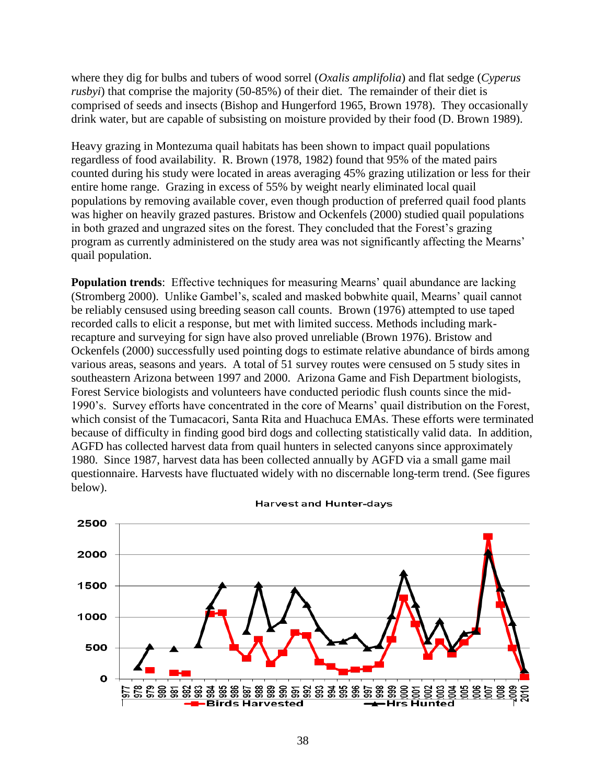where they dig for bulbs and tubers of wood sorrel (*Oxalis amplifolia*) and flat sedge (*Cyperus rusbyi*) that comprise the majority (50-85%) of their diet. The remainder of their diet is comprised of seeds and insects (Bishop and Hungerford 1965, Brown 1978). They occasionally drink water, but are capable of subsisting on moisture provided by their food (D. Brown 1989).

Heavy grazing in Montezuma quail habitats has been shown to impact quail populations regardless of food availability. R. Brown (1978, 1982) found that 95% of the mated pairs counted during his study were located in areas averaging 45% grazing utilization or less for their entire home range. Grazing in excess of 55% by weight nearly eliminated local quail populations by removing available cover, even though production of preferred quail food plants was higher on heavily grazed pastures. Bristow and Ockenfels (2000) studied quail populations in both grazed and ungrazed sites on the forest. They concluded that the Forest's grazing program as currently administered on the study area was not significantly affecting the Mearns' quail population.

**Population trends**: Effective techniques for measuring Mearns' quail abundance are lacking (Stromberg 2000). Unlike Gambel's, scaled and masked bobwhite quail, Mearns' quail cannot be reliably censused using breeding season call counts. Brown (1976) attempted to use taped recorded calls to elicit a response, but met with limited success. Methods including markrecapture and surveying for sign have also proved unreliable (Brown 1976). Bristow and Ockenfels (2000) successfully used pointing dogs to estimate relative abundance of birds among various areas, seasons and years. A total of 51 survey routes were censused on 5 study sites in southeastern Arizona between 1997 and 2000. Arizona Game and Fish Department biologists, Forest Service biologists and volunteers have conducted periodic flush counts since the mid-1990's. Survey efforts have concentrated in the core of Mearns' quail distribution on the Forest, which consist of the Tumacacori, Santa Rita and Huachuca EMAs. These efforts were terminated because of difficulty in finding good bird dogs and collecting statistically valid data. In addition, AGFD has collected harvest data from quail hunters in selected canyons since approximately 1980. Since 1987, harvest data has been collected annually by AGFD via a small game mail questionnaire. Harvests have fluctuated widely with no discernable long-term trend. (See figures below).



**Harvest and Hunter-days**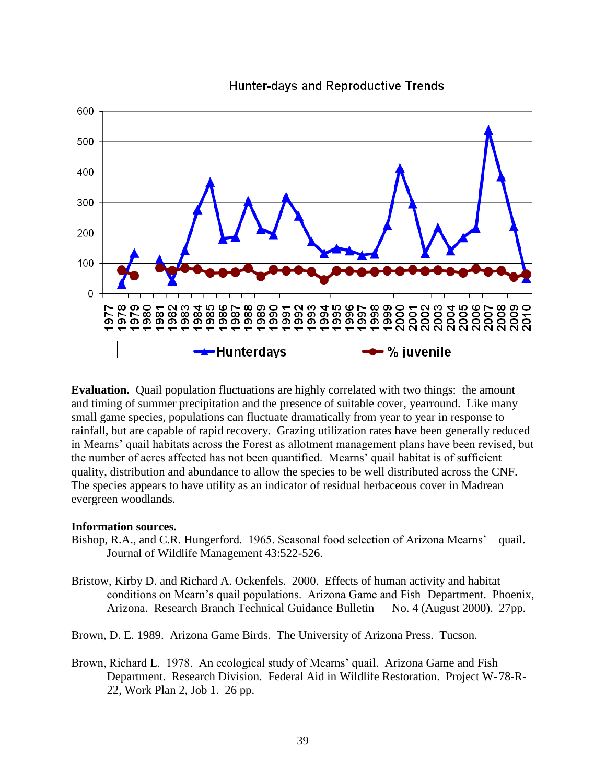

**Hunter-days and Reproductive Trends** 

**Evaluation.** Quail population fluctuations are highly correlated with two things: the amount and timing of summer precipitation and the presence of suitable cover, yearround. Like many small game species, populations can fluctuate dramatically from year to year in response to rainfall, but are capable of rapid recovery. Grazing utilization rates have been generally reduced in Mearns' quail habitats across the Forest as allotment management plans have been revised, but the number of acres affected has not been quantified. Mearns' quail habitat is of sufficient quality, distribution and abundance to allow the species to be well distributed across the CNF. The species appears to have utility as an indicator of residual herbaceous cover in Madrean evergreen woodlands.

#### **Information sources.**

- Bishop, R.A., and C.R. Hungerford. 1965. Seasonal food selection of Arizona Mearns' quail. Journal of Wildlife Management 43:522-526.
- Bristow, Kirby D. and Richard A. Ockenfels. 2000. Effects of human activity and habitat conditions on Mearn's quail populations. Arizona Game and Fish Department. Phoenix, Arizona. Research Branch Technical Guidance Bulletin No. 4 (August 2000). 27pp.
- Brown, D. E. 1989. Arizona Game Birds. The University of Arizona Press. Tucson.
- Brown, Richard L. 1978. An ecological study of Mearns' quail. Arizona Game and Fish Department. Research Division. Federal Aid in Wildlife Restoration. Project W-78-R-22, Work Plan 2, Job 1. 26 pp.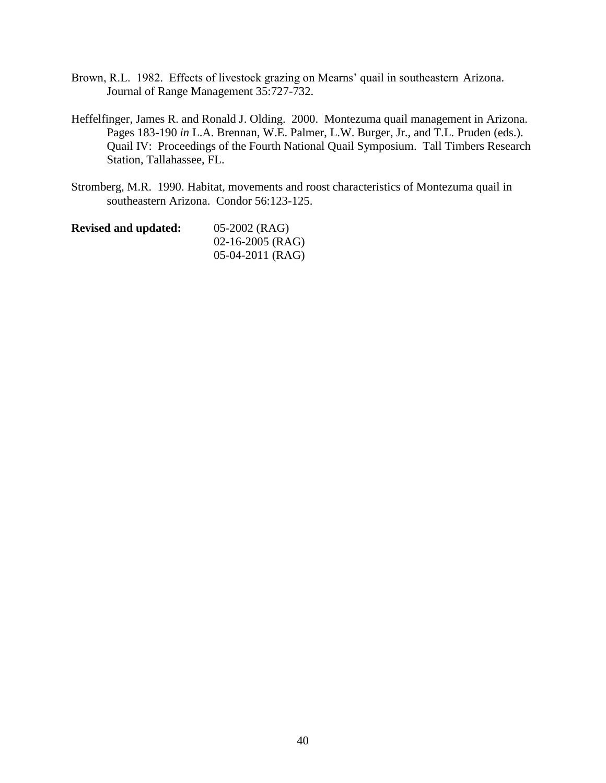- Brown, R.L. 1982. Effects of livestock grazing on Mearns' quail in southeastern Arizona. Journal of Range Management 35:727-732.
- Heffelfinger, James R. and Ronald J. Olding. 2000. Montezuma quail management in Arizona. Pages 183-190 *in* L.A. Brennan, W.E. Palmer, L.W. Burger, Jr., and T.L. Pruden (eds.). Quail IV: Proceedings of the Fourth National Quail Symposium. Tall Timbers Research Station, Tallahassee, FL.
- Stromberg, M.R. 1990. Habitat, movements and roost characteristics of Montezuma quail in southeastern Arizona. Condor 56:123-125.

| <b>Revised and updated:</b> | $05-2002$ (RAG)    |
|-----------------------------|--------------------|
|                             | $02-16-2005$ (RAG) |
|                             | $05-04-2011$ (RAG) |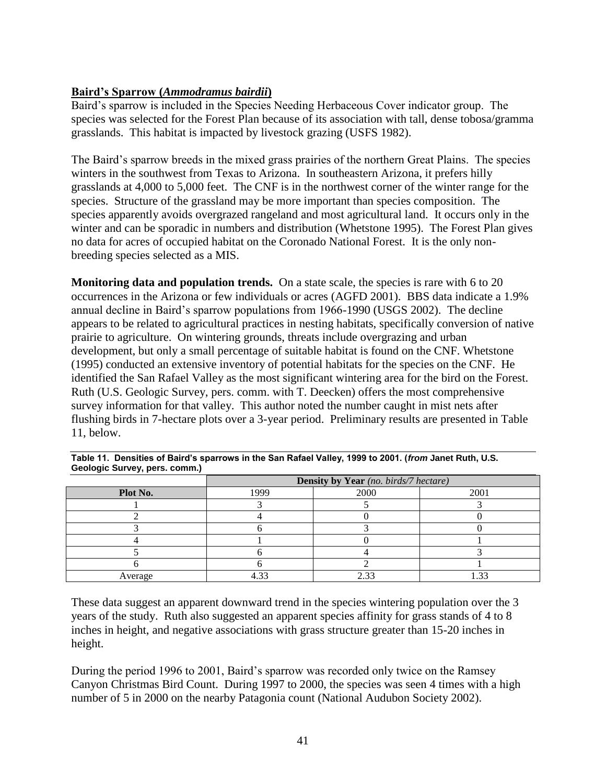# **Baird's Sparrow (***Ammodramus bairdii***)**

Baird's sparrow is included in the Species Needing Herbaceous Cover indicator group. The species was selected for the Forest Plan because of its association with tall, dense tobosa/gramma grasslands. This habitat is impacted by livestock grazing (USFS 1982).

The Baird's sparrow breeds in the mixed grass prairies of the northern Great Plains. The species winters in the southwest from Texas to Arizona. In southeastern Arizona, it prefers hilly grasslands at 4,000 to 5,000 feet. The CNF is in the northwest corner of the winter range for the species. Structure of the grassland may be more important than species composition. The species apparently avoids overgrazed rangeland and most agricultural land. It occurs only in the winter and can be sporadic in numbers and distribution (Whetstone 1995). The Forest Plan gives no data for acres of occupied habitat on the Coronado National Forest. It is the only nonbreeding species selected as a MIS.

**Monitoring data and population trends.** On a state scale, the species is rare with 6 to 20 occurrences in the Arizona or few individuals or acres (AGFD 2001). BBS data indicate a 1.9% annual decline in Baird's sparrow populations from 1966-1990 (USGS 2002). The decline appears to be related to agricultural practices in nesting habitats, specifically conversion of native prairie to agriculture. On wintering grounds, threats include overgrazing and urban development, but only a small percentage of suitable habitat is found on the CNF. Whetstone (1995) conducted an extensive inventory of potential habitats for the species on the CNF. He identified the San Rafael Valley as the most significant wintering area for the bird on the Forest. Ruth (U.S. Geologic Survey, pers. comm. with T. Deecken) offers the most comprehensive survey information for that valley. This author noted the number caught in mist nets after flushing birds in 7-hectare plots over a 3-year period. Preliminary results are presented in Table 11, below.

|          | Density by Year (no. birds/7 hectare) |      |        |  |  |  |
|----------|---------------------------------------|------|--------|--|--|--|
| Plot No. | 1999                                  | 2000 | 2001   |  |  |  |
|          |                                       |      |        |  |  |  |
|          |                                       |      |        |  |  |  |
|          |                                       |      |        |  |  |  |
|          |                                       |      |        |  |  |  |
|          |                                       |      |        |  |  |  |
|          |                                       |      |        |  |  |  |
| Average  | ຳາ                                    |      | $\sim$ |  |  |  |

| Table 11. Densities of Baird's sparrows in the San Rafael Valley, 1999 to 2001. (from Janet Ruth, U.S. |  |
|--------------------------------------------------------------------------------------------------------|--|
| Geologic Survey, pers. comm.)                                                                          |  |

These data suggest an apparent downward trend in the species wintering population over the 3 years of the study. Ruth also suggested an apparent species affinity for grass stands of 4 to 8 inches in height, and negative associations with grass structure greater than 15-20 inches in height.

During the period 1996 to 2001, Baird's sparrow was recorded only twice on the Ramsey Canyon Christmas Bird Count. During 1997 to 2000, the species was seen 4 times with a high number of 5 in 2000 on the nearby Patagonia count (National Audubon Society 2002).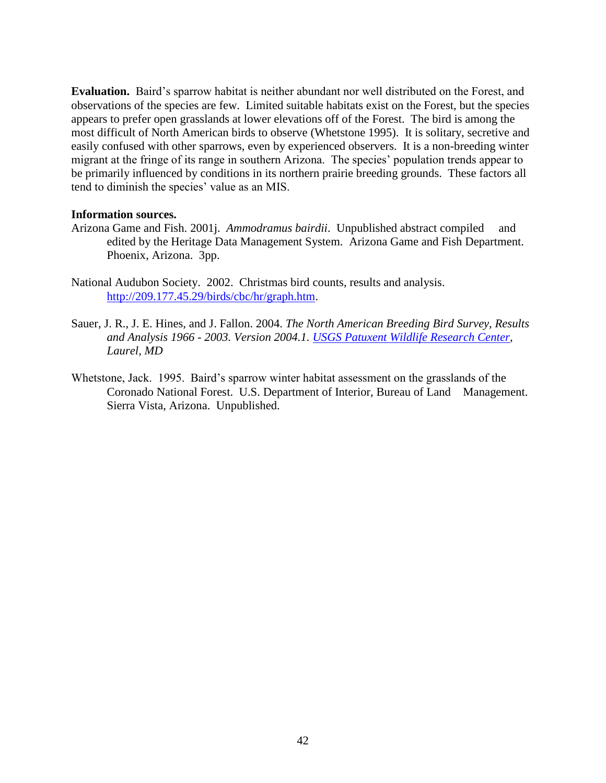**Evaluation.** Baird's sparrow habitat is neither abundant nor well distributed on the Forest, and observations of the species are few. Limited suitable habitats exist on the Forest, but the species appears to prefer open grasslands at lower elevations off of the Forest. The bird is among the most difficult of North American birds to observe (Whetstone 1995). It is solitary, secretive and easily confused with other sparrows, even by experienced observers. It is a non-breeding winter migrant at the fringe of its range in southern Arizona. The species' population trends appear to be primarily influenced by conditions in its northern prairie breeding grounds. These factors all tend to diminish the species' value as an MIS.

### **Information sources.**

- Arizona Game and Fish. 2001j. *Ammodramus bairdii*. Unpublished abstract compiled and edited by the Heritage Data Management System. Arizona Game and Fish Department. Phoenix, Arizona. 3pp.
- National Audubon Society. 2002. Christmas bird counts, results and analysis. [http://209.177.45.29/birds/cbc/hr/graph.htm.](http://209.177.45.29/birds/cbc/hr/graph.htm)
- Sauer, J. R., J. E. Hines, and J. Fallon. 2004. *The North American Breeding Bird Survey, Results and Analysis 1966 - 2003. Version 2004.1. [USGS Patuxent Wildlife Research Center,](http://www.pwrc.usgs.gov/) Laurel, MD*
- Whetstone, Jack. 1995. Baird's sparrow winter habitat assessment on the grasslands of the Coronado National Forest. U.S. Department of Interior, Bureau of Land Management. Sierra Vista, Arizona. Unpublished.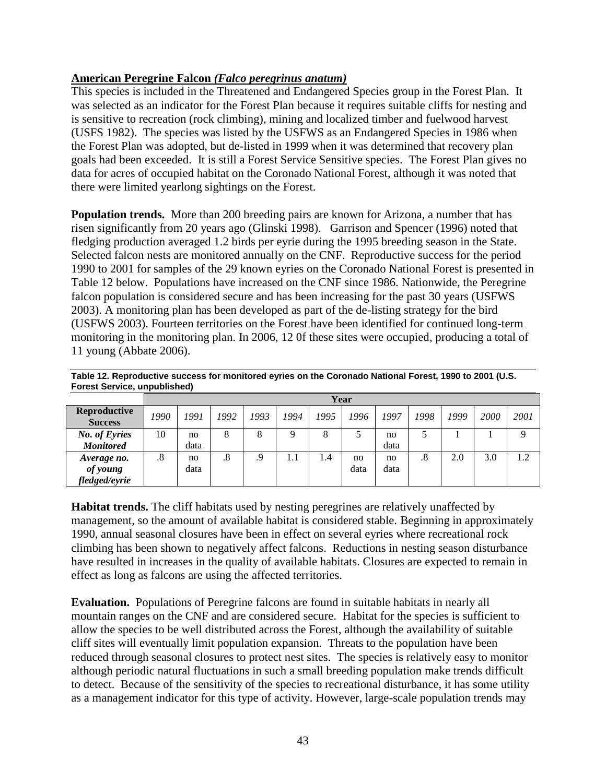# **American Peregrine Falcon** *(Falco peregrinus anatum)*

*fledged/eyrie*

This species is included in the Threatened and Endangered Species group in the Forest Plan. It was selected as an indicator for the Forest Plan because it requires suitable cliffs for nesting and is sensitive to recreation (rock climbing), mining and localized timber and fuelwood harvest (USFS 1982). The species was listed by the USFWS as an Endangered Species in 1986 when the Forest Plan was adopted, but de-listed in 1999 when it was determined that recovery plan goals had been exceeded. It is still a Forest Service Sensitive species. The Forest Plan gives no data for acres of occupied habitat on the Coronado National Forest, although it was noted that there were limited yearlong sightings on the Forest.

**Population trends.** More than 200 breeding pairs are known for Arizona, a number that has risen significantly from 20 years ago (Glinski 1998). Garrison and Spencer (1996) noted that fledging production averaged 1.2 birds per eyrie during the 1995 breeding season in the State. Selected falcon nests are monitored annually on the CNF. Reproductive success for the period 1990 to 2001 for samples of the 29 known eyries on the Coronado National Forest is presented in Table 12 below. Populations have increased on the CNF since 1986. Nationwide, the Peregrine falcon population is considered secure and has been increasing for the past 30 years (USFWS 2003). A monitoring plan has been developed as part of the de-listing strategy for the bird (USFWS 2003). Fourteen territories on the Forest have been identified for continued long-term monitoring in the monitoring plan. In 2006, 12 0f these sites were occupied, producing a total of 11 young (Abbate 2006).

| <b>Forest Service, unpublished)</b>   |      |      |                        |      |      |      |      |      |        |      |      |      |
|---------------------------------------|------|------|------------------------|------|------|------|------|------|--------|------|------|------|
|                                       |      | Year |                        |      |      |      |      |      |        |      |      |      |
| <b>Reproductive</b><br><b>Success</b> | 1990 | 1991 | 1992                   | 1993 | 1994 | 1995 | 1996 | 1997 | 1998   | 1999 | 2000 | 2001 |
| <b>No. of Eyries</b>                  | 10   | no   | 8                      | 8    | Q    | 8    |      | no   |        |      |      | Q    |
| <b>Monitored</b>                      |      | data |                        |      |      |      |      | data |        |      |      |      |
| Average no.                           | .8   | no   | $\cdot$ <sup>8</sup> . | .9   | 1.1  | 1.4  | no   | no   | $.8\,$ | 2.0  | 3.0  | 1.2  |
| of young                              |      | data |                        |      |      |      | data | data |        |      |      |      |

**Table 12. Reproductive success for monitored eyries on the Coronado National Forest, 1990 to 2001 (U.S.** 

**Habitat trends.** The cliff habitats used by nesting peregrines are relatively unaffected by management, so the amount of available habitat is considered stable. Beginning in approximately 1990, annual seasonal closures have been in effect on several eyries where recreational rock climbing has been shown to negatively affect falcons. Reductions in nesting season disturbance have resulted in increases in the quality of available habitats. Closures are expected to remain in effect as long as falcons are using the affected territories.

**Evaluation.** Populations of Peregrine falcons are found in suitable habitats in nearly all mountain ranges on the CNF and are considered secure. Habitat for the species is sufficient to allow the species to be well distributed across the Forest, although the availability of suitable cliff sites will eventually limit population expansion. Threats to the population have been reduced through seasonal closures to protect nest sites. The species is relatively easy to monitor although periodic natural fluctuations in such a small breeding population make trends difficult to detect. Because of the sensitivity of the species to recreational disturbance, it has some utility as a management indicator for this type of activity. However, large-scale population trends may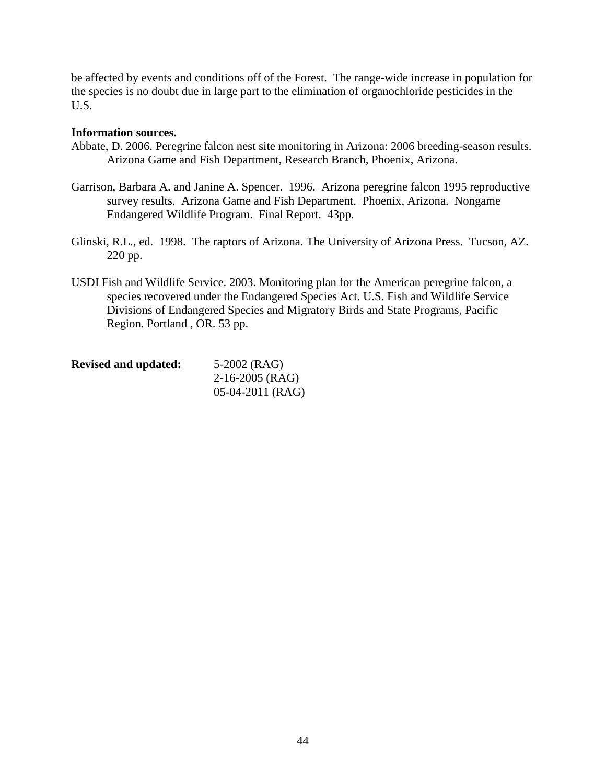be affected by events and conditions off of the Forest. The range-wide increase in population for the species is no doubt due in large part to the elimination of organochloride pesticides in the U.S.

### **Information sources.**

- Abbate, D. 2006. Peregrine falcon nest site monitoring in Arizona: 2006 breeding-season results. Arizona Game and Fish Department, Research Branch, Phoenix, Arizona.
- Garrison, Barbara A. and Janine A. Spencer. 1996. Arizona peregrine falcon 1995 reproductive survey results. Arizona Game and Fish Department. Phoenix, Arizona. Nongame Endangered Wildlife Program. Final Report. 43pp.
- Glinski, R.L., ed. 1998. The raptors of Arizona. The University of Arizona Press. Tucson, AZ. 220 pp.
- USDI Fish and Wildlife Service. 2003. Monitoring plan for the American peregrine falcon, a species recovered under the Endangered Species Act. U.S. Fish and Wildlife Service Divisions of Endangered Species and Migratory Birds and State Programs, Pacific Region. Portland , OR. 53 pp.

| <b>Revised and updated:</b> | 5-2002 (RAG)       |
|-----------------------------|--------------------|
|                             | $2-16-2005$ (RAG)  |
|                             | $05-04-2011$ (RAG) |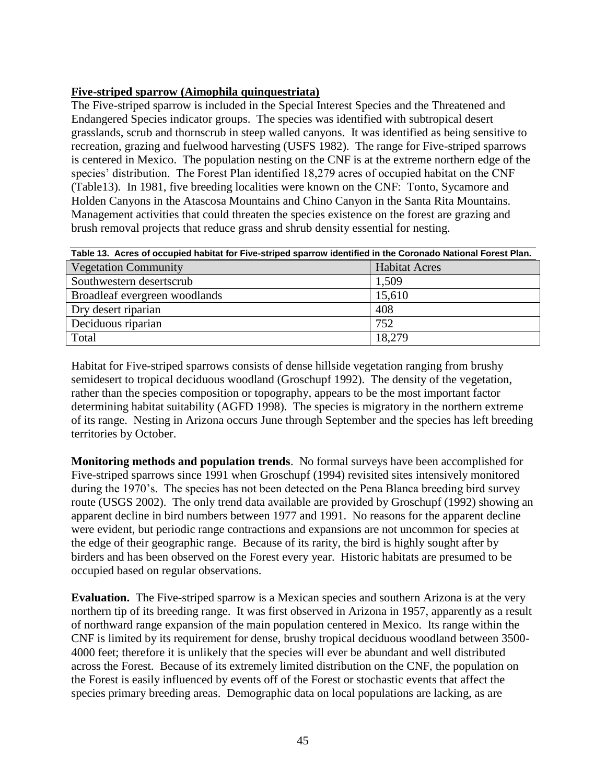# **Five-striped sparrow (Aimophila quinquestriata)**

The Five-striped sparrow is included in the Special Interest Species and the Threatened and Endangered Species indicator groups. The species was identified with subtropical desert grasslands, scrub and thornscrub in steep walled canyons. It was identified as being sensitive to recreation, grazing and fuelwood harvesting (USFS 1982). The range for Five-striped sparrows is centered in Mexico. The population nesting on the CNF is at the extreme northern edge of the species' distribution. The Forest Plan identified 18,279 acres of occupied habitat on the CNF (Table13). In 1981, five breeding localities were known on the CNF: Tonto, Sycamore and Holden Canyons in the Atascosa Mountains and Chino Canyon in the Santa Rita Mountains. Management activities that could threaten the species existence on the forest are grazing and brush removal projects that reduce grass and shrub density essential for nesting.

| Table 13. Acres of occupied habitat for Five-striped sparrow identified in the Coronado National Forest Plan. |                      |  |  |  |
|---------------------------------------------------------------------------------------------------------------|----------------------|--|--|--|
| <b>Vegetation Community</b>                                                                                   | <b>Habitat Acres</b> |  |  |  |
| Southwestern desertscrub                                                                                      | 1,509                |  |  |  |
| Broadleaf evergreen woodlands                                                                                 | 15,610               |  |  |  |
| Dry desert riparian                                                                                           | 408                  |  |  |  |
| Deciduous riparian                                                                                            | 752                  |  |  |  |
| Total                                                                                                         | 18,279               |  |  |  |

Habitat for Five-striped sparrows consists of dense hillside vegetation ranging from brushy semidesert to tropical deciduous woodland (Groschupf 1992). The density of the vegetation, rather than the species composition or topography, appears to be the most important factor determining habitat suitability (AGFD 1998). The species is migratory in the northern extreme of its range. Nesting in Arizona occurs June through September and the species has left breeding territories by October.

**Monitoring methods and population trends**. No formal surveys have been accomplished for Five-striped sparrows since 1991 when Groschupf (1994) revisited sites intensively monitored during the 1970's. The species has not been detected on the Pena Blanca breeding bird survey route (USGS 2002). The only trend data available are provided by Groschupf (1992) showing an apparent decline in bird numbers between 1977 and 1991. No reasons for the apparent decline were evident, but periodic range contractions and expansions are not uncommon for species at the edge of their geographic range. Because of its rarity, the bird is highly sought after by birders and has been observed on the Forest every year. Historic habitats are presumed to be occupied based on regular observations.

**Evaluation.** The Five-striped sparrow is a Mexican species and southern Arizona is at the very northern tip of its breeding range. It was first observed in Arizona in 1957, apparently as a result of northward range expansion of the main population centered in Mexico. Its range within the CNF is limited by its requirement for dense, brushy tropical deciduous woodland between 3500- 4000 feet; therefore it is unlikely that the species will ever be abundant and well distributed across the Forest. Because of its extremely limited distribution on the CNF, the population on the Forest is easily influenced by events off of the Forest or stochastic events that affect the species primary breeding areas. Demographic data on local populations are lacking, as are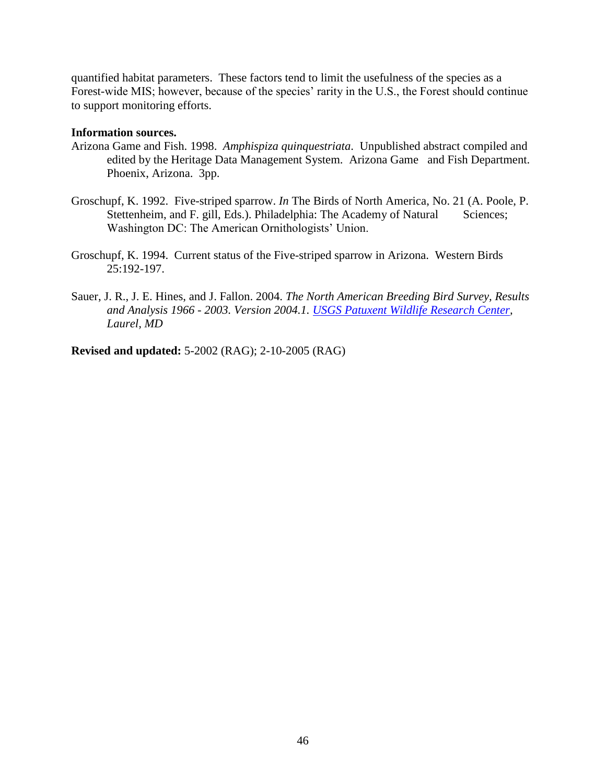quantified habitat parameters. These factors tend to limit the usefulness of the species as a Forest-wide MIS; however, because of the species' rarity in the U.S., the Forest should continue to support monitoring efforts.

### **Information sources.**

- Arizona Game and Fish. 1998. *Amphispiza quinquestriata*. Unpublished abstract compiled and edited by the Heritage Data Management System. Arizona Game and Fish Department. Phoenix, Arizona. 3pp.
- Groschupf, K. 1992. Five-striped sparrow. *In* The Birds of North America, No. 21 (A. Poole, P. Stettenheim, and F. gill, Eds.). Philadelphia: The Academy of Natural Sciences; Washington DC: The American Ornithologists' Union.
- Groschupf, K. 1994. Current status of the Five-striped sparrow in Arizona. Western Birds 25:192-197.
- Sauer, J. R., J. E. Hines, and J. Fallon. 2004. *The North American Breeding Bird Survey, Results and Analysis 1966 - 2003. Version 2004.1. [USGS Patuxent Wildlife Research Center,](http://www.pwrc.usgs.gov/) Laurel, MD*

**Revised and updated:** 5-2002 (RAG); 2-10-2005 (RAG)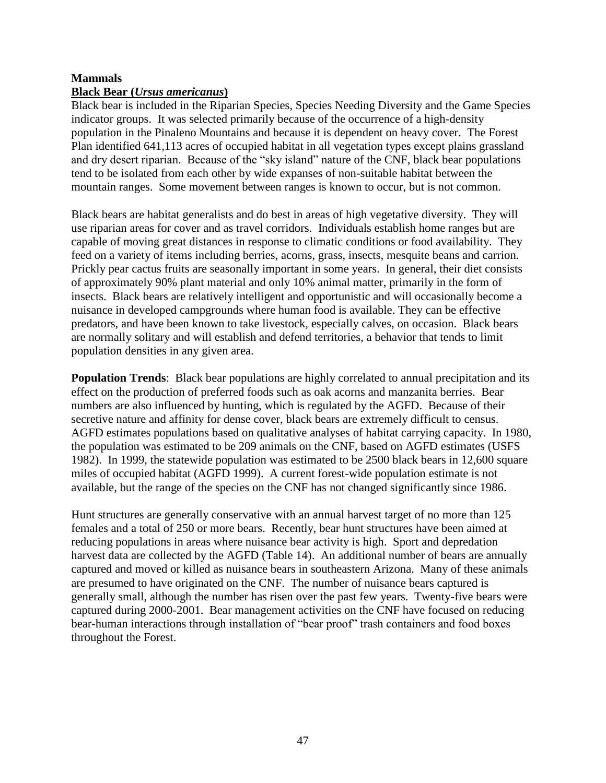# **Mammals**

### **Black Bear (***Ursus americanus***)**

Black bear is included in the Riparian Species, Species Needing Diversity and the Game Species indicator groups. It was selected primarily because of the occurrence of a high-density population in the Pinaleno Mountains and because it is dependent on heavy cover. The Forest Plan identified 641,113 acres of occupied habitat in all vegetation types except plains grassland and dry desert riparian. Because of the "sky island" nature of the CNF, black bear populations tend to be isolated from each other by wide expanses of non-suitable habitat between the mountain ranges. Some movement between ranges is known to occur, but is not common.

Black bears are habitat generalists and do best in areas of high vegetative diversity. They will use riparian areas for cover and as travel corridors. Individuals establish home ranges but are capable of moving great distances in response to climatic conditions or food availability. They feed on a variety of items including berries, acorns, grass, insects, mesquite beans and carrion. Prickly pear cactus fruits are seasonally important in some years. In general, their diet consists of approximately 90% plant material and only 10% animal matter, primarily in the form of insects. Black bears are relatively intelligent and opportunistic and will occasionally become a nuisance in developed campgrounds where human food is available. They can be effective predators, and have been known to take livestock, especially calves, on occasion. Black bears are normally solitary and will establish and defend territories, a behavior that tends to limit population densities in any given area.

**Population Trends**: Black bear populations are highly correlated to annual precipitation and its effect on the production of preferred foods such as oak acorns and manzanita berries. Bear numbers are also influenced by hunting, which is regulated by the AGFD. Because of their secretive nature and affinity for dense cover, black bears are extremely difficult to census. AGFD estimates populations based on qualitative analyses of habitat carrying capacity. In 1980, the population was estimated to be 209 animals on the CNF, based on AGFD estimates (USFS 1982). In 1999, the statewide population was estimated to be 2500 black bears in 12,600 square miles of occupied habitat (AGFD 1999). A current forest-wide population estimate is not available, but the range of the species on the CNF has not changed significantly since 1986.

Hunt structures are generally conservative with an annual harvest target of no more than 125 females and a total of 250 or more bears. Recently, bear hunt structures have been aimed at reducing populations in areas where nuisance bear activity is high. Sport and depredation harvest data are collected by the AGFD (Table 14). An additional number of bears are annually captured and moved or killed as nuisance bears in southeastern Arizona. Many of these animals are presumed to have originated on the CNF. The number of nuisance bears captured is generally small, although the number has risen over the past few years. Twenty-five bears were captured during 2000-2001. Bear management activities on the CNF have focused on reducing bear-human interactions through installation of "bear proof" trash containers and food boxes throughout the Forest.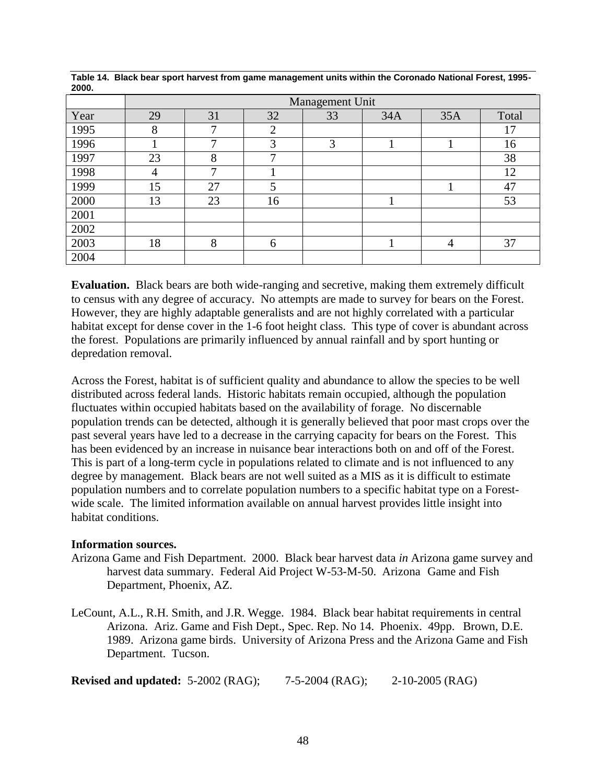|      | Management Unit |                 |                |    |     |     |       |  |
|------|-----------------|-----------------|----------------|----|-----|-----|-------|--|
| Year | 29              | 31              | 32             | 33 | 34A | 35A | Total |  |
| 1995 | 8               | ⇁               | $\overline{2}$ |    |     |     | 17    |  |
| 1996 |                 | $\mathbf{\tau}$ | 3              | 3  |     |     | 16    |  |
| 1997 | 23              | 8               | $\mathbf{r}$   |    |     |     | 38    |  |
| 1998 | 4               | ⇁               |                |    |     |     | 12    |  |
| 1999 | 15              | 27              | 5              |    |     |     | 47    |  |
| 2000 | 13              | 23              | 16             |    |     |     | 53    |  |
| 2001 |                 |                 |                |    |     |     |       |  |
| 2002 |                 |                 |                |    |     |     |       |  |
| 2003 | 18              | 8               | 6              |    |     | 4   | 37    |  |
| 2004 |                 |                 |                |    |     |     |       |  |

**Table 14. Black bear sport harvest from game management units within the Coronado National Forest, 1995- 2000.**

**Evaluation.** Black bears are both wide-ranging and secretive, making them extremely difficult to census with any degree of accuracy. No attempts are made to survey for bears on the Forest. However, they are highly adaptable generalists and are not highly correlated with a particular habitat except for dense cover in the 1-6 foot height class. This type of cover is abundant across the forest. Populations are primarily influenced by annual rainfall and by sport hunting or depredation removal.

Across the Forest, habitat is of sufficient quality and abundance to allow the species to be well distributed across federal lands. Historic habitats remain occupied, although the population fluctuates within occupied habitats based on the availability of forage. No discernable population trends can be detected, although it is generally believed that poor mast crops over the past several years have led to a decrease in the carrying capacity for bears on the Forest. This has been evidenced by an increase in nuisance bear interactions both on and off of the Forest. This is part of a long-term cycle in populations related to climate and is not influenced to any degree by management. Black bears are not well suited as a MIS as it is difficult to estimate population numbers and to correlate population numbers to a specific habitat type on a Forestwide scale. The limited information available on annual harvest provides little insight into habitat conditions.

#### **Information sources.**

- Arizona Game and Fish Department. 2000. Black bear harvest data *in* Arizona game survey and harvest data summary. Federal Aid Project W-53-M-50. Arizona Game and Fish Department, Phoenix, AZ.
- LeCount, A.L., R.H. Smith, and J.R. Wegge. 1984. Black bear habitat requirements in central Arizona. Ariz. Game and Fish Dept., Spec. Rep. No 14. Phoenix. 49pp. Brown, D.E. 1989. Arizona game birds. University of Arizona Press and the Arizona Game and Fish Department. Tucson.

**Revised and updated:** 5-2002 (RAG); 7-5-2004 (RAG); 2-10-2005 (RAG)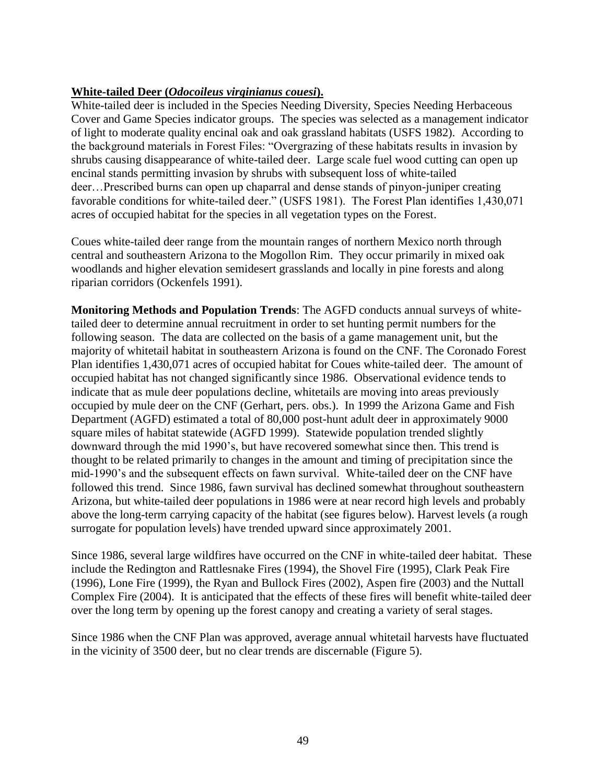# **White-tailed Deer (***Odocoileus virginianus couesi***).**

White-tailed deer is included in the Species Needing Diversity, Species Needing Herbaceous Cover and Game Species indicator groups. The species was selected as a management indicator of light to moderate quality encinal oak and oak grassland habitats (USFS 1982). According to the background materials in Forest Files: "Overgrazing of these habitats results in invasion by shrubs causing disappearance of white-tailed deer. Large scale fuel wood cutting can open up encinal stands permitting invasion by shrubs with subsequent loss of white-tailed deer…Prescribed burns can open up chaparral and dense stands of pinyon-juniper creating favorable conditions for white-tailed deer." (USFS 1981). The Forest Plan identifies 1,430,071 acres of occupied habitat for the species in all vegetation types on the Forest.

Coues white-tailed deer range from the mountain ranges of northern Mexico north through central and southeastern Arizona to the Mogollon Rim. They occur primarily in mixed oak woodlands and higher elevation semidesert grasslands and locally in pine forests and along riparian corridors (Ockenfels 1991).

**Monitoring Methods and Population Trends**: The AGFD conducts annual surveys of whitetailed deer to determine annual recruitment in order to set hunting permit numbers for the following season. The data are collected on the basis of a game management unit, but the majority of whitetail habitat in southeastern Arizona is found on the CNF. The Coronado Forest Plan identifies 1,430,071 acres of occupied habitat for Coues white-tailed deer. The amount of occupied habitat has not changed significantly since 1986. Observational evidence tends to indicate that as mule deer populations decline, whitetails are moving into areas previously occupied by mule deer on the CNF (Gerhart, pers. obs.). In 1999 the Arizona Game and Fish Department (AGFD) estimated a total of 80,000 post-hunt adult deer in approximately 9000 square miles of habitat statewide (AGFD 1999). Statewide population trended slightly downward through the mid 1990's, but have recovered somewhat since then. This trend is thought to be related primarily to changes in the amount and timing of precipitation since the mid-1990's and the subsequent effects on fawn survival. White-tailed deer on the CNF have followed this trend. Since 1986, fawn survival has declined somewhat throughout southeastern Arizona, but white-tailed deer populations in 1986 were at near record high levels and probably above the long-term carrying capacity of the habitat (see figures below). Harvest levels (a rough surrogate for population levels) have trended upward since approximately 2001.

Since 1986, several large wildfires have occurred on the CNF in white-tailed deer habitat. These include the Redington and Rattlesnake Fires (1994), the Shovel Fire (1995), Clark Peak Fire (1996), Lone Fire (1999), the Ryan and Bullock Fires (2002), Aspen fire (2003) and the Nuttall Complex Fire (2004). It is anticipated that the effects of these fires will benefit white-tailed deer over the long term by opening up the forest canopy and creating a variety of seral stages.

Since 1986 when the CNF Plan was approved, average annual whitetail harvests have fluctuated in the vicinity of 3500 deer, but no clear trends are discernable (Figure 5).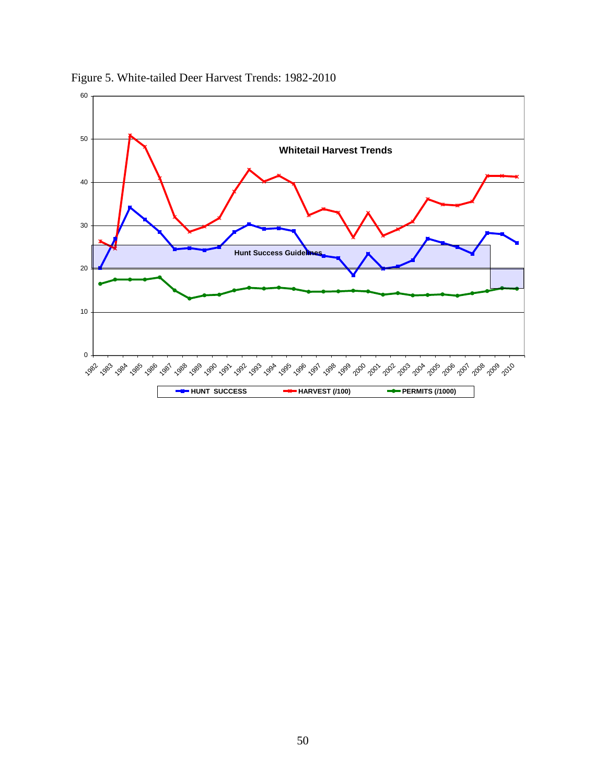

Figure 5. White-tailed Deer Harvest Trends: 1982-2010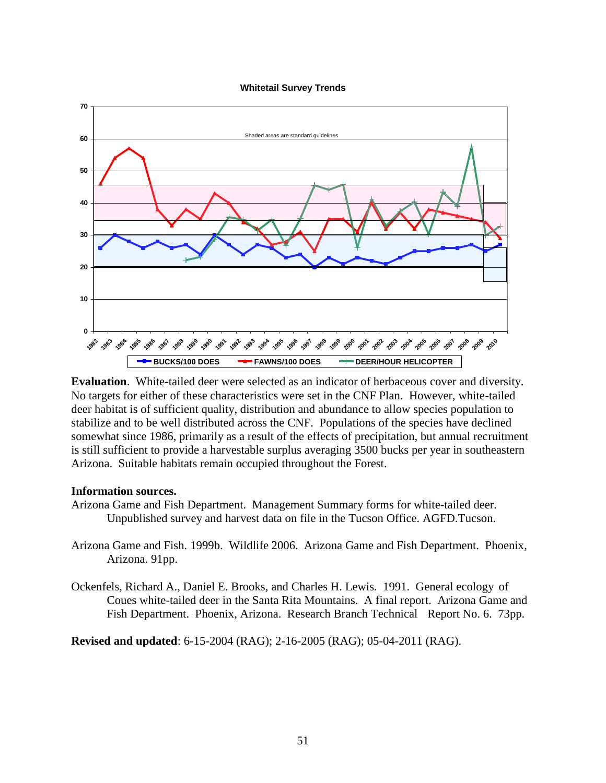#### **Whitetail Survey Trends**



**Evaluation**. White-tailed deer were selected as an indicator of herbaceous cover and diversity. No targets for either of these characteristics were set in the CNF Plan. However, white-tailed deer habitat is of sufficient quality, distribution and abundance to allow species population to stabilize and to be well distributed across the CNF. Populations of the species have declined somewhat since 1986, primarily as a result of the effects of precipitation, but annual recruitment is still sufficient to provide a harvestable surplus averaging 3500 bucks per year in southeastern Arizona. Suitable habitats remain occupied throughout the Forest.

#### **Information sources.**

- Arizona Game and Fish Department. Management Summary forms for white-tailed deer. Unpublished survey and harvest data on file in the Tucson Office. AGFD.Tucson.
- Arizona Game and Fish. 1999b. Wildlife 2006. Arizona Game and Fish Department. Phoenix, Arizona. 91pp.
- Ockenfels, Richard A., Daniel E. Brooks, and Charles H. Lewis. 1991. General ecology of Coues white-tailed deer in the Santa Rita Mountains. A final report. Arizona Game and Fish Department. Phoenix, Arizona. Research Branch Technical Report No. 6. 73pp.

**Revised and updated**: 6-15-2004 (RAG); 2-16-2005 (RAG); 05-04-2011 (RAG).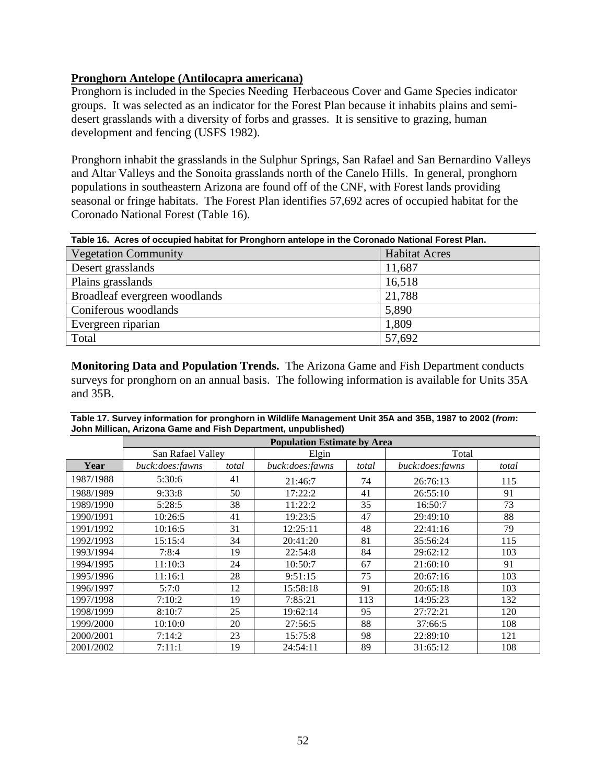### **Pronghorn Antelope (Antilocapra americana)**

Pronghorn is included in the Species Needing Herbaceous Cover and Game Species indicator groups. It was selected as an indicator for the Forest Plan because it inhabits plains and semidesert grasslands with a diversity of forbs and grasses. It is sensitive to grazing, human development and fencing (USFS 1982).

Pronghorn inhabit the grasslands in the Sulphur Springs, San Rafael and San Bernardino Valleys and Altar Valleys and the Sonoita grasslands north of the Canelo Hills. In general, pronghorn populations in southeastern Arizona are found off of the CNF, with Forest lands providing seasonal or fringe habitats. The Forest Plan identifies 57,692 acres of occupied habitat for the Coronado National Forest (Table 16).

| Table 16. Acres of occupied habitat for Pronghorn antelope in the Coronado National Forest Plan. |                      |  |  |  |
|--------------------------------------------------------------------------------------------------|----------------------|--|--|--|
| <b>Vegetation Community</b>                                                                      | <b>Habitat Acres</b> |  |  |  |
| Desert grasslands                                                                                | 11,687               |  |  |  |
| Plains grasslands                                                                                | 16,518               |  |  |  |
| Broadleaf evergreen woodlands                                                                    | 21,788               |  |  |  |
| Coniferous woodlands                                                                             | 5,890                |  |  |  |
| Evergreen riparian                                                                               | 1,809                |  |  |  |
| Total                                                                                            | 57,692               |  |  |  |

**Monitoring Data and Population Trends.** The Arizona Game and Fish Department conducts surveys for pronghorn on an annual basis. The following information is available for Units 35A and 35B.

|                                                               | Table 17. Survey information for pronghorn in Wildlife Management Unit 35A and 35B, 1987 to 2002 (from: |  |  |  |  |
|---------------------------------------------------------------|---------------------------------------------------------------------------------------------------------|--|--|--|--|
| John Millican, Arizona Game and Fish Department, unpublished) |                                                                                                         |  |  |  |  |
|                                                               | <b>Population Estimate by Area</b>                                                                      |  |  |  |  |

|           | <b>Population Estimate by Area</b> |       |                 |       |                 |       |  |  |  |  |
|-----------|------------------------------------|-------|-----------------|-------|-----------------|-------|--|--|--|--|
|           | San Rafael Valley                  |       | Elgin           |       | Total           |       |  |  |  |  |
| Year      | buck:does:fawns                    | total | buck:does:fawns | total | buck:does:fawns | total |  |  |  |  |
| 1987/1988 | 5:30:6                             | 41    | 21:46:7         | 74    | 26:76:13        | 115   |  |  |  |  |
| 1988/1989 | 9:33:8                             | 50    | 17:22:2         | 41    | 26:55:10        | 91    |  |  |  |  |
| 1989/1990 | 5:28:5                             | 38    | 11:22:2         | 35    | 16:50:7         | 73    |  |  |  |  |
| 1990/1991 | 10:26:5                            | 41    | 19:23:5         | 47    | 29:49:10        | 88    |  |  |  |  |
| 1991/1992 | 10:16:5                            | 31    | 12:25:11        | 48    | 22:41:16        | 79    |  |  |  |  |
| 1992/1993 | 15:15:4                            | 34    | 20:41:20        | 81    | 35:56:24        | 115   |  |  |  |  |
| 1993/1994 | 7:8:4                              | 19    | 22:54:8         | 84    | 29:62:12        | 103   |  |  |  |  |
| 1994/1995 | 11:10:3                            | 24    | 10:50:7         | 67    | 21:60:10        | 91    |  |  |  |  |
| 1995/1996 | 11:16:1                            | 28    | 9:51:15         | 75    | 20:67:16        | 103   |  |  |  |  |
| 1996/1997 | 5:7:0                              | 12    | 15:58:18        | 91    | 20:65:18        | 103   |  |  |  |  |
| 1997/1998 | 7:10:2                             | 19    | 7:85:21         | 113   | 14:95:23        | 132   |  |  |  |  |
| 1998/1999 | 8:10:7                             | 25    | 19:62:14        | 95    | 27:72:21        | 120   |  |  |  |  |
| 1999/2000 | 10:10:0                            | 20    | 27:56:5         | 88    | 37:66:5         | 108   |  |  |  |  |
| 2000/2001 | 7:14:2                             | 23    | 15:75:8         | 98    | 22:89:10        | 121   |  |  |  |  |
| 2001/2002 | 7:11:1                             | 19    | 24:54:11        | 89    | 31:65:12        | 108   |  |  |  |  |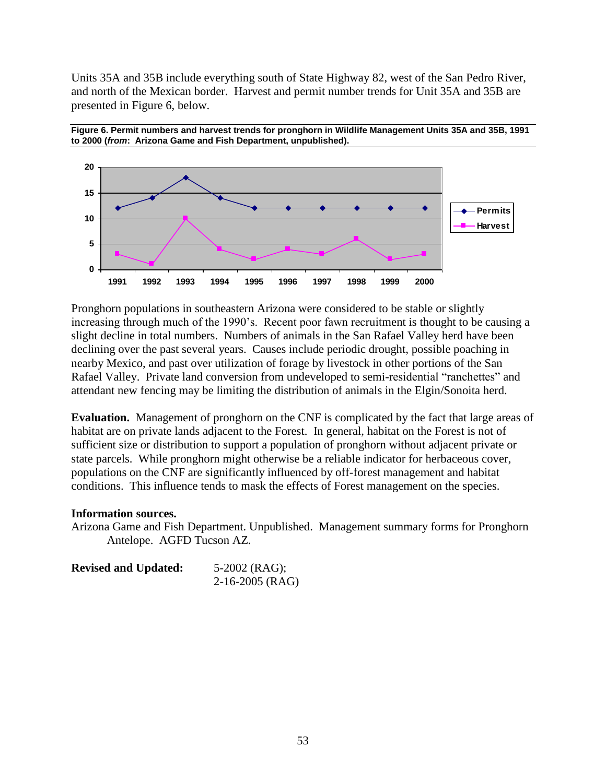Units 35A and 35B include everything south of State Highway 82, west of the San Pedro River, and north of the Mexican border. Harvest and permit number trends for Unit 35A and 35B are presented in Figure 6, below.





Pronghorn populations in southeastern Arizona were considered to be stable or slightly increasing through much of the 1990's. Recent poor fawn recruitment is thought to be causing a slight decline in total numbers. Numbers of animals in the San Rafael Valley herd have been declining over the past several years. Causes include periodic drought, possible poaching in nearby Mexico, and past over utilization of forage by livestock in other portions of the San Rafael Valley. Private land conversion from undeveloped to semi-residential "ranchettes" and attendant new fencing may be limiting the distribution of animals in the Elgin/Sonoita herd.

**Evaluation.** Management of pronghorn on the CNF is complicated by the fact that large areas of habitat are on private lands adjacent to the Forest. In general, habitat on the Forest is not of sufficient size or distribution to support a population of pronghorn without adjacent private or state parcels. While pronghorn might otherwise be a reliable indicator for herbaceous cover, populations on the CNF are significantly influenced by off-forest management and habitat conditions. This influence tends to mask the effects of Forest management on the species.

#### **Information sources.**

Arizona Game and Fish Department. Unpublished. Management summary forms for Pronghorn Antelope. AGFD Tucson AZ.

| <b>Revised and Updated:</b> | $5-2002$ (RAG);   |
|-----------------------------|-------------------|
|                             | $2-16-2005$ (RAG) |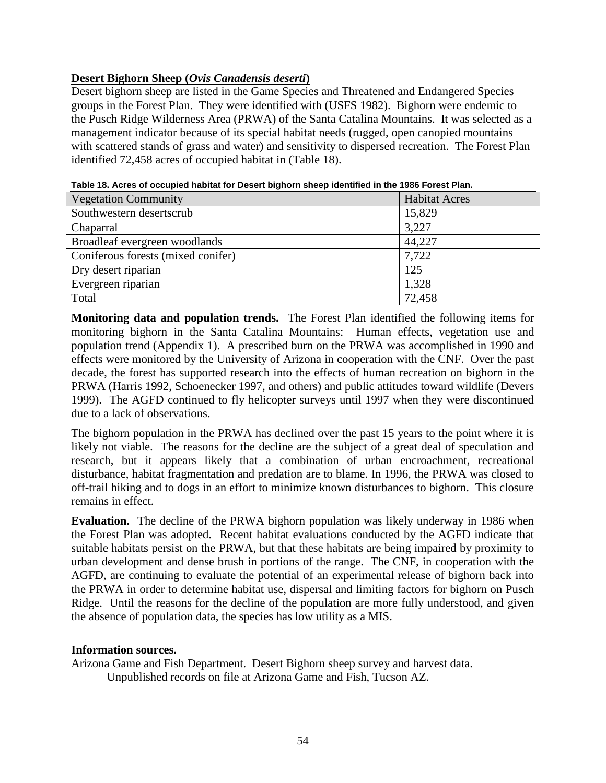# **Desert Bighorn Sheep (***Ovis Canadensis deserti***)**

Desert bighorn sheep are listed in the Game Species and Threatened and Endangered Species groups in the Forest Plan. They were identified with (USFS 1982). Bighorn were endemic to the Pusch Ridge Wilderness Area (PRWA) of the Santa Catalina Mountains. It was selected as a management indicator because of its special habitat needs (rugged, open canopied mountains with scattered stands of grass and water) and sensitivity to dispersed recreation. The Forest Plan identified 72,458 acres of occupied habitat in (Table 18).

| Table To. Acres of occupied habitat for Desert bighorn sheep identified in the 1900 Forest Fiah. |                      |  |
|--------------------------------------------------------------------------------------------------|----------------------|--|
| <b>Vegetation Community</b>                                                                      | <b>Habitat Acres</b> |  |
| Southwestern desertscrub                                                                         | 15,829               |  |
| Chaparral                                                                                        | 3,227                |  |
| Broadleaf evergreen woodlands                                                                    | 44,227               |  |
| Coniferous forests (mixed conifer)                                                               | 7,722                |  |
| Dry desert riparian                                                                              | 125                  |  |
| Evergreen riparian                                                                               | 1,328                |  |
| Total                                                                                            | 72,458               |  |

**Table 18. Acres of occupied habitat for Desert bighorn sheep identified in the 1986 Forest Plan.**

**Monitoring data and population trends.** The Forest Plan identified the following items for monitoring bighorn in the Santa Catalina Mountains: Human effects, vegetation use and population trend (Appendix 1). A prescribed burn on the PRWA was accomplished in 1990 and effects were monitored by the University of Arizona in cooperation with the CNF. Over the past decade, the forest has supported research into the effects of human recreation on bighorn in the PRWA (Harris 1992, Schoenecker 1997, and others) and public attitudes toward wildlife (Devers 1999). The AGFD continued to fly helicopter surveys until 1997 when they were discontinued due to a lack of observations.

The bighorn population in the PRWA has declined over the past 15 years to the point where it is likely not viable. The reasons for the decline are the subject of a great deal of speculation and research, but it appears likely that a combination of urban encroachment, recreational disturbance, habitat fragmentation and predation are to blame. In 1996, the PRWA was closed to off-trail hiking and to dogs in an effort to minimize known disturbances to bighorn. This closure remains in effect.

**Evaluation.** The decline of the PRWA bighorn population was likely underway in 1986 when the Forest Plan was adopted. Recent habitat evaluations conducted by the AGFD indicate that suitable habitats persist on the PRWA, but that these habitats are being impaired by proximity to urban development and dense brush in portions of the range. The CNF, in cooperation with the AGFD, are continuing to evaluate the potential of an experimental release of bighorn back into the PRWA in order to determine habitat use, dispersal and limiting factors for bighorn on Pusch Ridge. Until the reasons for the decline of the population are more fully understood, and given the absence of population data, the species has low utility as a MIS.

### **Information sources.**

Arizona Game and Fish Department. Desert Bighorn sheep survey and harvest data. Unpublished records on file at Arizona Game and Fish, Tucson AZ.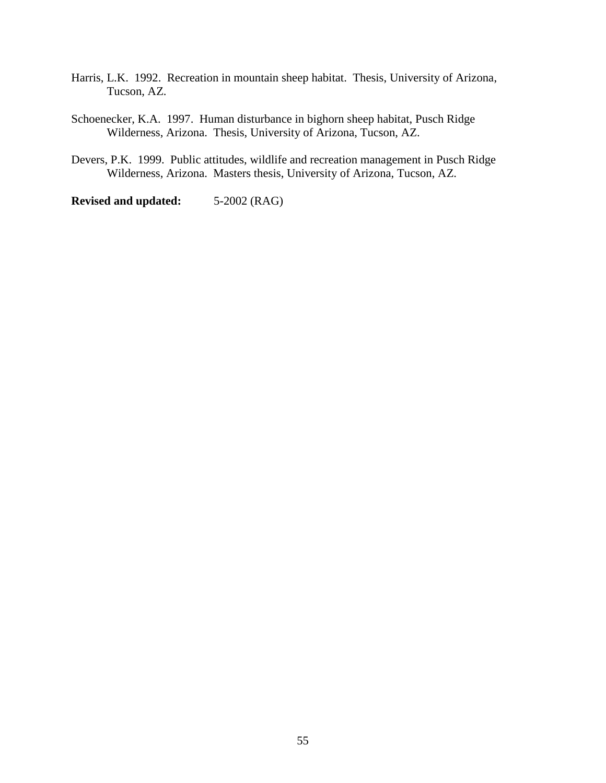- Harris, L.K. 1992. Recreation in mountain sheep habitat. Thesis, University of Arizona, Tucson, AZ.
- Schoenecker, K.A. 1997. Human disturbance in bighorn sheep habitat, Pusch Ridge Wilderness, Arizona. Thesis, University of Arizona, Tucson, AZ.
- Devers, P.K. 1999. Public attitudes, wildlife and recreation management in Pusch Ridge Wilderness, Arizona. Masters thesis, University of Arizona, Tucson, AZ.

**Revised and updated:** 5-2002 (RAG)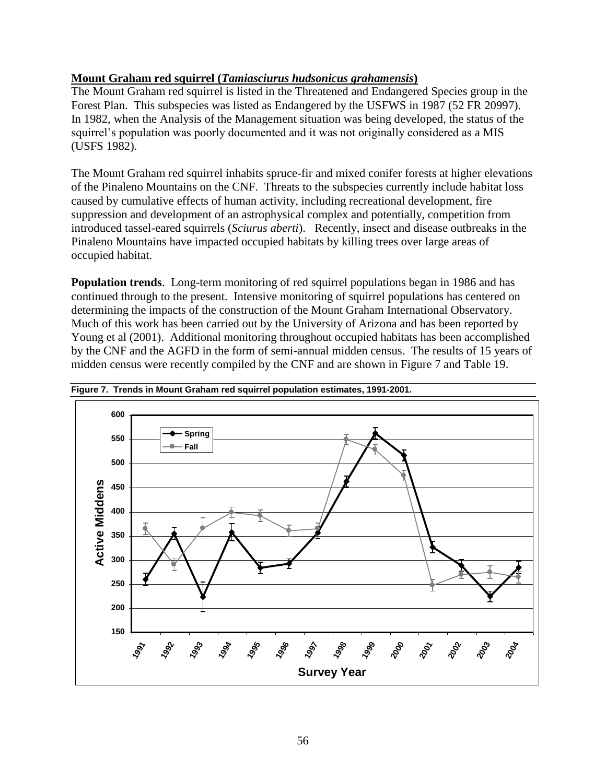# **Mount Graham red squirrel (***Tamiasciurus hudsonicus grahamensis***)**

The Mount Graham red squirrel is listed in the Threatened and Endangered Species group in the Forest Plan. This subspecies was listed as Endangered by the USFWS in 1987 (52 FR 20997). In 1982, when the Analysis of the Management situation was being developed, the status of the squirrel's population was poorly documented and it was not originally considered as a MIS (USFS 1982).

The Mount Graham red squirrel inhabits spruce-fir and mixed conifer forests at higher elevations of the Pinaleno Mountains on the CNF. Threats to the subspecies currently include habitat loss caused by cumulative effects of human activity, including recreational development, fire suppression and development of an astrophysical complex and potentially, competition from introduced tassel-eared squirrels (*Sciurus aberti*). Recently, insect and disease outbreaks in the Pinaleno Mountains have impacted occupied habitats by killing trees over large areas of occupied habitat.

**Population trends**. Long-term monitoring of red squirrel populations began in 1986 and has continued through to the present. Intensive monitoring of squirrel populations has centered on determining the impacts of the construction of the Mount Graham International Observatory. Much of this work has been carried out by the University of Arizona and has been reported by Young et al (2001). Additional monitoring throughout occupied habitats has been accomplished by the CNF and the AGFD in the form of semi-annual midden census. The results of 15 years of midden census were recently compiled by the CNF and are shown in Figure 7 and Table 19.



**Figure 7. Trends in Mount Graham red squirrel population estimates, 1991-2001.**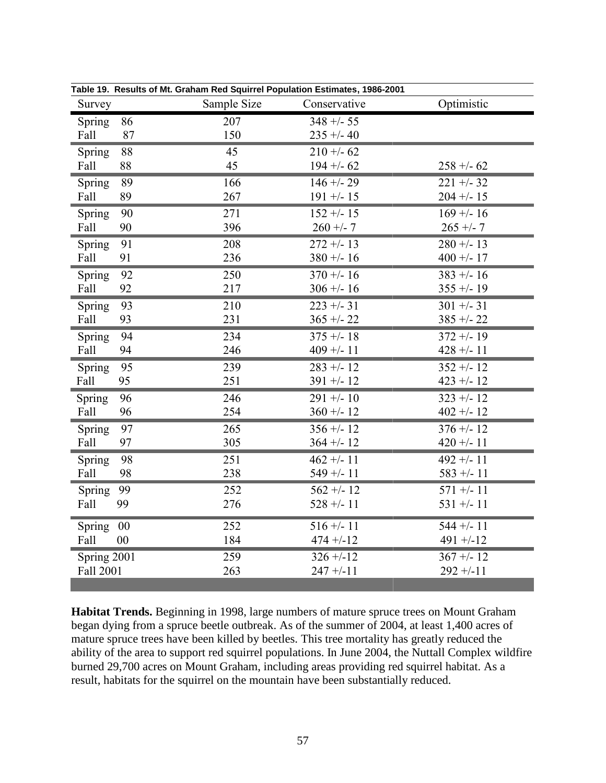| Survey      |    | Sample Size | Conservative | Optimistic   |
|-------------|----|-------------|--------------|--------------|
| Spring      | 86 | 207         | $348 + -55$  |              |
| Fall        | 87 | 150         | $235 + -40$  |              |
| Spring      | 88 | 45          | $210 + -62$  | $258 + -62$  |
| Fall        | 88 | 45          | $194 + -62$  |              |
| Spring      | 89 | 166         | $146 + - 29$ | $221 + -32$  |
| Fall        | 89 | 267         | $191 + - 15$ | $204 + - 15$ |
| Spring      | 90 | 271         | $152 + - 15$ | $169 + - 16$ |
| Fall        | 90 | 396         | $260 + -7$   | $265 + -7$   |
| Spring      | 91 | 208         | $272 + - 13$ | $280 + - 13$ |
| Fall        | 91 | 236         | $380 + - 16$ | $400 + - 17$ |
| Spring      | 92 | 250         | $370 + - 16$ | $383 + - 16$ |
| Fall        | 92 | 217         | $306 + - 16$ | $355 + - 19$ |
| Spring      | 93 | 210         | $223 + -31$  | $301 + -31$  |
| Fall        | 93 | 231         | $365 + -22$  | $385 + -22$  |
| Spring      | 94 | 234         | $375 + - 18$ | $372 + - 19$ |
| Fall        | 94 | 246         | $409 + - 11$ | $428 + - 11$ |
| Spring      | 95 | 239         | $283 + - 12$ | $352 + - 12$ |
| Fall        | 95 | 251         | $391 + - 12$ | $423 + - 12$ |
| Spring      | 96 | 246         | $291 + - 10$ | $323 + - 12$ |
| Fall        | 96 | 254         | $360 + - 12$ | $402 + - 12$ |
| Spring      | 97 | 265         | $356 + - 12$ | $376 + - 12$ |
| Fall        | 97 | 305         | $364 + - 12$ | $420 + - 11$ |
| Spring      | 98 | 251         | $462 + - 11$ | $492 + - 11$ |
| Fall        | 98 | 238         | $549 + - 11$ | $583 + - 11$ |
| Spring      | 99 | 252         | $562 + - 12$ | $571 +/- 11$ |
| Fall        | 99 | 276         | $528 + - 11$ | $531 +/- 11$ |
| Spring      | 00 | 252         | $516 + - 11$ | $544 + - 11$ |
| Fall        | 00 | 184         | $474 + -12$  | $491 + -12$  |
| Spring 2001 |    | 259         | $326 + -12$  | $367 + - 12$ |
| Fall 2001   |    | 263         | $247 + -11$  | $292 + -11$  |

**Table 19. Results of Mt. Graham Red Squirrel Population Estimates, 1986-2001**

**Habitat Trends.** Beginning in 1998, large numbers of mature spruce trees on Mount Graham began dying from a spruce beetle outbreak. As of the summer of 2004, at least 1,400 acres of mature spruce trees have been killed by beetles. This tree mortality has greatly reduced the ability of the area to support red squirrel populations. In June 2004, the Nuttall Complex wildfire burned 29,700 acres on Mount Graham, including areas providing red squirrel habitat. As a result, habitats for the squirrel on the mountain have been substantially reduced.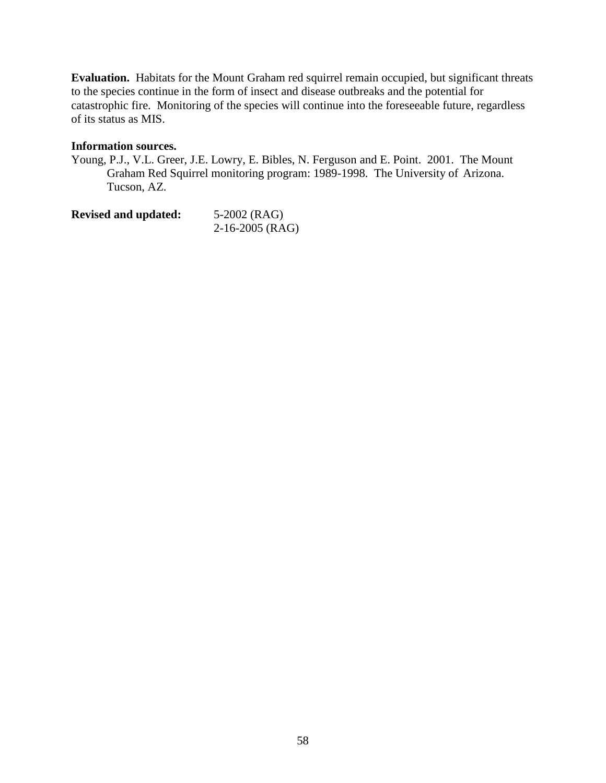**Evaluation.** Habitats for the Mount Graham red squirrel remain occupied, but significant threats to the species continue in the form of insect and disease outbreaks and the potential for catastrophic fire. Monitoring of the species will continue into the foreseeable future, regardless of its status as MIS.

### **Information sources.**

Young, P.J., V.L. Greer, J.E. Lowry, E. Bibles, N. Ferguson and E. Point. 2001. The Mount Graham Red Squirrel monitoring program: 1989-1998. The University of Arizona. Tucson, AZ.

| <b>Revised and updated:</b> | 5-2002 (RAG)      |  |
|-----------------------------|-------------------|--|
|                             | $2-16-2005$ (RAG) |  |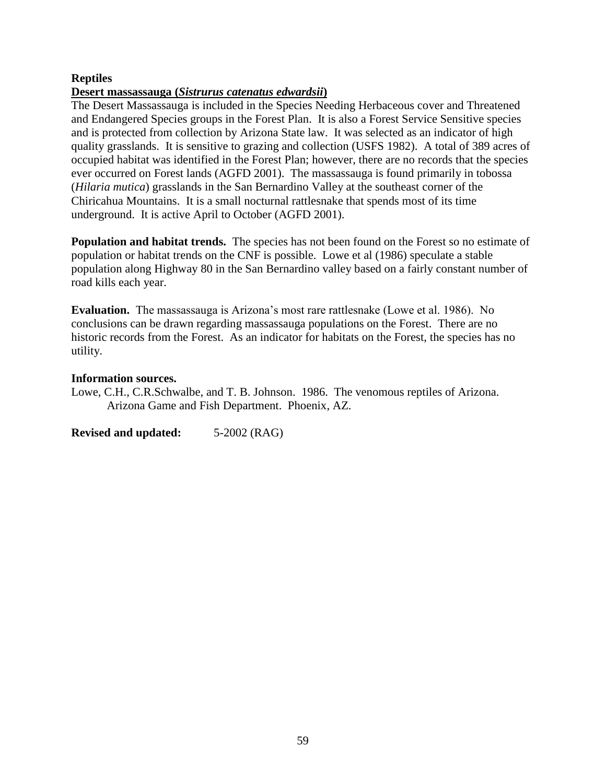# **Reptiles**

### **Desert massassauga (***Sistrurus catenatus edwardsii***)**

The Desert Massassauga is included in the Species Needing Herbaceous cover and Threatened and Endangered Species groups in the Forest Plan. It is also a Forest Service Sensitive species and is protected from collection by Arizona State law. It was selected as an indicator of high quality grasslands. It is sensitive to grazing and collection (USFS 1982). A total of 389 acres of occupied habitat was identified in the Forest Plan; however, there are no records that the species ever occurred on Forest lands (AGFD 2001). The massassauga is found primarily in tobossa (*Hilaria mutica*) grasslands in the San Bernardino Valley at the southeast corner of the Chiricahua Mountains. It is a small nocturnal rattlesnake that spends most of its time underground. It is active April to October (AGFD 2001).

**Population and habitat trends.** The species has not been found on the Forest so no estimate of population or habitat trends on the CNF is possible. Lowe et al (1986) speculate a stable population along Highway 80 in the San Bernardino valley based on a fairly constant number of road kills each year.

**Evaluation.** The massassauga is Arizona's most rare rattlesnake (Lowe et al. 1986). No conclusions can be drawn regarding massassauga populations on the Forest. There are no historic records from the Forest. As an indicator for habitats on the Forest, the species has no utility.

### **Information sources.**

Lowe, C.H., C.R.Schwalbe, and T. B. Johnson. 1986. The venomous reptiles of Arizona. Arizona Game and Fish Department. Phoenix, AZ.

**Revised and updated:** 5-2002 (RAG)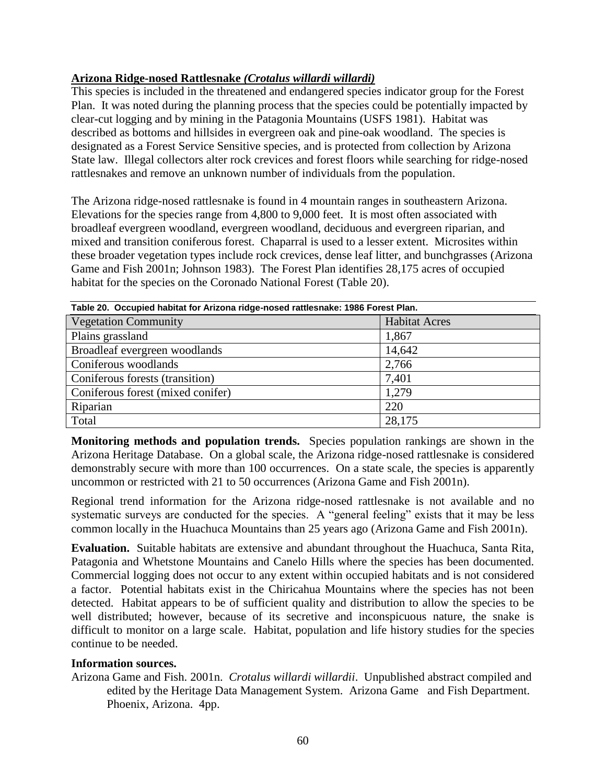# **Arizona Ridge-nosed Rattlesnake** *(Crotalus willardi willardi)*

This species is included in the threatened and endangered species indicator group for the Forest Plan. It was noted during the planning process that the species could be potentially impacted by clear-cut logging and by mining in the Patagonia Mountains (USFS 1981). Habitat was described as bottoms and hillsides in evergreen oak and pine-oak woodland. The species is designated as a Forest Service Sensitive species, and is protected from collection by Arizona State law. Illegal collectors alter rock crevices and forest floors while searching for ridge-nosed rattlesnakes and remove an unknown number of individuals from the population.

The Arizona ridge-nosed rattlesnake is found in 4 mountain ranges in southeastern Arizona. Elevations for the species range from 4,800 to 9,000 feet. It is most often associated with broadleaf evergreen woodland, evergreen woodland, deciduous and evergreen riparian, and mixed and transition coniferous forest. Chaparral is used to a lesser extent. Microsites within these broader vegetation types include rock crevices, dense leaf litter, and bunchgrasses (Arizona Game and Fish 2001n; Johnson 1983). The Forest Plan identifies 28,175 acres of occupied habitat for the species on the Coronado National Forest (Table 20).

| Table 20. Occupied habitat for Arizona ridge-nosed rattlesnake: 1986 Forest Plan. |                      |  |
|-----------------------------------------------------------------------------------|----------------------|--|
| <b>Vegetation Community</b>                                                       | <b>Habitat Acres</b> |  |
| Plains grassland                                                                  | 1,867                |  |
| Broadleaf evergreen woodlands                                                     | 14,642               |  |
| Coniferous woodlands                                                              | 2,766                |  |
| Coniferous forests (transition)                                                   | 7,401                |  |
| Coniferous forest (mixed conifer)                                                 | 1,279                |  |
| Riparian                                                                          | 220                  |  |
| Total                                                                             | 28,175               |  |

**Monitoring methods and population trends.** Species population rankings are shown in the Arizona Heritage Database. On a global scale, the Arizona ridge-nosed rattlesnake is considered demonstrably secure with more than 100 occurrences. On a state scale, the species is apparently uncommon or restricted with 21 to 50 occurrences (Arizona Game and Fish 2001n).

Regional trend information for the Arizona ridge-nosed rattlesnake is not available and no systematic surveys are conducted for the species. A "general feeling" exists that it may be less common locally in the Huachuca Mountains than 25 years ago (Arizona Game and Fish 2001n).

**Evaluation.** Suitable habitats are extensive and abundant throughout the Huachuca, Santa Rita, Patagonia and Whetstone Mountains and Canelo Hills where the species has been documented. Commercial logging does not occur to any extent within occupied habitats and is not considered a factor. Potential habitats exist in the Chiricahua Mountains where the species has not been detected. Habitat appears to be of sufficient quality and distribution to allow the species to be well distributed; however, because of its secretive and inconspicuous nature, the snake is difficult to monitor on a large scale. Habitat, population and life history studies for the species continue to be needed.

# **Information sources.**

Arizona Game and Fish. 2001n. *Crotalus willardi willardii*. Unpublished abstract compiled and edited by the Heritage Data Management System. Arizona Game and Fish Department. Phoenix, Arizona. 4pp.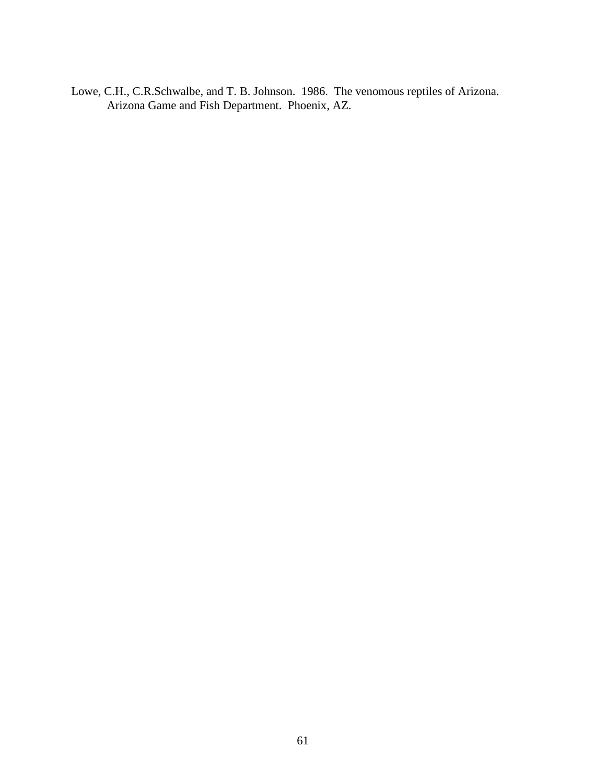Lowe, C.H., C.R.Schwalbe, and T. B. Johnson. 1986. The venomous reptiles of Arizona. Arizona Game and Fish Department. Phoenix, AZ.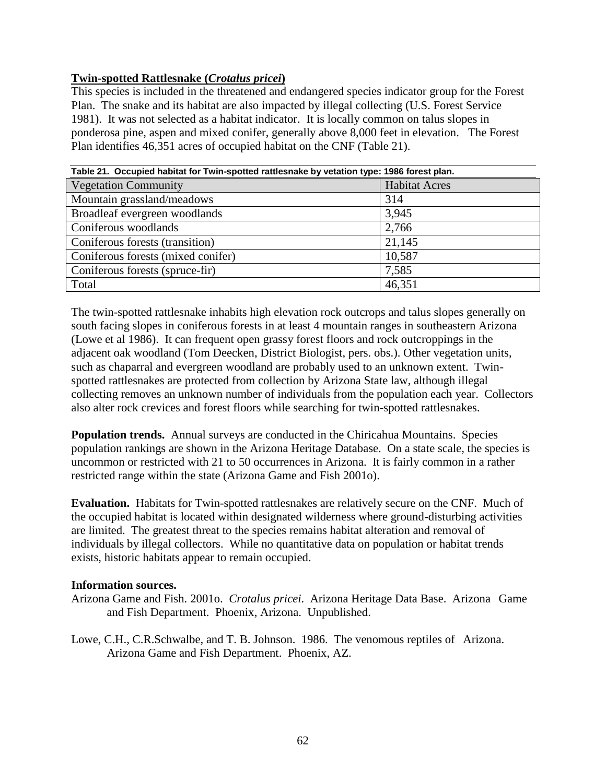# **Twin-spotted Rattlesnake (***Crotalus pricei***)**

This species is included in the threatened and endangered species indicator group for the Forest Plan. The snake and its habitat are also impacted by illegal collecting (U.S. Forest Service 1981). It was not selected as a habitat indicator. It is locally common on talus slopes in ponderosa pine, aspen and mixed conifer, generally above 8,000 feet in elevation. The Forest Plan identifies 46,351 acres of occupied habitat on the CNF (Table 21).

| Table 21. Occupied habitat for Twin-spotted rattlesnake by vetation type: 1986 forest plan. |                      |  |
|---------------------------------------------------------------------------------------------|----------------------|--|
| <b>Vegetation Community</b>                                                                 | <b>Habitat Acres</b> |  |
| Mountain grassland/meadows                                                                  | 314                  |  |
| Broadleaf evergreen woodlands                                                               | 3,945                |  |
| Coniferous woodlands                                                                        | 2,766                |  |
| Coniferous forests (transition)                                                             | 21,145               |  |
| Coniferous forests (mixed conifer)                                                          | 10,587               |  |
| Coniferous forests (spruce-fir)                                                             | 7,585                |  |
| Total                                                                                       | 46,351               |  |

The twin-spotted rattlesnake inhabits high elevation rock outcrops and talus slopes generally on south facing slopes in coniferous forests in at least 4 mountain ranges in southeastern Arizona (Lowe et al 1986). It can frequent open grassy forest floors and rock outcroppings in the adjacent oak woodland (Tom Deecken, District Biologist, pers. obs.). Other vegetation units, such as chaparral and evergreen woodland are probably used to an unknown extent. Twinspotted rattlesnakes are protected from collection by Arizona State law, although illegal collecting removes an unknown number of individuals from the population each year. Collectors also alter rock crevices and forest floors while searching for twin-spotted rattlesnakes.

**Population trends.** Annual surveys are conducted in the Chiricahua Mountains. Species population rankings are shown in the Arizona Heritage Database. On a state scale, the species is uncommon or restricted with 21 to 50 occurrences in Arizona. It is fairly common in a rather restricted range within the state (Arizona Game and Fish 2001o).

**Evaluation.** Habitats for Twin-spotted rattlesnakes are relatively secure on the CNF. Much of the occupied habitat is located within designated wilderness where ground-disturbing activities are limited. The greatest threat to the species remains habitat alteration and removal of individuals by illegal collectors. While no quantitative data on population or habitat trends exists, historic habitats appear to remain occupied.

# **Information sources.**

- Arizona Game and Fish. 2001o. *Crotalus pricei*. Arizona Heritage Data Base. Arizona Game and Fish Department. Phoenix, Arizona. Unpublished.
- Lowe, C.H., C.R.Schwalbe, and T. B. Johnson. 1986. The venomous reptiles of Arizona. Arizona Game and Fish Department. Phoenix, AZ.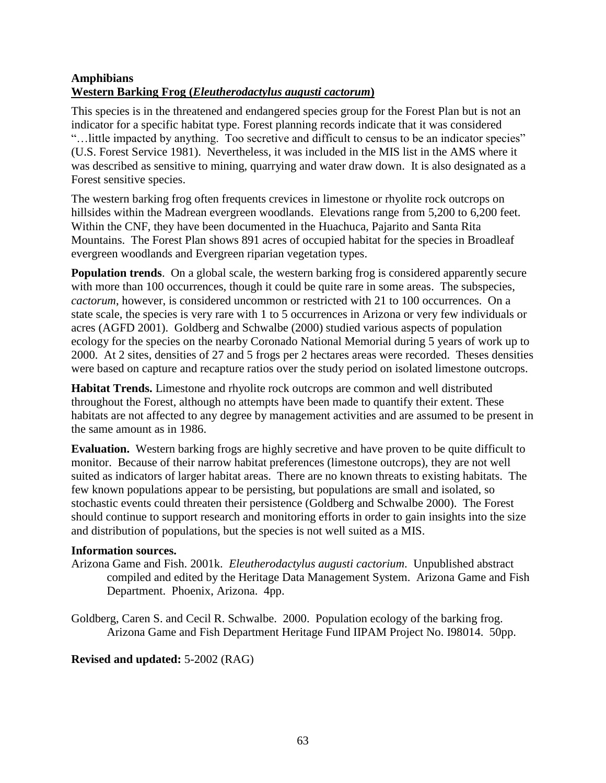# **Amphibians Western Barking Frog (***Eleutherodactylus augusti cactorum***)**

This species is in the threatened and endangered species group for the Forest Plan but is not an indicator for a specific habitat type. Forest planning records indicate that it was considered "…little impacted by anything. Too secretive and difficult to census to be an indicator species" (U.S. Forest Service 1981). Nevertheless, it was included in the MIS list in the AMS where it was described as sensitive to mining, quarrying and water draw down. It is also designated as a Forest sensitive species.

The western barking frog often frequents crevices in limestone or rhyolite rock outcrops on hillsides within the Madrean evergreen woodlands. Elevations range from 5,200 to 6,200 feet. Within the CNF, they have been documented in the Huachuca, Pajarito and Santa Rita Mountains. The Forest Plan shows 891 acres of occupied habitat for the species in Broadleaf evergreen woodlands and Evergreen riparian vegetation types.

**Population trends.** On a global scale, the western barking frog is considered apparently secure with more than 100 occurrences, though it could be quite rare in some areas. The subspecies, *cactorum*, however, is considered uncommon or restricted with 21 to 100 occurrences. On a state scale, the species is very rare with 1 to 5 occurrences in Arizona or very few individuals or acres (AGFD 2001). Goldberg and Schwalbe (2000) studied various aspects of population ecology for the species on the nearby Coronado National Memorial during 5 years of work up to 2000. At 2 sites, densities of 27 and 5 frogs per 2 hectares areas were recorded. Theses densities were based on capture and recapture ratios over the study period on isolated limestone outcrops.

**Habitat Trends.** Limestone and rhyolite rock outcrops are common and well distributed throughout the Forest, although no attempts have been made to quantify their extent. These habitats are not affected to any degree by management activities and are assumed to be present in the same amount as in 1986.

**Evaluation.** Western barking frogs are highly secretive and have proven to be quite difficult to monitor. Because of their narrow habitat preferences (limestone outcrops), they are not well suited as indicators of larger habitat areas. There are no known threats to existing habitats. The few known populations appear to be persisting, but populations are small and isolated, so stochastic events could threaten their persistence (Goldberg and Schwalbe 2000). The Forest should continue to support research and monitoring efforts in order to gain insights into the size and distribution of populations, but the species is not well suited as a MIS.

# **Information sources.**

- Arizona Game and Fish. 2001k. *Eleutherodactylus augusti cactorium*. Unpublished abstract compiled and edited by the Heritage Data Management System. Arizona Game and Fish Department. Phoenix, Arizona. 4pp.
- Goldberg, Caren S. and Cecil R. Schwalbe. 2000. Population ecology of the barking frog. Arizona Game and Fish Department Heritage Fund IIPAM Project No. I98014. 50pp.

# **Revised and updated:** 5-2002 (RAG)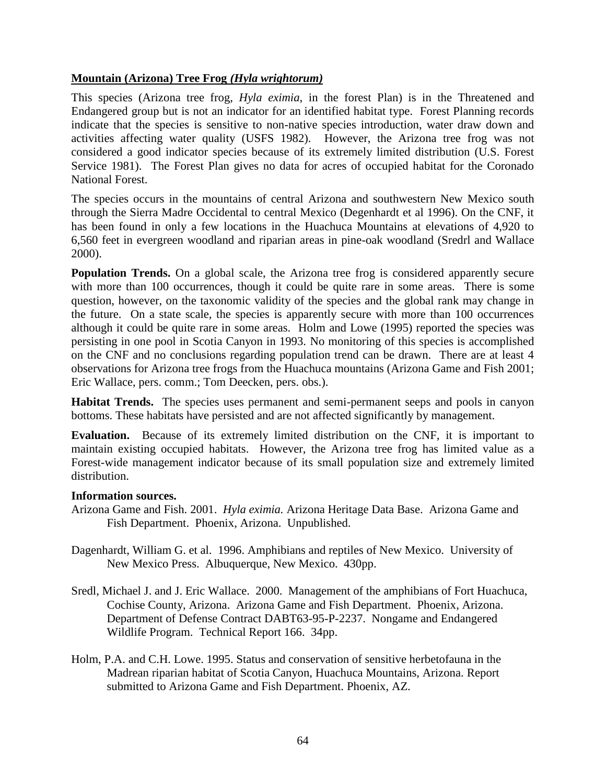### **Mountain (Arizona) Tree Frog** *(Hyla wrightorum)*

This species (Arizona tree frog, *Hyla eximia*, in the forest Plan) is in the Threatened and Endangered group but is not an indicator for an identified habitat type. Forest Planning records indicate that the species is sensitive to non-native species introduction, water draw down and activities affecting water quality (USFS 1982). However, the Arizona tree frog was not considered a good indicator species because of its extremely limited distribution (U.S. Forest Service 1981). The Forest Plan gives no data for acres of occupied habitat for the Coronado National Forest.

The species occurs in the mountains of central Arizona and southwestern New Mexico south through the Sierra Madre Occidental to central Mexico (Degenhardt et al 1996). On the CNF, it has been found in only a few locations in the Huachuca Mountains at elevations of 4,920 to 6,560 feet in evergreen woodland and riparian areas in pine-oak woodland (Sredrl and Wallace 2000).

**Population Trends.** On a global scale, the Arizona tree frog is considered apparently secure with more than 100 occurrences, though it could be quite rare in some areas. There is some question, however, on the taxonomic validity of the species and the global rank may change in the future. On a state scale, the species is apparently secure with more than 100 occurrences although it could be quite rare in some areas. Holm and Lowe (1995) reported the species was persisting in one pool in Scotia Canyon in 1993. No monitoring of this species is accomplished on the CNF and no conclusions regarding population trend can be drawn. There are at least 4 observations for Arizona tree frogs from the Huachuca mountains (Arizona Game and Fish 2001; Eric Wallace, pers. comm.; Tom Deecken, pers. obs.).

**Habitat Trends.** The species uses permanent and semi-permanent seeps and pools in canyon bottoms. These habitats have persisted and are not affected significantly by management.

**Evaluation.** Because of its extremely limited distribution on the CNF, it is important to maintain existing occupied habitats. However, the Arizona tree frog has limited value as a Forest-wide management indicator because of its small population size and extremely limited distribution.

### **Information sources.**

- Arizona Game and Fish. 2001. *Hyla eximia.* Arizona Heritage Data Base. Arizona Game and Fish Department. Phoenix, Arizona. Unpublished.
- Dagenhardt, William G. et al. 1996. Amphibians and reptiles of New Mexico. University of New Mexico Press. Albuquerque, New Mexico. 430pp.
- Sredl, Michael J. and J. Eric Wallace. 2000. Management of the amphibians of Fort Huachuca, Cochise County, Arizona. Arizona Game and Fish Department. Phoenix, Arizona. Department of Defense Contract DABT63-95-P-2237. Nongame and Endangered Wildlife Program. Technical Report 166. 34pp.
- Holm, P.A. and C.H. Lowe. 1995. Status and conservation of sensitive herbetofauna in the Madrean riparian habitat of Scotia Canyon, Huachuca Mountains, Arizona. Report submitted to Arizona Game and Fish Department. Phoenix, AZ.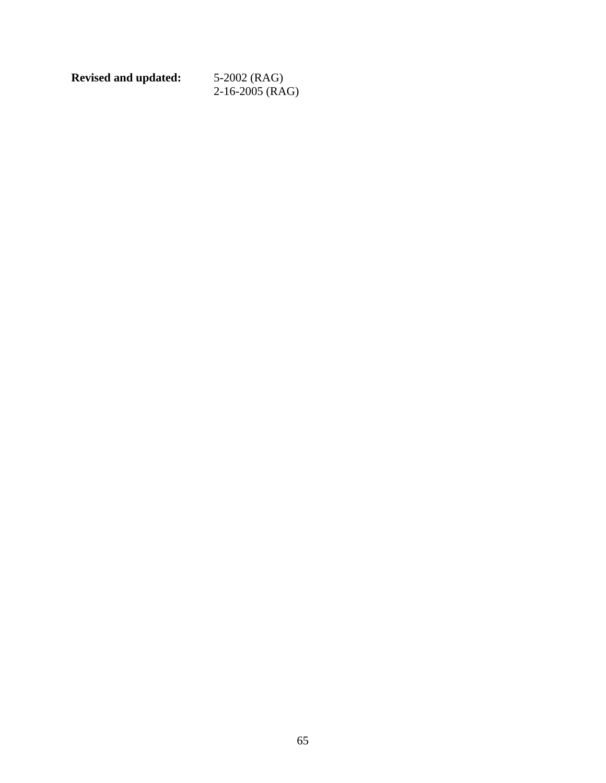**Revised and updated:** 5-2002 (RAG)

2-16-2005 (RAG)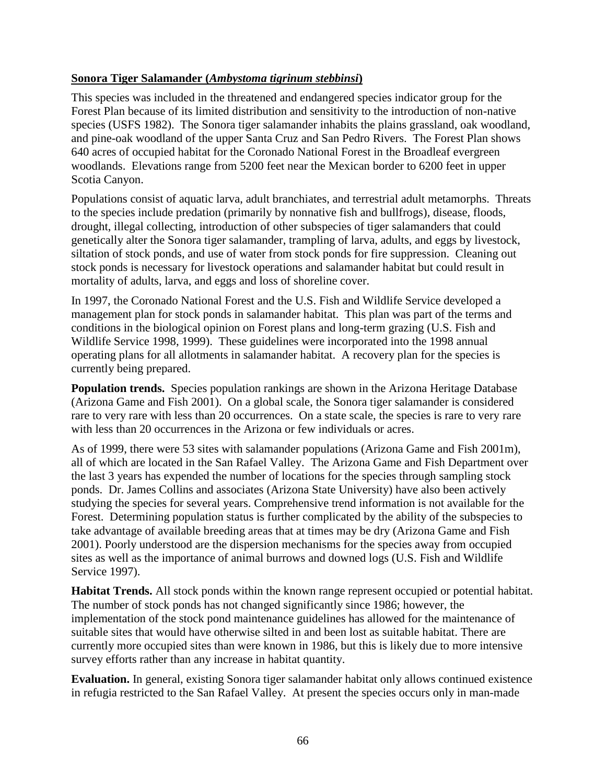### **Sonora Tiger Salamander (***Ambystoma tigrinum stebbinsi***)**

This species was included in the threatened and endangered species indicator group for the Forest Plan because of its limited distribution and sensitivity to the introduction of non-native species (USFS 1982). The Sonora tiger salamander inhabits the plains grassland, oak woodland, and pine-oak woodland of the upper Santa Cruz and San Pedro Rivers. The Forest Plan shows 640 acres of occupied habitat for the Coronado National Forest in the Broadleaf evergreen woodlands. Elevations range from 5200 feet near the Mexican border to 6200 feet in upper Scotia Canyon.

Populations consist of aquatic larva, adult branchiates, and terrestrial adult metamorphs. Threats to the species include predation (primarily by nonnative fish and bullfrogs), disease, floods, drought, illegal collecting, introduction of other subspecies of tiger salamanders that could genetically alter the Sonora tiger salamander, trampling of larva, adults, and eggs by livestock, siltation of stock ponds, and use of water from stock ponds for fire suppression. Cleaning out stock ponds is necessary for livestock operations and salamander habitat but could result in mortality of adults, larva, and eggs and loss of shoreline cover.

In 1997, the Coronado National Forest and the U.S. Fish and Wildlife Service developed a management plan for stock ponds in salamander habitat. This plan was part of the terms and conditions in the biological opinion on Forest plans and long-term grazing (U.S. Fish and Wildlife Service 1998, 1999). These guidelines were incorporated into the 1998 annual operating plans for all allotments in salamander habitat. A recovery plan for the species is currently being prepared.

**Population trends.** Species population rankings are shown in the Arizona Heritage Database (Arizona Game and Fish 2001). On a global scale, the Sonora tiger salamander is considered rare to very rare with less than 20 occurrences. On a state scale, the species is rare to very rare with less than 20 occurrences in the Arizona or few individuals or acres.

As of 1999, there were 53 sites with salamander populations (Arizona Game and Fish 2001m), all of which are located in the San Rafael Valley. The Arizona Game and Fish Department over the last 3 years has expended the number of locations for the species through sampling stock ponds. Dr. James Collins and associates (Arizona State University) have also been actively studying the species for several years. Comprehensive trend information is not available for the Forest. Determining population status is further complicated by the ability of the subspecies to take advantage of available breeding areas that at times may be dry (Arizona Game and Fish 2001). Poorly understood are the dispersion mechanisms for the species away from occupied sites as well as the importance of animal burrows and downed logs (U.S. Fish and Wildlife Service 1997).

**Habitat Trends.** All stock ponds within the known range represent occupied or potential habitat. The number of stock ponds has not changed significantly since 1986; however, the implementation of the stock pond maintenance guidelines has allowed for the maintenance of suitable sites that would have otherwise silted in and been lost as suitable habitat. There are currently more occupied sites than were known in 1986, but this is likely due to more intensive survey efforts rather than any increase in habitat quantity.

**Evaluation.** In general, existing Sonora tiger salamander habitat only allows continued existence in refugia restricted to the San Rafael Valley. At present the species occurs only in man-made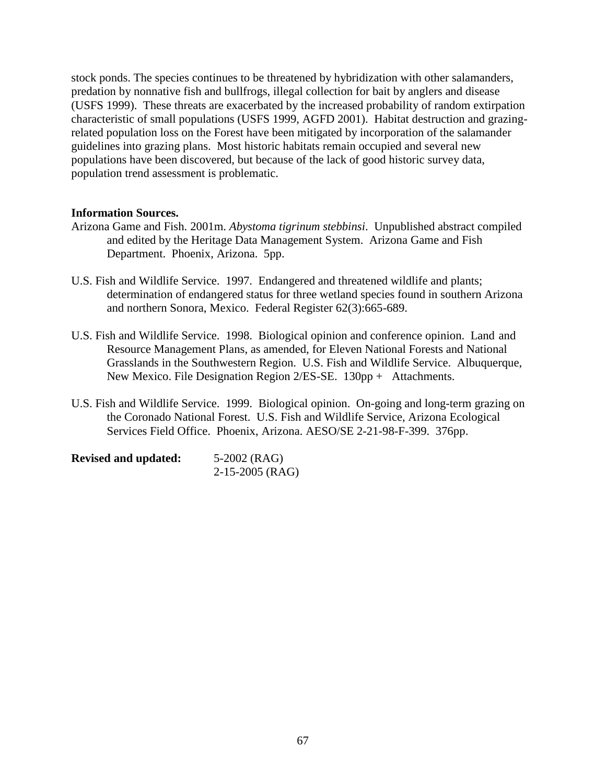stock ponds. The species continues to be threatened by hybridization with other salamanders, predation by nonnative fish and bullfrogs, illegal collection for bait by anglers and disease (USFS 1999). These threats are exacerbated by the increased probability of random extirpation characteristic of small populations (USFS 1999, AGFD 2001). Habitat destruction and grazingrelated population loss on the Forest have been mitigated by incorporation of the salamander guidelines into grazing plans. Most historic habitats remain occupied and several new populations have been discovered, but because of the lack of good historic survey data, population trend assessment is problematic.

### **Information Sources.**

- Arizona Game and Fish. 2001m. *Abystoma tigrinum stebbinsi*. Unpublished abstract compiled and edited by the Heritage Data Management System. Arizona Game and Fish Department. Phoenix, Arizona. 5pp.
- U.S. Fish and Wildlife Service. 1997. Endangered and threatened wildlife and plants; determination of endangered status for three wetland species found in southern Arizona and northern Sonora, Mexico. Federal Register 62(3):665-689.
- U.S. Fish and Wildlife Service. 1998. Biological opinion and conference opinion. Land and Resource Management Plans, as amended, for Eleven National Forests and National Grasslands in the Southwestern Region. U.S. Fish and Wildlife Service. Albuquerque, New Mexico. File Designation Region 2/ES-SE. 130pp + Attachments.
- U.S. Fish and Wildlife Service. 1999. Biological opinion. On-going and long-term grazing on the Coronado National Forest. U.S. Fish and Wildlife Service, Arizona Ecological Services Field Office. Phoenix, Arizona. AESO/SE 2-21-98-F-399. 376pp.

| <b>Revised and updated:</b> | 5-2002 (RAG)    |  |
|-----------------------------|-----------------|--|
|                             | 2-15-2005 (RAG) |  |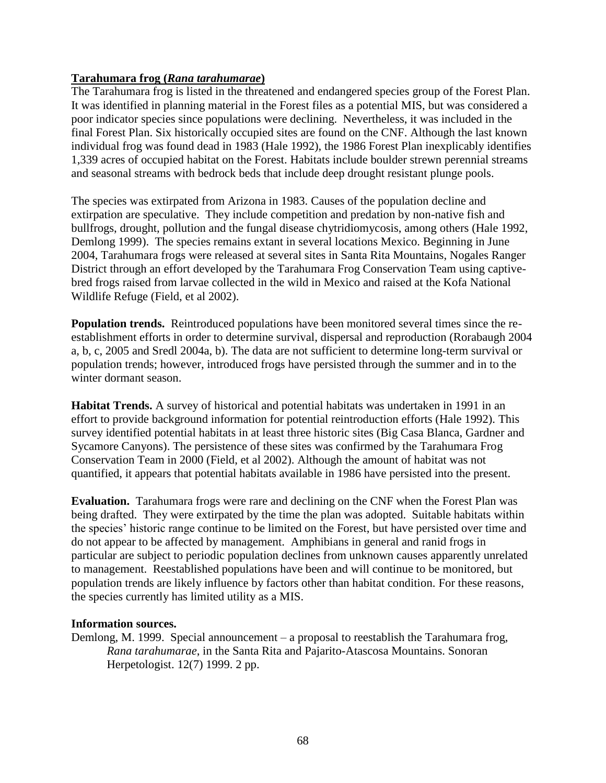### **Tarahumara frog (***Rana tarahumarae***)**

The Tarahumara frog is listed in the threatened and endangered species group of the Forest Plan. It was identified in planning material in the Forest files as a potential MIS, but was considered a poor indicator species since populations were declining. Nevertheless, it was included in the final Forest Plan. Six historically occupied sites are found on the CNF. Although the last known individual frog was found dead in 1983 (Hale 1992), the 1986 Forest Plan inexplicably identifies 1,339 acres of occupied habitat on the Forest. Habitats include boulder strewn perennial streams and seasonal streams with bedrock beds that include deep drought resistant plunge pools.

The species was extirpated from Arizona in 1983. Causes of the population decline and extirpation are speculative. They include competition and predation by non-native fish and bullfrogs, drought, pollution and the fungal disease chytridiomycosis, among others (Hale 1992, Demlong 1999). The species remains extant in several locations Mexico. Beginning in June 2004, Tarahumara frogs were released at several sites in Santa Rita Mountains, Nogales Ranger District through an effort developed by the Tarahumara Frog Conservation Team using captivebred frogs raised from larvae collected in the wild in Mexico and raised at the Kofa National Wildlife Refuge (Field, et al 2002).

**Population trends.** Reintroduced populations have been monitored several times since the reestablishment efforts in order to determine survival, dispersal and reproduction (Rorabaugh 2004 a, b, c, 2005 and Sredl 2004a, b). The data are not sufficient to determine long-term survival or population trends; however, introduced frogs have persisted through the summer and in to the winter dormant season.

**Habitat Trends.** A survey of historical and potential habitats was undertaken in 1991 in an effort to provide background information for potential reintroduction efforts (Hale 1992). This survey identified potential habitats in at least three historic sites (Big Casa Blanca, Gardner and Sycamore Canyons). The persistence of these sites was confirmed by the Tarahumara Frog Conservation Team in 2000 (Field, et al 2002). Although the amount of habitat was not quantified, it appears that potential habitats available in 1986 have persisted into the present.

**Evaluation.** Tarahumara frogs were rare and declining on the CNF when the Forest Plan was being drafted. They were extirpated by the time the plan was adopted. Suitable habitats within the species' historic range continue to be limited on the Forest, but have persisted over time and do not appear to be affected by management. Amphibians in general and ranid frogs in particular are subject to periodic population declines from unknown causes apparently unrelated to management. Reestablished populations have been and will continue to be monitored, but population trends are likely influence by factors other than habitat condition. For these reasons, the species currently has limited utility as a MIS.

### **Information sources.**

Demlong, M. 1999. Special announcement – a proposal to reestablish the Tarahumara frog, *Rana tarahumarae*, in the Santa Rita and Pajarito-Atascosa Mountains. Sonoran Herpetologist. 12(7) 1999. 2 pp.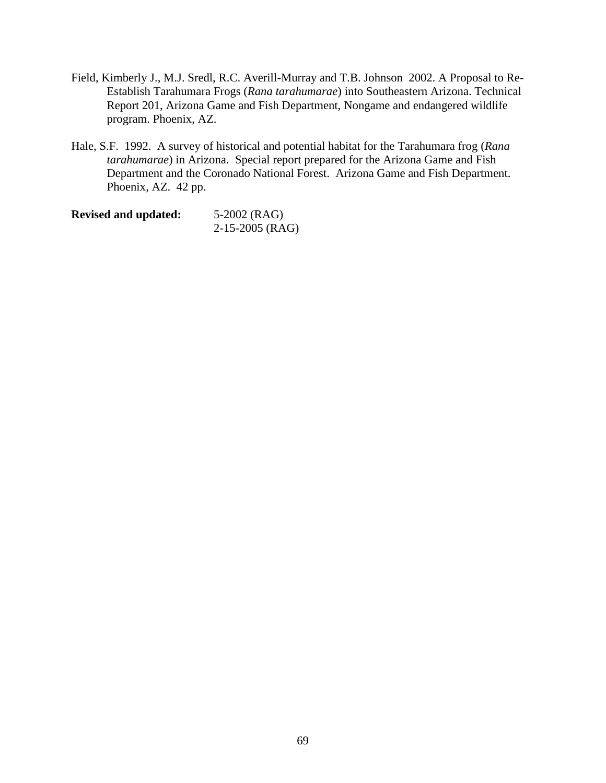- Field, Kimberly J., M.J. Sredl, R.C. Averill-Murray and T.B. Johnson 2002. A Proposal to Re-Establish Tarahumara Frogs (*Rana tarahumarae*) into Southeastern Arizona. Technical Report 201, Arizona Game and Fish Department, Nongame and endangered wildlife program. Phoenix, AZ.
- Hale, S.F. 1992. A survey of historical and potential habitat for the Tarahumara frog (*Rana tarahumarae*) in Arizona. Special report prepared for the Arizona Game and Fish Department and the Coronado National Forest. Arizona Game and Fish Department. Phoenix, AZ. 42 pp.

**Revised and updated:** 5-2002 (RAG) 2-15-2005 (RAG)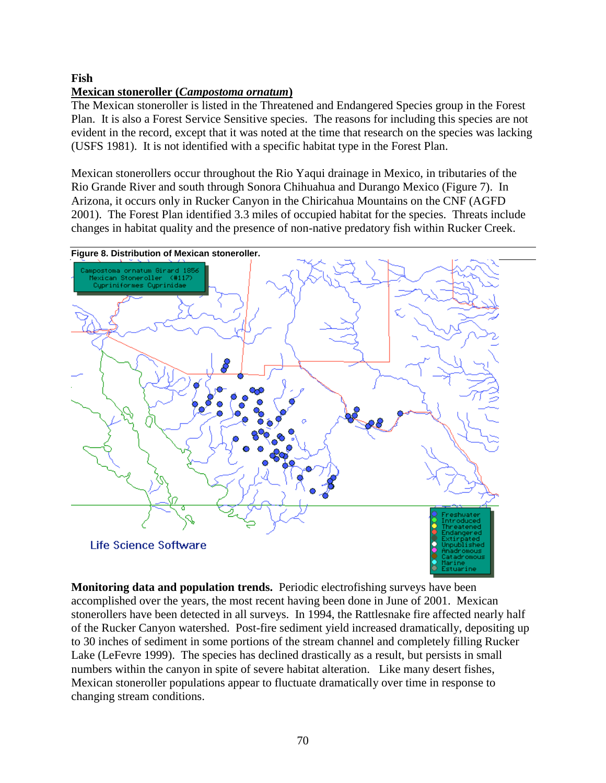# **Fish**

### **Mexican stoneroller (***Campostoma ornatum***)**

The Mexican stoneroller is listed in the Threatened and Endangered Species group in the Forest Plan. It is also a Forest Service Sensitive species. The reasons for including this species are not evident in the record, except that it was noted at the time that research on the species was lacking (USFS 1981). It is not identified with a specific habitat type in the Forest Plan.

Mexican stonerollers occur throughout the Rio Yaqui drainage in Mexico, in tributaries of the Rio Grande River and south through Sonora Chihuahua and Durango Mexico (Figure 7). In Arizona, it occurs only in Rucker Canyon in the Chiricahua Mountains on the CNF (AGFD 2001). The Forest Plan identified 3.3 miles of occupied habitat for the species. Threats include changes in habitat quality and the presence of non-native predatory fish within Rucker Creek.



**Monitoring data and population trends.** Periodic electrofishing surveys have been accomplished over the years, the most recent having been done in June of 2001. Mexican stonerollers have been detected in all surveys. In 1994, the Rattlesnake fire affected nearly half of the Rucker Canyon watershed. Post-fire sediment yield increased dramatically, depositing up to 30 inches of sediment in some portions of the stream channel and completely filling Rucker Lake (LeFevre 1999). The species has declined drastically as a result, but persists in small numbers within the canyon in spite of severe habitat alteration. Like many desert fishes, Mexican stoneroller populations appear to fluctuate dramatically over time in response to changing stream conditions.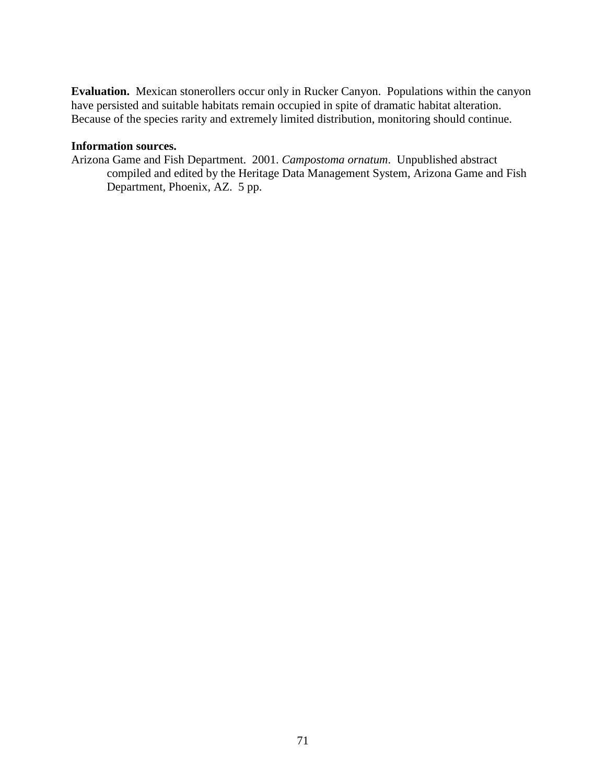**Evaluation.** Mexican stonerollers occur only in Rucker Canyon. Populations within the canyon have persisted and suitable habitats remain occupied in spite of dramatic habitat alteration. Because of the species rarity and extremely limited distribution, monitoring should continue.

### **Information sources.**

Arizona Game and Fish Department. 2001. *Campostoma ornatum*. Unpublished abstract compiled and edited by the Heritage Data Management System, Arizona Game and Fish Department, Phoenix, AZ. 5 pp.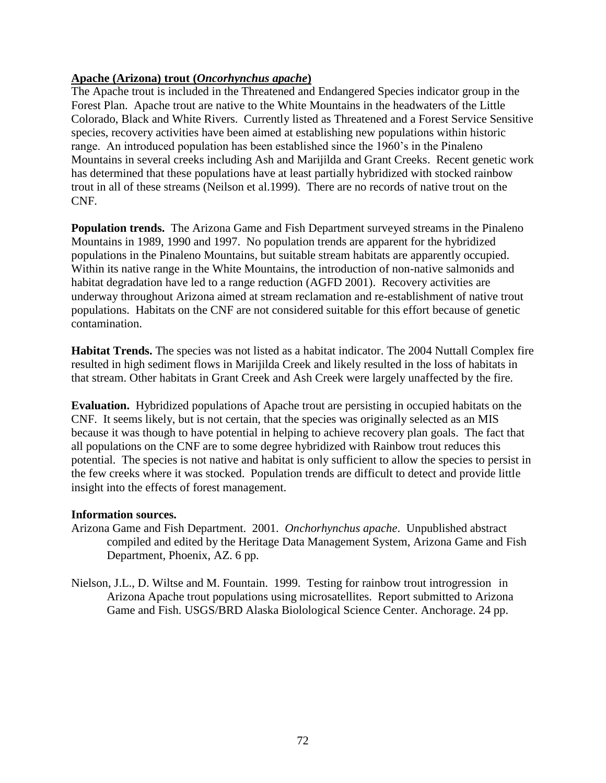### **Apache (Arizona) trout (***Oncorhynchus apache***)**

The Apache trout is included in the Threatened and Endangered Species indicator group in the Forest Plan. Apache trout are native to the White Mountains in the headwaters of the Little Colorado, Black and White Rivers. Currently listed as Threatened and a Forest Service Sensitive species, recovery activities have been aimed at establishing new populations within historic range. An introduced population has been established since the 1960's in the Pinaleno Mountains in several creeks including Ash and Marijilda and Grant Creeks. Recent genetic work has determined that these populations have at least partially hybridized with stocked rainbow trout in all of these streams (Neilson et al.1999). There are no records of native trout on the CNF.

**Population trends.** The Arizona Game and Fish Department surveyed streams in the Pinaleno Mountains in 1989, 1990 and 1997. No population trends are apparent for the hybridized populations in the Pinaleno Mountains, but suitable stream habitats are apparently occupied. Within its native range in the White Mountains, the introduction of non-native salmonids and habitat degradation have led to a range reduction (AGFD 2001). Recovery activities are underway throughout Arizona aimed at stream reclamation and re-establishment of native trout populations. Habitats on the CNF are not considered suitable for this effort because of genetic contamination.

**Habitat Trends.** The species was not listed as a habitat indicator. The 2004 Nuttall Complex fire resulted in high sediment flows in Marijilda Creek and likely resulted in the loss of habitats in that stream. Other habitats in Grant Creek and Ash Creek were largely unaffected by the fire.

**Evaluation.** Hybridized populations of Apache trout are persisting in occupied habitats on the CNF. It seems likely, but is not certain, that the species was originally selected as an MIS because it was though to have potential in helping to achieve recovery plan goals. The fact that all populations on the CNF are to some degree hybridized with Rainbow trout reduces this potential. The species is not native and habitat is only sufficient to allow the species to persist in the few creeks where it was stocked. Population trends are difficult to detect and provide little insight into the effects of forest management.

### **Information sources.**

- Arizona Game and Fish Department. 2001. *Onchorhynchus apache*. Unpublished abstract compiled and edited by the Heritage Data Management System, Arizona Game and Fish Department, Phoenix, AZ. 6 pp.
- Nielson, J.L., D. Wiltse and M. Fountain. 1999. Testing for rainbow trout introgression in Arizona Apache trout populations using microsatellites. Report submitted to Arizona Game and Fish. USGS/BRD Alaska Biolological Science Center. Anchorage. 24 pp.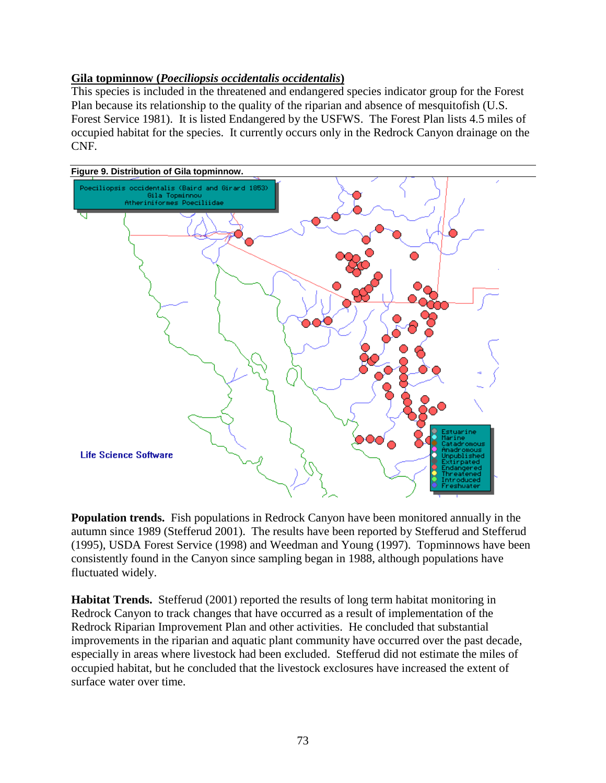# **Gila topminnow (***Poeciliopsis occidentalis occidentalis***)**

This species is included in the threatened and endangered species indicator group for the Forest Plan because its relationship to the quality of the riparian and absence of mesquitofish (U.S. Forest Service 1981). It is listed Endangered by the USFWS. The Forest Plan lists 4.5 miles of occupied habitat for the species. It currently occurs only in the Redrock Canyon drainage on the CNF.



**Population trends.** Fish populations in Redrock Canyon have been monitored annually in the autumn since 1989 (Stefferud 2001). The results have been reported by Stefferud and Stefferud (1995), USDA Forest Service (1998) and Weedman and Young (1997). Topminnows have been consistently found in the Canyon since sampling began in 1988, although populations have fluctuated widely.

**Habitat Trends.** Stefferud (2001) reported the results of long term habitat monitoring in Redrock Canyon to track changes that have occurred as a result of implementation of the Redrock Riparian Improvement Plan and other activities. He concluded that substantial improvements in the riparian and aquatic plant community have occurred over the past decade, especially in areas where livestock had been excluded. Stefferud did not estimate the miles of occupied habitat, but he concluded that the livestock exclosures have increased the extent of surface water over time.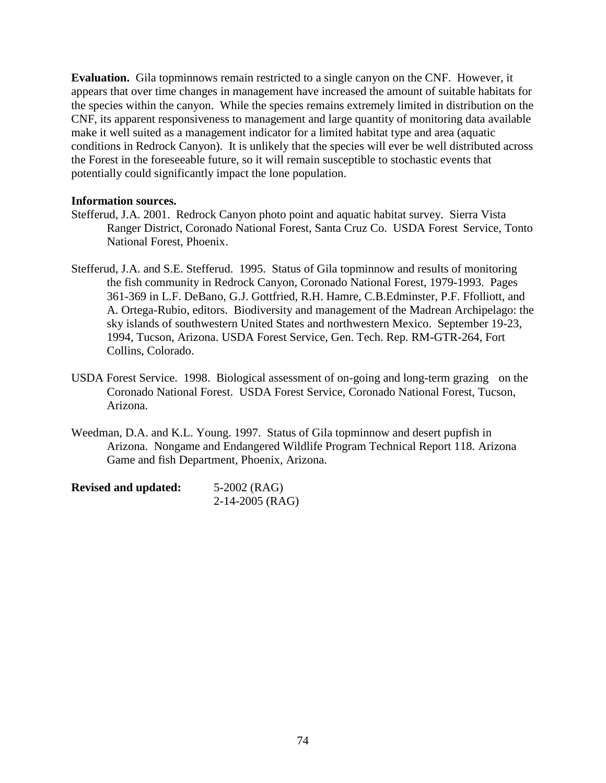**Evaluation.** Gila topminnows remain restricted to a single canyon on the CNF. However, it appears that over time changes in management have increased the amount of suitable habitats for the species within the canyon. While the species remains extremely limited in distribution on the CNF, its apparent responsiveness to management and large quantity of monitoring data available make it well suited as a management indicator for a limited habitat type and area (aquatic conditions in Redrock Canyon). It is unlikely that the species will ever be well distributed across the Forest in the foreseeable future, so it will remain susceptible to stochastic events that potentially could significantly impact the lone population.

# **Information sources.**

- Stefferud, J.A. 2001. Redrock Canyon photo point and aquatic habitat survey. Sierra Vista Ranger District, Coronado National Forest, Santa Cruz Co. USDA Forest Service, Tonto National Forest, Phoenix.
- Stefferud, J.A. and S.E. Stefferud. 1995. Status of Gila topminnow and results of monitoring the fish community in Redrock Canyon, Coronado National Forest, 1979-1993. Pages 361-369 in L.F. DeBano, G.J. Gottfried, R.H. Hamre, C.B.Edminster, P.F. Ffolliott, and A. Ortega-Rubio, editors. Biodiversity and management of the Madrean Archipelago: the sky islands of southwestern United States and northwestern Mexico. September 19-23, 1994, Tucson, Arizona. USDA Forest Service, Gen. Tech. Rep. RM-GTR-264, Fort Collins, Colorado.
- USDA Forest Service. 1998. Biological assessment of on-going and long-term grazing on the Coronado National Forest. USDA Forest Service, Coronado National Forest, Tucson, Arizona.
- Weedman, D.A. and K.L. Young. 1997. Status of Gila topminnow and desert pupfish in Arizona. Nongame and Endangered Wildlife Program Technical Report 118. Arizona Game and fish Department, Phoenix, Arizona.

| <b>Revised and updated:</b> | 5-2002 (RAG)      |  |  |  |
|-----------------------------|-------------------|--|--|--|
|                             | $2-14-2005$ (RAG) |  |  |  |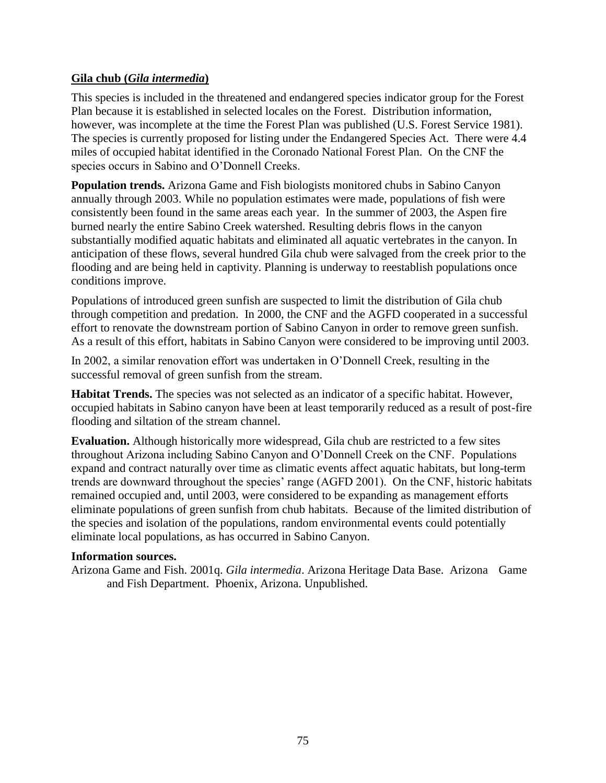# **Gila chub (***Gila intermedia***)**

This species is included in the threatened and endangered species indicator group for the Forest Plan because it is established in selected locales on the Forest. Distribution information, however, was incomplete at the time the Forest Plan was published (U.S. Forest Service 1981). The species is currently proposed for listing under the Endangered Species Act. There were 4.4 miles of occupied habitat identified in the Coronado National Forest Plan. On the CNF the species occurs in Sabino and O'Donnell Creeks.

**Population trends.** Arizona Game and Fish biologists monitored chubs in Sabino Canyon annually through 2003. While no population estimates were made, populations of fish were consistently been found in the same areas each year. In the summer of 2003, the Aspen fire burned nearly the entire Sabino Creek watershed. Resulting debris flows in the canyon substantially modified aquatic habitats and eliminated all aquatic vertebrates in the canyon. In anticipation of these flows, several hundred Gila chub were salvaged from the creek prior to the flooding and are being held in captivity. Planning is underway to reestablish populations once conditions improve.

Populations of introduced green sunfish are suspected to limit the distribution of Gila chub through competition and predation. In 2000, the CNF and the AGFD cooperated in a successful effort to renovate the downstream portion of Sabino Canyon in order to remove green sunfish. As a result of this effort, habitats in Sabino Canyon were considered to be improving until 2003.

In 2002, a similar renovation effort was undertaken in O'Donnell Creek, resulting in the successful removal of green sunfish from the stream.

**Habitat Trends.** The species was not selected as an indicator of a specific habitat. However, occupied habitats in Sabino canyon have been at least temporarily reduced as a result of post-fire flooding and siltation of the stream channel.

**Evaluation.** Although historically more widespread, Gila chub are restricted to a few sites throughout Arizona including Sabino Canyon and O'Donnell Creek on the CNF. Populations expand and contract naturally over time as climatic events affect aquatic habitats, but long-term trends are downward throughout the species' range (AGFD 2001). On the CNF, historic habitats remained occupied and, until 2003, were considered to be expanding as management efforts eliminate populations of green sunfish from chub habitats. Because of the limited distribution of the species and isolation of the populations, random environmental events could potentially eliminate local populations, as has occurred in Sabino Canyon.

# **Information sources.**

Arizona Game and Fish. 2001q. *Gila intermedia*. Arizona Heritage Data Base. Arizona Game and Fish Department. Phoenix, Arizona. Unpublished.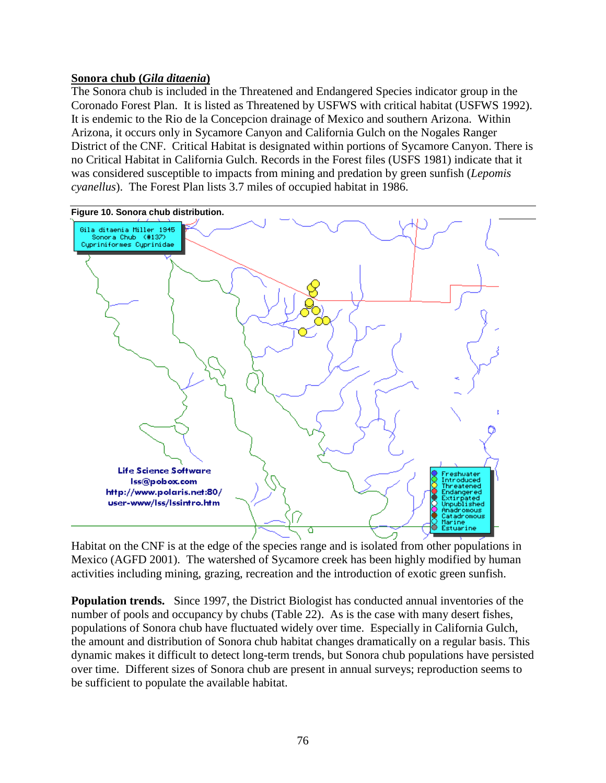# **Sonora chub (***Gila ditaenia***)**

The Sonora chub is included in the Threatened and Endangered Species indicator group in the Coronado Forest Plan. It is listed as Threatened by USFWS with critical habitat (USFWS 1992). It is endemic to the Rio de la Concepcion drainage of Mexico and southern Arizona. Within Arizona, it occurs only in Sycamore Canyon and California Gulch on the Nogales Ranger District of the CNF. Critical Habitat is designated within portions of Sycamore Canyon. There is no Critical Habitat in California Gulch. Records in the Forest files (USFS 1981) indicate that it was considered susceptible to impacts from mining and predation by green sunfish (*Lepomis cyanellus*). The Forest Plan lists 3.7 miles of occupied habitat in 1986.



Habitat on the CNF is at the edge of the species range and is isolated from other populations in Mexico (AGFD 2001). The watershed of Sycamore creek has been highly modified by human activities including mining, grazing, recreation and the introduction of exotic green sunfish.

**Population trends.** Since 1997, the District Biologist has conducted annual inventories of the number of pools and occupancy by chubs (Table 22). As is the case with many desert fishes, populations of Sonora chub have fluctuated widely over time. Especially in California Gulch, the amount and distribution of Sonora chub habitat changes dramatically on a regular basis. This dynamic makes it difficult to detect long-term trends, but Sonora chub populations have persisted over time. Different sizes of Sonora chub are present in annual surveys; reproduction seems to be sufficient to populate the available habitat.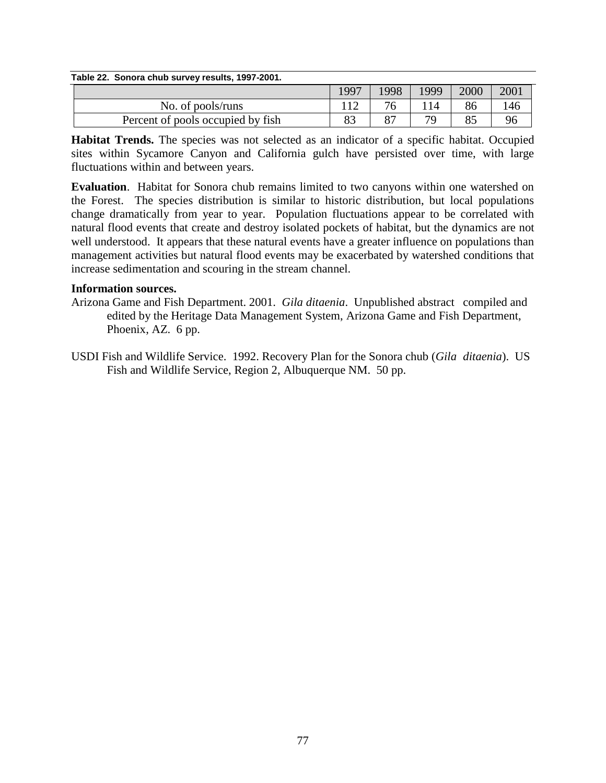| Table 22. Sonora chub survey results, 1997-2001. |      |      |      |      |      |
|--------------------------------------------------|------|------|------|------|------|
|                                                  | 1997 | 1998 | 1999 | 2000 | 2001 |
| No. of pools/runs                                |      |      |      |      | 146  |
| Percent of pools occupied by fish                | 83   | -87  | 79   |      | 96   |

**Habitat Trends.** The species was not selected as an indicator of a specific habitat. Occupied sites within Sycamore Canyon and California gulch have persisted over time, with large fluctuations within and between years.

**Evaluation**. Habitat for Sonora chub remains limited to two canyons within one watershed on the Forest. The species distribution is similar to historic distribution, but local populations change dramatically from year to year. Population fluctuations appear to be correlated with natural flood events that create and destroy isolated pockets of habitat, but the dynamics are not well understood. It appears that these natural events have a greater influence on populations than management activities but natural flood events may be exacerbated by watershed conditions that increase sedimentation and scouring in the stream channel.

# **Information sources.**

- Arizona Game and Fish Department. 2001. *Gila ditaenia*. Unpublished abstract compiled and edited by the Heritage Data Management System, Arizona Game and Fish Department, Phoenix, AZ. 6 pp.
- USDI Fish and Wildlife Service. 1992. Recovery Plan for the Sonora chub (*Gila ditaenia*). US Fish and Wildlife Service, Region 2, Albuquerque NM. 50 pp.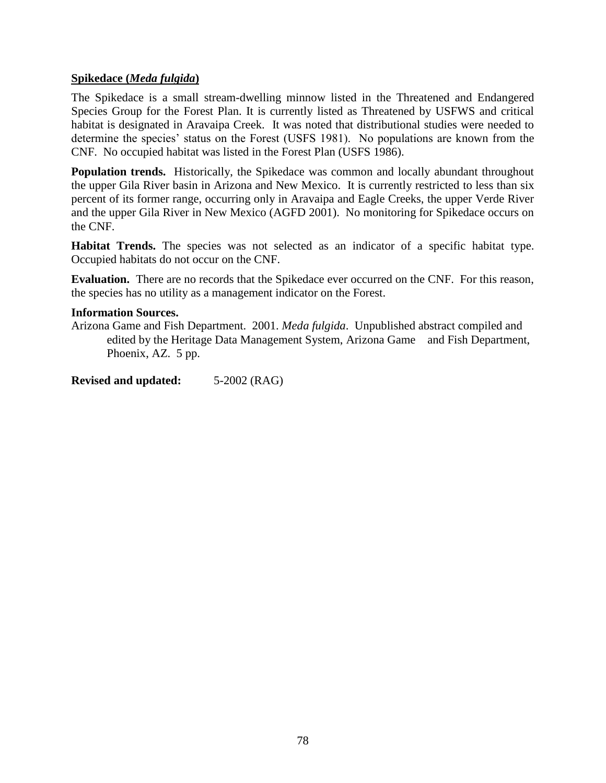# **Spikedace (***Meda fulgida***)**

The Spikedace is a small stream-dwelling minnow listed in the Threatened and Endangered Species Group for the Forest Plan. It is currently listed as Threatened by USFWS and critical habitat is designated in Aravaipa Creek. It was noted that distributional studies were needed to determine the species' status on the Forest (USFS 1981). No populations are known from the CNF. No occupied habitat was listed in the Forest Plan (USFS 1986).

**Population trends.** Historically, the Spikedace was common and locally abundant throughout the upper Gila River basin in Arizona and New Mexico. It is currently restricted to less than six percent of its former range, occurring only in Aravaipa and Eagle Creeks, the upper Verde River and the upper Gila River in New Mexico (AGFD 2001). No monitoring for Spikedace occurs on the CNF.

**Habitat Trends.** The species was not selected as an indicator of a specific habitat type. Occupied habitats do not occur on the CNF.

**Evaluation.** There are no records that the Spikedace ever occurred on the CNF. For this reason, the species has no utility as a management indicator on the Forest.

## **Information Sources.**

Arizona Game and Fish Department. 2001. *Meda fulgida*. Unpublished abstract compiled and edited by the Heritage Data Management System, Arizona Game and Fish Department, Phoenix, AZ. 5 pp.

**Revised and updated:** 5-2002 (RAG)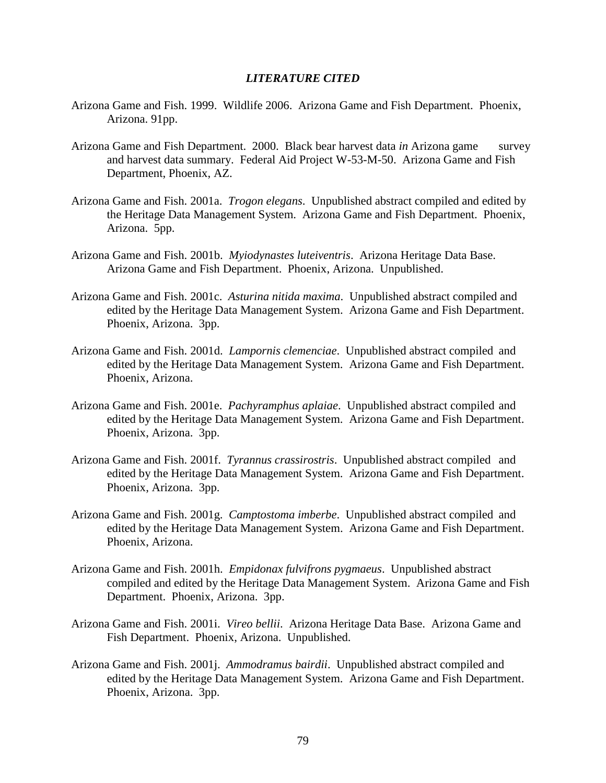## *LITERATURE CITED*

- Arizona Game and Fish. 1999. Wildlife 2006. Arizona Game and Fish Department. Phoenix, Arizona. 91pp.
- Arizona Game and Fish Department. 2000. Black bear harvest data *in* Arizona game survey and harvest data summary. Federal Aid Project W-53-M-50. Arizona Game and Fish Department, Phoenix, AZ.
- Arizona Game and Fish. 2001a. *Trogon elegans*. Unpublished abstract compiled and edited by the Heritage Data Management System. Arizona Game and Fish Department. Phoenix, Arizona. 5pp.
- Arizona Game and Fish. 2001b. *Myiodynastes luteiventris*. Arizona Heritage Data Base. Arizona Game and Fish Department. Phoenix, Arizona. Unpublished.
- Arizona Game and Fish. 2001c. *Asturina nitida maxima*. Unpublished abstract compiled and edited by the Heritage Data Management System. Arizona Game and Fish Department. Phoenix, Arizona. 3pp.
- Arizona Game and Fish. 2001d. *Lampornis clemenciae*. Unpublished abstract compiled and edited by the Heritage Data Management System. Arizona Game and Fish Department. Phoenix, Arizona.
- Arizona Game and Fish. 2001e. *Pachyramphus aplaiae*. Unpublished abstract compiled and edited by the Heritage Data Management System. Arizona Game and Fish Department. Phoenix, Arizona. 3pp.
- Arizona Game and Fish. 2001f. *Tyrannus crassirostris*. Unpublished abstract compiled and edited by the Heritage Data Management System. Arizona Game and Fish Department. Phoenix, Arizona. 3pp.
- Arizona Game and Fish. 2001g. *Camptostoma imberbe*. Unpublished abstract compiled and edited by the Heritage Data Management System. Arizona Game and Fish Department. Phoenix, Arizona.
- Arizona Game and Fish. 2001h. *Empidonax fulvifrons pygmaeus*. Unpublished abstract compiled and edited by the Heritage Data Management System. Arizona Game and Fish Department. Phoenix, Arizona. 3pp.
- Arizona Game and Fish. 2001i. *Vireo bellii*. Arizona Heritage Data Base. Arizona Game and Fish Department. Phoenix, Arizona. Unpublished.
- Arizona Game and Fish. 2001j. *Ammodramus bairdii*. Unpublished abstract compiled and edited by the Heritage Data Management System. Arizona Game and Fish Department. Phoenix, Arizona. 3pp.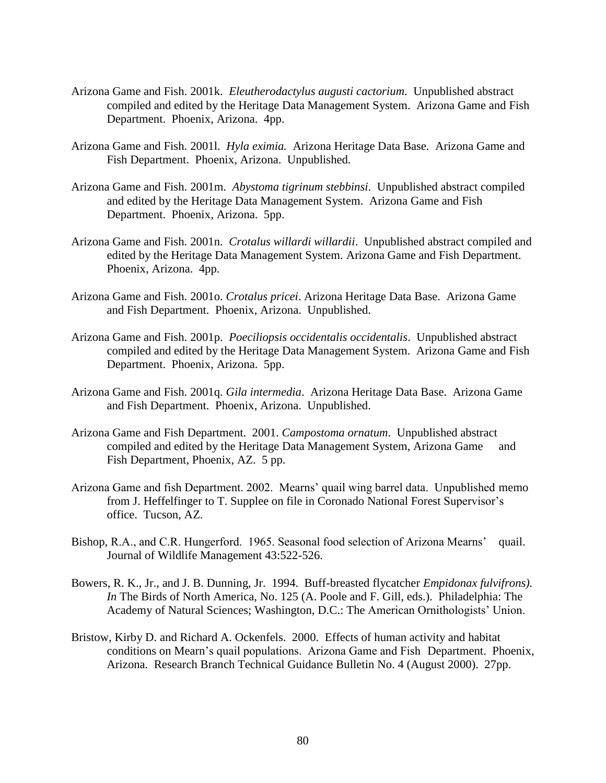- Arizona Game and Fish. 2001k. *Eleutherodactylus augusti cactorium*. Unpublished abstract compiled and edited by the Heritage Data Management System. Arizona Game and Fish Department. Phoenix, Arizona. 4pp.
- Arizona Game and Fish. 2001l. *Hyla eximia.* Arizona Heritage Data Base. Arizona Game and Fish Department. Phoenix, Arizona. Unpublished.
- Arizona Game and Fish. 2001m. *Abystoma tigrinum stebbinsi*. Unpublished abstract compiled and edited by the Heritage Data Management System. Arizona Game and Fish Department. Phoenix, Arizona. 5pp.
- Arizona Game and Fish. 2001n. *Crotalus willardi willardii*. Unpublished abstract compiled and edited by the Heritage Data Management System. Arizona Game and Fish Department. Phoenix, Arizona. 4pp.
- Arizona Game and Fish. 2001o. *Crotalus pricei*. Arizona Heritage Data Base. Arizona Game and Fish Department. Phoenix, Arizona. Unpublished.
- Arizona Game and Fish. 2001p. *Poeciliopsis occidentalis occidentalis*. Unpublished abstract compiled and edited by the Heritage Data Management System. Arizona Game and Fish Department. Phoenix, Arizona. 5pp.
- Arizona Game and Fish. 2001q. *Gila intermedia*. Arizona Heritage Data Base. Arizona Game and Fish Department. Phoenix, Arizona. Unpublished.
- Arizona Game and Fish Department. 2001. *Campostoma ornatum*. Unpublished abstract compiled and edited by the Heritage Data Management System, Arizona Game and Fish Department, Phoenix, AZ. 5 pp.
- Arizona Game and fish Department. 2002. Mearns' quail wing barrel data. Unpublished memo from J. Heffelfinger to T. Supplee on file in Coronado National Forest Supervisor's office. Tucson, AZ.
- Bishop, R.A., and C.R. Hungerford. 1965. Seasonal food selection of Arizona Mearns' quail. Journal of Wildlife Management 43:522-526.
- Bowers, R. K., Jr., and J. B. Dunning, Jr. 1994. Buff-breasted flycatcher *Empidonax fulvifrons). In* The Birds of North America, No. 125 (A. Poole and F. Gill, eds.). Philadelphia: The Academy of Natural Sciences; Washington, D.C.: The American Ornithologists' Union.
- Bristow, Kirby D. and Richard A. Ockenfels. 2000. Effects of human activity and habitat conditions on Mearn's quail populations. Arizona Game and Fish Department. Phoenix, Arizona. Research Branch Technical Guidance Bulletin No. 4 (August 2000). 27pp.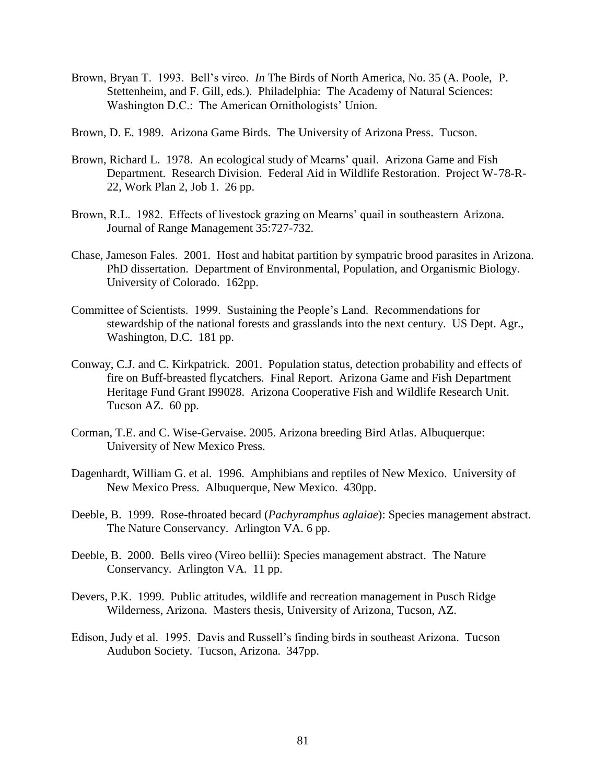- Brown, Bryan T. 1993. Bell's vireo. *In* The Birds of North America, No. 35 (A. Poole, P. Stettenheim, and F. Gill, eds.). Philadelphia: The Academy of Natural Sciences: Washington D.C.: The American Ornithologists' Union.
- Brown, D. E. 1989. Arizona Game Birds. The University of Arizona Press. Tucson.
- Brown, Richard L. 1978. An ecological study of Mearns' quail. Arizona Game and Fish Department. Research Division. Federal Aid in Wildlife Restoration. Project W-78-R-22, Work Plan 2, Job 1. 26 pp.
- Brown, R.L. 1982. Effects of livestock grazing on Mearns' quail in southeastern Arizona. Journal of Range Management 35:727-732.
- Chase, Jameson Fales. 2001. Host and habitat partition by sympatric brood parasites in Arizona. PhD dissertation. Department of Environmental, Population, and Organismic Biology. University of Colorado. 162pp.
- Committee of Scientists. 1999. Sustaining the People's Land. Recommendations for stewardship of the national forests and grasslands into the next century. US Dept. Agr., Washington, D.C. 181 pp.
- Conway, C.J. and C. Kirkpatrick. 2001. Population status, detection probability and effects of fire on Buff-breasted flycatchers. Final Report. Arizona Game and Fish Department Heritage Fund Grant I99028. Arizona Cooperative Fish and Wildlife Research Unit. Tucson AZ. 60 pp.
- Corman, T.E. and C. Wise-Gervaise. 2005. Arizona breeding Bird Atlas. Albuquerque: University of New Mexico Press.
- Dagenhardt, William G. et al. 1996. Amphibians and reptiles of New Mexico. University of New Mexico Press. Albuquerque, New Mexico. 430pp.
- Deeble, B. 1999. Rose-throated becard (*Pachyramphus aglaiae*): Species management abstract. The Nature Conservancy. Arlington VA. 6 pp.
- Deeble, B. 2000. Bells vireo (Vireo bellii): Species management abstract. The Nature Conservancy. Arlington VA. 11 pp.
- Devers, P.K. 1999. Public attitudes, wildlife and recreation management in Pusch Ridge Wilderness, Arizona. Masters thesis, University of Arizona, Tucson, AZ.
- Edison, Judy et al. 1995. Davis and Russell's finding birds in southeast Arizona. Tucson Audubon Society. Tucson, Arizona. 347pp.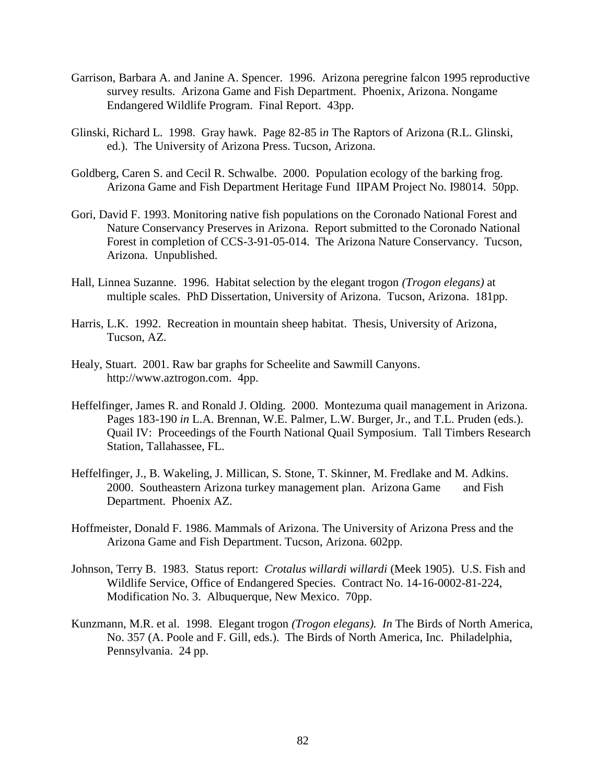- Garrison, Barbara A. and Janine A. Spencer. 1996. Arizona peregrine falcon 1995 reproductive survey results. Arizona Game and Fish Department. Phoenix, Arizona. Nongame Endangered Wildlife Program. Final Report. 43pp.
- Glinski, Richard L. 1998. Gray hawk. Page 82-85 i*n* The Raptors of Arizona (R.L. Glinski, ed.). The University of Arizona Press. Tucson, Arizona.
- Goldberg, Caren S. and Cecil R. Schwalbe. 2000. Population ecology of the barking frog. Arizona Game and Fish Department Heritage Fund IIPAM Project No. I98014. 50pp.
- Gori, David F. 1993. Monitoring native fish populations on the Coronado National Forest and Nature Conservancy Preserves in Arizona. Report submitted to the Coronado National Forest in completion of CCS-3-91-05-014. The Arizona Nature Conservancy. Tucson, Arizona. Unpublished.
- Hall, Linnea Suzanne. 1996. Habitat selection by the elegant trogon *(Trogon elegans)* at multiple scales. PhD Dissertation, University of Arizona. Tucson, Arizona. 181pp.
- Harris, L.K. 1992. Recreation in mountain sheep habitat. Thesis, University of Arizona, Tucson, AZ.
- Healy, Stuart. 2001. Raw bar graphs for Scheelite and Sawmill Canyons. http://www.aztrogon.com. 4pp.
- Heffelfinger, James R. and Ronald J. Olding. 2000. Montezuma quail management in Arizona. Pages 183-190 *in* L.A. Brennan, W.E. Palmer, L.W. Burger, Jr., and T.L. Pruden (eds.). Quail IV: Proceedings of the Fourth National Quail Symposium. Tall Timbers Research Station, Tallahassee, FL.
- Heffelfinger, J., B. Wakeling, J. Millican, S. Stone, T. Skinner, M. Fredlake and M. Adkins. 2000. Southeastern Arizona turkey management plan. Arizona Game and Fish Department. Phoenix AZ.
- Hoffmeister, Donald F. 1986. Mammals of Arizona. The University of Arizona Press and the Arizona Game and Fish Department. Tucson, Arizona. 602pp.
- Johnson, Terry B. 1983. Status report: *Crotalus willardi willardi* (Meek 1905). U.S. Fish and Wildlife Service, Office of Endangered Species. Contract No. 14-16-0002-81-224, Modification No. 3. Albuquerque, New Mexico. 70pp.
- Kunzmann, M.R. et al. 1998. Elegant trogon *(Trogon elegans). In* The Birds of North America, No. 357 (A. Poole and F. Gill, eds.). The Birds of North America, Inc. Philadelphia, Pennsylvania. 24 pp.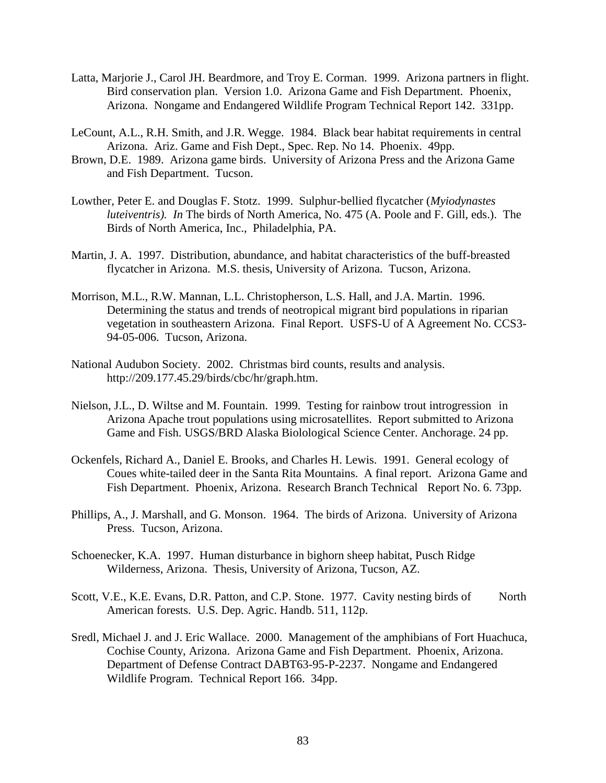- Latta, Marjorie J., Carol JH. Beardmore, and Troy E. Corman. 1999. Arizona partners in flight. Bird conservation plan. Version 1.0. Arizona Game and Fish Department. Phoenix, Arizona. Nongame and Endangered Wildlife Program Technical Report 142. 331pp.
- LeCount, A.L., R.H. Smith, and J.R. Wegge. 1984. Black bear habitat requirements in central Arizona. Ariz. Game and Fish Dept., Spec. Rep. No 14. Phoenix. 49pp.
- Brown, D.E. 1989. Arizona game birds. University of Arizona Press and the Arizona Game and Fish Department. Tucson.
- Lowther, Peter E. and Douglas F. Stotz. 1999. Sulphur-bellied flycatcher (*Myiodynastes luteiventris). In* The birds of North America, No. 475 (A. Poole and F. Gill, eds.). The Birds of North America, Inc., Philadelphia, PA.
- Martin, J. A. 1997. Distribution, abundance, and habitat characteristics of the buff-breasted flycatcher in Arizona. M.S. thesis, University of Arizona. Tucson, Arizona.
- Morrison, M.L., R.W. Mannan, L.L. Christopherson, L.S. Hall, and J.A. Martin. 1996. Determining the status and trends of neotropical migrant bird populations in riparian vegetation in southeastern Arizona. Final Report. USFS-U of A Agreement No. CCS3- 94-05-006. Tucson, Arizona.
- National Audubon Society. 2002. Christmas bird counts, results and analysis. http://209.177.45.29/birds/cbc/hr/graph.htm.
- Nielson, J.L., D. Wiltse and M. Fountain. 1999. Testing for rainbow trout introgression in Arizona Apache trout populations using microsatellites. Report submitted to Arizona Game and Fish. USGS/BRD Alaska Biolological Science Center. Anchorage. 24 pp.
- Ockenfels, Richard A., Daniel E. Brooks, and Charles H. Lewis. 1991. General ecology of Coues white-tailed deer in the Santa Rita Mountains. A final report. Arizona Game and Fish Department. Phoenix, Arizona. Research Branch Technical Report No. 6. 73pp.
- Phillips, A., J. Marshall, and G. Monson. 1964. The birds of Arizona. University of Arizona Press. Tucson, Arizona.
- Schoenecker, K.A. 1997. Human disturbance in bighorn sheep habitat, Pusch Ridge Wilderness, Arizona. Thesis, University of Arizona, Tucson, AZ.
- Scott, V.E., K.E. Evans, D.R. Patton, and C.P. Stone. 1977. Cavity nesting birds of North American forests. U.S. Dep. Agric. Handb. 511, 112p.
- Sredl, Michael J. and J. Eric Wallace. 2000. Management of the amphibians of Fort Huachuca, Cochise County, Arizona. Arizona Game and Fish Department. Phoenix, Arizona. Department of Defense Contract DABT63-95-P-2237. Nongame and Endangered Wildlife Program. Technical Report 166. 34pp.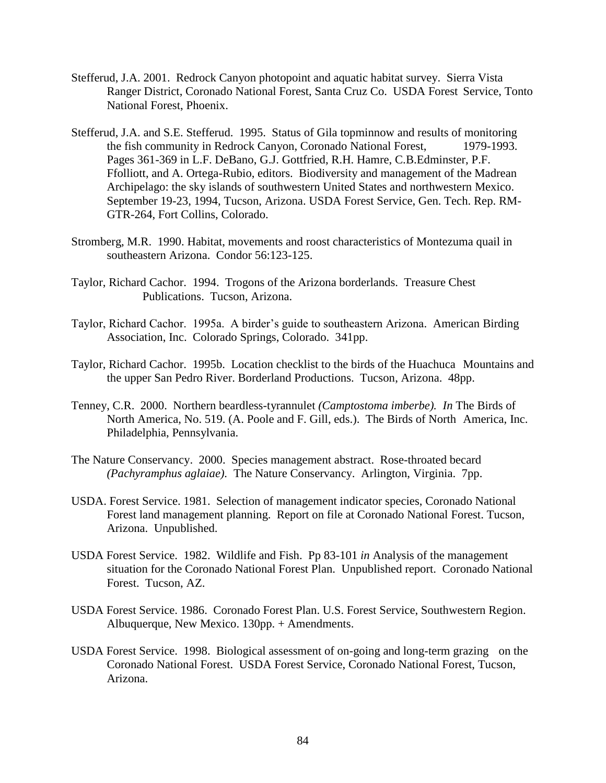- Stefferud, J.A. 2001. Redrock Canyon photopoint and aquatic habitat survey. Sierra Vista Ranger District, Coronado National Forest, Santa Cruz Co. USDA Forest Service, Tonto National Forest, Phoenix.
- Stefferud, J.A. and S.E. Stefferud. 1995. Status of Gila topminnow and results of monitoring the fish community in Redrock Canyon, Coronado National Forest, 1979-1993. Pages 361-369 in L.F. DeBano, G.J. Gottfried, R.H. Hamre, C.B.Edminster, P.F. Ffolliott, and A. Ortega-Rubio, editors. Biodiversity and management of the Madrean Archipelago: the sky islands of southwestern United States and northwestern Mexico. September 19-23, 1994, Tucson, Arizona. USDA Forest Service, Gen. Tech. Rep. RM-GTR-264, Fort Collins, Colorado.
- Stromberg, M.R. 1990. Habitat, movements and roost characteristics of Montezuma quail in southeastern Arizona. Condor 56:123-125.
- Taylor, Richard Cachor. 1994. Trogons of the Arizona borderlands. Treasure Chest Publications. Tucson, Arizona.
- Taylor, Richard Cachor. 1995a. A birder's guide to southeastern Arizona. American Birding Association, Inc. Colorado Springs, Colorado. 341pp.
- Taylor, Richard Cachor. 1995b. Location checklist to the birds of the Huachuca Mountains and the upper San Pedro River. Borderland Productions. Tucson, Arizona. 48pp.
- Tenney, C.R. 2000. Northern beardless-tyrannulet *(Camptostoma imberbe). In* The Birds of North America, No. 519. (A. Poole and F. Gill, eds.). The Birds of North America, Inc. Philadelphia, Pennsylvania.
- The Nature Conservancy. 2000. Species management abstract. Rose-throated becard *(Pachyramphus aglaiae).* The Nature Conservancy. Arlington, Virginia. 7pp.
- USDA. Forest Service. 1981. Selection of management indicator species, Coronado National Forest land management planning. Report on file at Coronado National Forest. Tucson, Arizona. Unpublished.
- USDA Forest Service. 1982. Wildlife and Fish. Pp 83-101 *in* Analysis of the management situation for the Coronado National Forest Plan. Unpublished report. Coronado National Forest. Tucson, AZ.
- USDA Forest Service. 1986. Coronado Forest Plan. U.S. Forest Service, Southwestern Region. Albuquerque, New Mexico. 130pp. + Amendments.
- USDA Forest Service. 1998. Biological assessment of on-going and long-term grazing on the Coronado National Forest. USDA Forest Service, Coronado National Forest, Tucson, Arizona.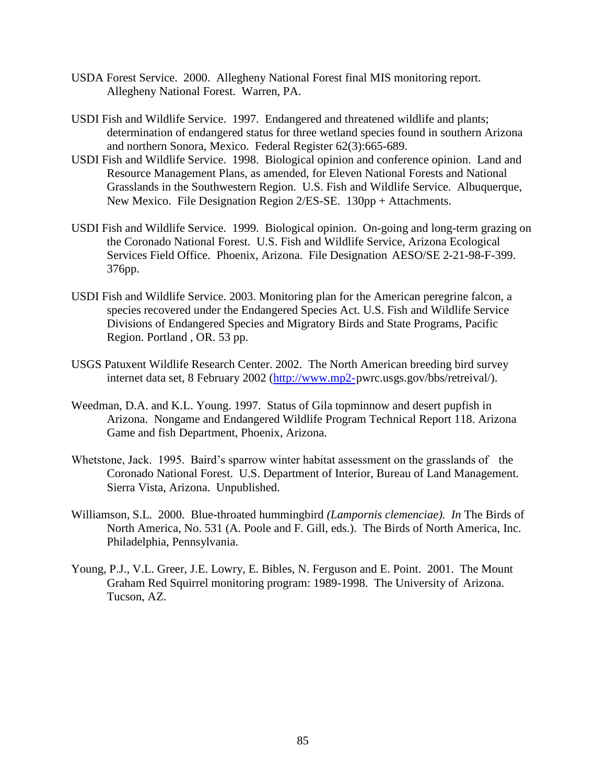- USDA Forest Service. 2000. Allegheny National Forest final MIS monitoring report. Allegheny National Forest. Warren, PA.
- USDI Fish and Wildlife Service. 1997. Endangered and threatened wildlife and plants; determination of endangered status for three wetland species found in southern Arizona and northern Sonora, Mexico. Federal Register 62(3):665-689.
- USDI Fish and Wildlife Service. 1998. Biological opinion and conference opinion. Land and Resource Management Plans, as amended, for Eleven National Forests and National Grasslands in the Southwestern Region. U.S. Fish and Wildlife Service. Albuquerque, New Mexico. File Designation Region 2/ES-SE. 130pp + Attachments.
- USDI Fish and Wildlife Service. 1999. Biological opinion. On-going and long-term grazing on the Coronado National Forest. U.S. Fish and Wildlife Service, Arizona Ecological Services Field Office. Phoenix, Arizona. File Designation AESO/SE 2-21-98-F-399. 376pp.
- USDI Fish and Wildlife Service. 2003. Monitoring plan for the American peregrine falcon, a species recovered under the Endangered Species Act. U.S. Fish and Wildlife Service Divisions of Endangered Species and Migratory Birds and State Programs, Pacific Region. Portland , OR. 53 pp.
- USGS Patuxent Wildlife Research Center. 2002. The North American breeding bird survey internet data set, 8 February 2002 [\(http://www.mp2-p](http://www.mp2-/)wrc.usgs.gov/bbs/retreival/).
- Weedman, D.A. and K.L. Young. 1997. Status of Gila topminnow and desert pupfish in Arizona. Nongame and Endangered Wildlife Program Technical Report 118. Arizona Game and fish Department, Phoenix, Arizona.
- Whetstone, Jack. 1995. Baird's sparrow winter habitat assessment on the grasslands of the Coronado National Forest. U.S. Department of Interior, Bureau of Land Management. Sierra Vista, Arizona. Unpublished.
- Williamson, S.L. 2000. Blue-throated hummingbird *(Lampornis clemenciae). In* The Birds of North America, No. 531 (A. Poole and F. Gill, eds.). The Birds of North America, Inc. Philadelphia, Pennsylvania.
- Young, P.J., V.L. Greer, J.E. Lowry, E. Bibles, N. Ferguson and E. Point. 2001. The Mount Graham Red Squirrel monitoring program: 1989-1998. The University of Arizona. Tucson, AZ.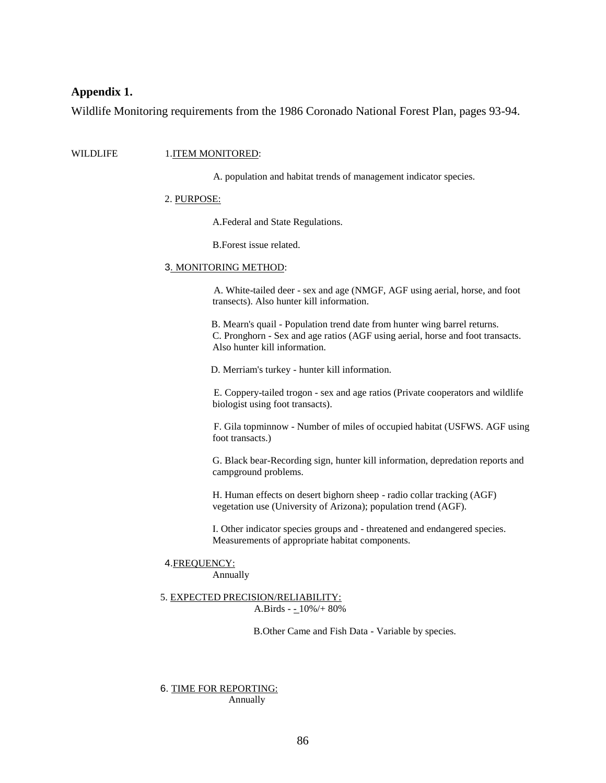## **Appendix 1.**

Wildlife Monitoring requirements from the 1986 Coronado National Forest Plan, pages 93-94.

#### WILDLIFE 1.ITEM MONITORED:

A. population and habitat trends of management indicator species.

#### 2. PURPOSE:

A.Federal and State Regulations.

B.Forest issue related.

#### 3. MONITORING METHOD:

A. White-tailed deer - sex and age (NMGF, AGF using aerial, horse, and foot transects). Also hunter kill information.

B. Mearn's quail - Population trend date from hunter wing barrel returns. C. Pronghorn - Sex and age ratios (AGF using aerial, horse and foot transacts. Also hunter kill information.

D. Merriam's turkey - hunter kill information.

E. Coppery-tailed trogon - sex and age ratios (Private cooperators and wildlife biologist using foot transacts).

F. Gila topminnow - Number of miles of occupied habitat (USFWS. AGF using foot transacts.)

G. Black bear-Recording sign, hunter kill information, depredation reports and campground problems.

H. Human effects on desert bighorn sheep - radio collar tracking (AGF) vegetation use (University of Arizona); population trend (AGF).

I. Other indicator species groups and - threatened and endangered species. Measurements of appropriate habitat components.

# 4.FREQUENCY:

Annually

#### 5. EXPECTED PRECISION/RELIABILITY: A.Birds - - 10%/+ 80%

B.Other Came and Fish Data - Variable by species.

6. TIME FOR REPORTING: Annually